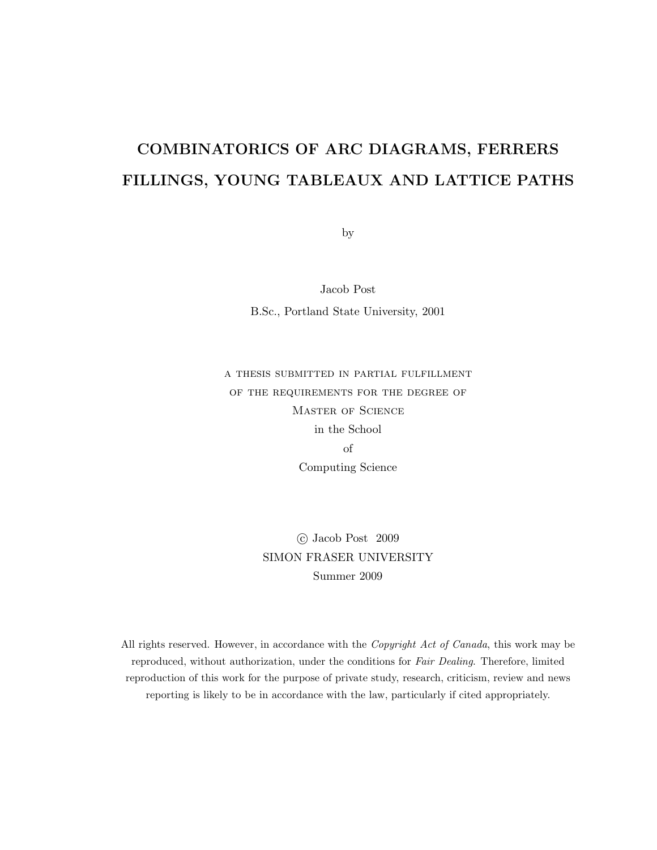### COMBINATORICS OF ARC DIAGRAMS, FERRERS FILLINGS, YOUNG TABLEAUX AND LATTICE PATHS

by

Jacob Post B.Sc., Portland State University, 2001

a thesis submitted in partial fulfillment of the requirements for the degree of Master of Science in the School of Computing Science

> c Jacob Post 2009 SIMON FRASER UNIVERSITY Summer 2009

All rights reserved. However, in accordance with the *Copyright Act of Canada*, this work may be reproduced, without authorization, under the conditions for *Fair Dealing*. Therefore, limited reproduction of this work for the purpose of private study, research, criticism, review and news reporting is likely to be in accordance with the law, particularly if cited appropriately.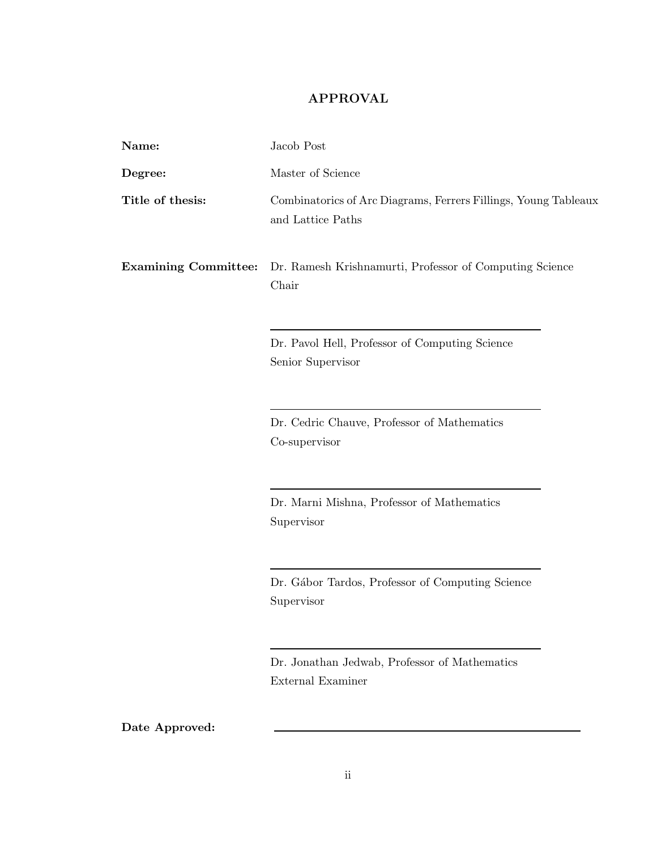### APPROVAL

| Name:                       | Jacob Post                                                                           |  |  |  |  |  |
|-----------------------------|--------------------------------------------------------------------------------------|--|--|--|--|--|
| Degree:                     | Master of Science                                                                    |  |  |  |  |  |
| Title of thesis:            | Combinatorics of Arc Diagrams, Ferrers Fillings, Young Tableaux<br>and Lattice Paths |  |  |  |  |  |
| <b>Examining Committee:</b> | Dr. Ramesh Krishnamurti, Professor of Computing Science<br>Chair                     |  |  |  |  |  |
|                             | Dr. Pavol Hell, Professor of Computing Science<br>Senior Supervisor                  |  |  |  |  |  |
|                             | Dr. Cedric Chauve, Professor of Mathematics<br>Co-supervisor                         |  |  |  |  |  |
|                             | Dr. Marni Mishna, Professor of Mathematics<br>Supervisor                             |  |  |  |  |  |
|                             | Dr. Gábor Tardos, Professor of Computing Science<br>Supervisor                       |  |  |  |  |  |
|                             | Dr. Jonathan Jedwab, Professor of Mathematics<br>External Examiner                   |  |  |  |  |  |

Date Approved: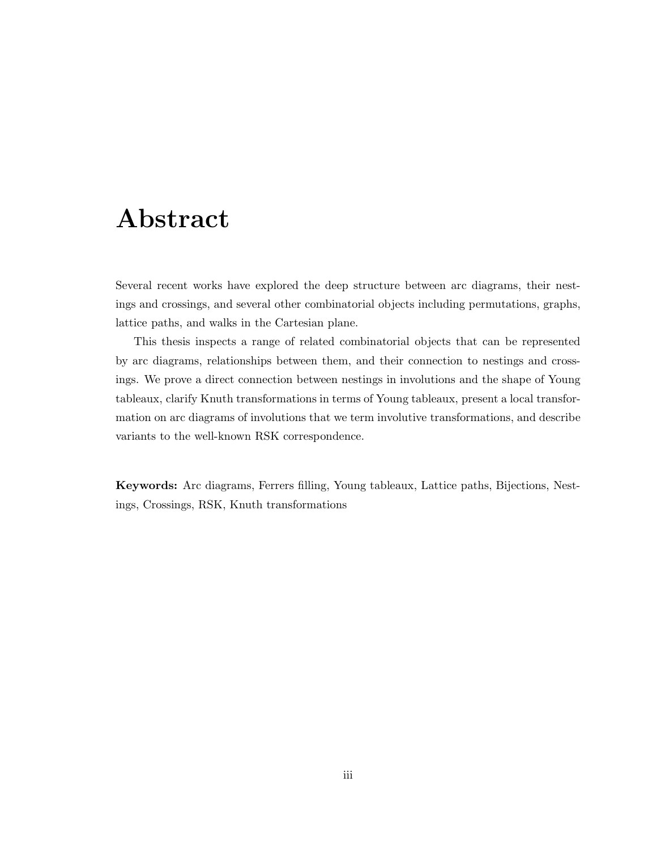### Abstract

Several recent works have explored the deep structure between arc diagrams, their nestings and crossings, and several other combinatorial objects including permutations, graphs, lattice paths, and walks in the Cartesian plane.

This thesis inspects a range of related combinatorial objects that can be represented by arc diagrams, relationships between them, and their connection to nestings and crossings. We prove a direct connection between nestings in involutions and the shape of Young tableaux, clarify Knuth transformations in terms of Young tableaux, present a local transformation on arc diagrams of involutions that we term involutive transformations, and describe variants to the well-known RSK correspondence.

Keywords: Arc diagrams, Ferrers filling, Young tableaux, Lattice paths, Bijections, Nestings, Crossings, RSK, Knuth transformations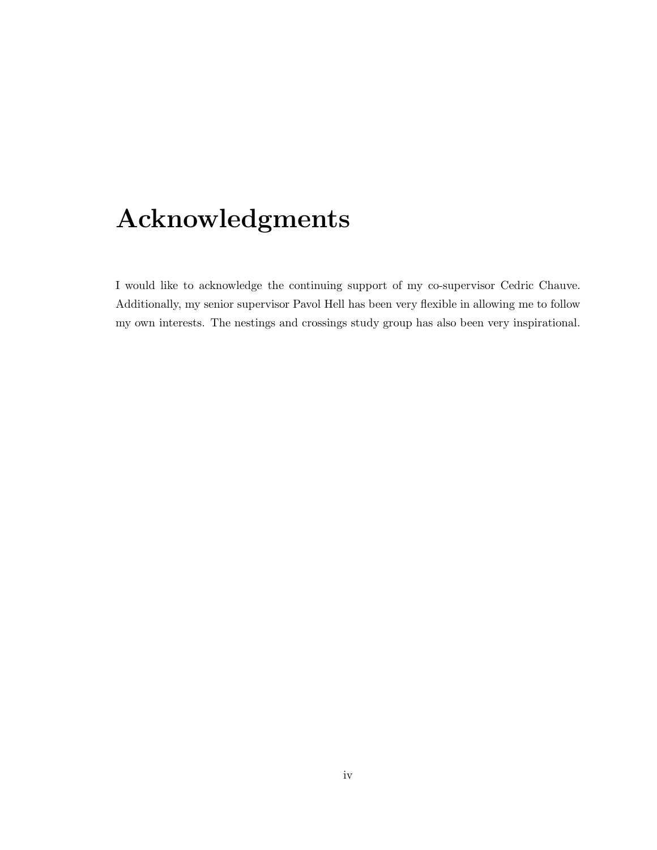# Acknowledgments

I would like to acknowledge the continuing support of my co-supervisor Cedric Chauve. Additionally, my senior supervisor Pavol Hell has been very flexible in allowing me to follow my own interests. The nestings and crossings study group has also been very inspirational.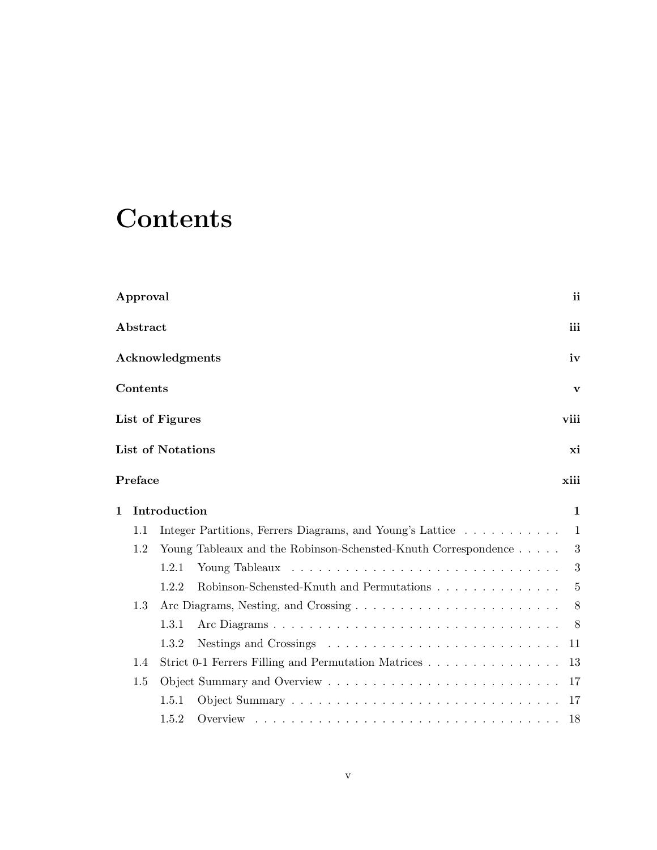# **Contents**

| Approval                                                              | ii             |
|-----------------------------------------------------------------------|----------------|
| Abstract                                                              | iii            |
| Acknowledgments                                                       | iv             |
| Contents                                                              | $\mathbf{v}$   |
| List of Figures                                                       | viii           |
| <b>List of Notations</b>                                              | xi             |
| Preface                                                               | xiii           |
| Introduction<br>$\mathbf{1}$                                          | $\mathbf{1}$   |
| Integer Partitions, Ferrers Diagrams, and Young's Lattice<br>1.1      | $\overline{1}$ |
| Young Tableaux and the Robinson-Schensted-Knuth Correspondence<br>1.2 | 3              |
| 1.2.1                                                                 | 3              |
| 1.2.2<br>Robinson-Schensted-Knuth and Permutations                    | 5              |
| 1.3                                                                   | 8              |
| 1.3.1                                                                 | 8              |
| 1.3.2                                                                 | 11             |
| Strict 0-1 Ferrers Filling and Permutation Matrices<br>1.4            | 13             |
| 1.5                                                                   | 17             |
| 1.5.1                                                                 | 17             |
| 1.5.2                                                                 | -18            |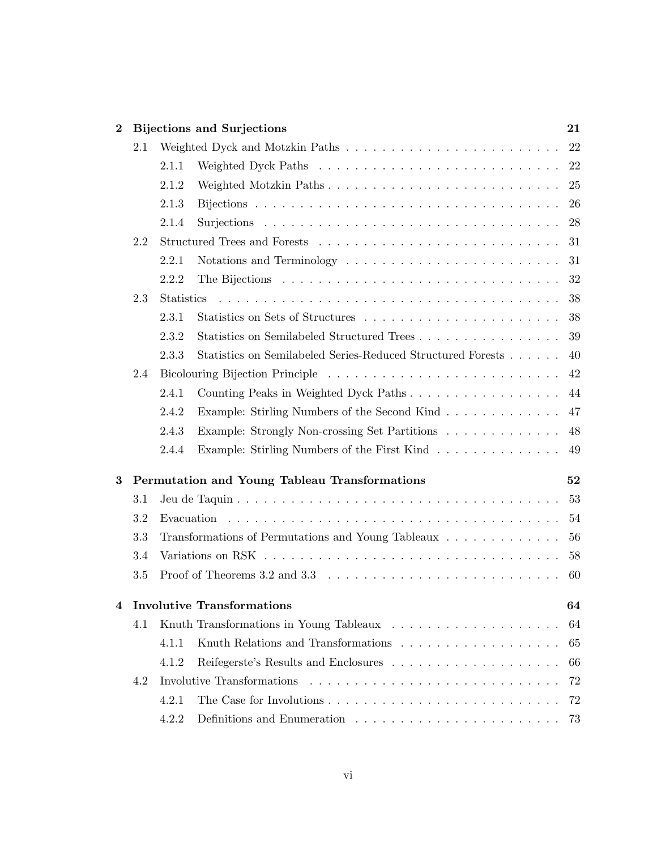| $\bf{2}$ |     | <b>Bijections and Surjections</b>                                                                                      | 21 |  |  |  |  |
|----------|-----|------------------------------------------------------------------------------------------------------------------------|----|--|--|--|--|
|          | 2.1 |                                                                                                                        |    |  |  |  |  |
|          |     | 2.1.1                                                                                                                  |    |  |  |  |  |
|          |     | 2.1.2                                                                                                                  |    |  |  |  |  |
|          |     | 2.1.3                                                                                                                  |    |  |  |  |  |
|          |     | 2.1.4                                                                                                                  |    |  |  |  |  |
|          | 2.2 |                                                                                                                        |    |  |  |  |  |
|          |     | 2.2.1                                                                                                                  |    |  |  |  |  |
|          |     | 2.2.2                                                                                                                  | 32 |  |  |  |  |
|          | 2.3 | <b>Statistics</b>                                                                                                      | 38 |  |  |  |  |
|          |     | 2.3.1<br>Statistics on Sets of Structures                                                                              | 38 |  |  |  |  |
|          |     | Statistics on Semilabeled Structured Trees 39<br>2.3.2                                                                 |    |  |  |  |  |
|          |     | Statistics on Semilabeled Series-Reduced Structured Forests 40<br>2.3.3                                                |    |  |  |  |  |
|          | 2.4 |                                                                                                                        |    |  |  |  |  |
|          |     | 2.4.1<br>Counting Peaks in Weighted Dyck Paths 44                                                                      |    |  |  |  |  |
|          |     | 2.4.2<br>Example: Stirling Numbers of the Second Kind 47                                                               |    |  |  |  |  |
|          |     | 2.4.3<br>Example: Strongly Non-crossing Set Partitions 48                                                              |    |  |  |  |  |
|          |     | Example: Stirling Numbers of the First Kind 49<br>2.4.4                                                                |    |  |  |  |  |
| 3        |     | Permutation and Young Tableau Transformations                                                                          | 52 |  |  |  |  |
|          | 3.1 |                                                                                                                        | 53 |  |  |  |  |
|          | 3.2 |                                                                                                                        |    |  |  |  |  |
|          | 3.3 | Transformations of Permutations and Young Tableaux 56                                                                  |    |  |  |  |  |
|          | 3.4 | Variations on RSK $\dots \dots \dots \dots \dots \dots \dots \dots \dots \dots \dots \dots \dots \dots \dots$          |    |  |  |  |  |
|          | 3.5 | Proof of Theorems 3.2 and 3.3 $\ldots \ldots \ldots \ldots \ldots \ldots \ldots \ldots \ldots \ldots \ldots \ldots 60$ |    |  |  |  |  |
| 4        |     | <b>Involutive Transformations</b>                                                                                      | 64 |  |  |  |  |
|          | 4.1 |                                                                                                                        | 64 |  |  |  |  |
|          |     | 4.1.1                                                                                                                  | 65 |  |  |  |  |
|          |     | 4.1.2                                                                                                                  | 66 |  |  |  |  |
|          | 4.2 |                                                                                                                        |    |  |  |  |  |
|          |     | 4.2.1                                                                                                                  |    |  |  |  |  |
|          |     | 4.2.2<br>Definitions and Enumeration $\ldots \ldots \ldots \ldots \ldots \ldots \ldots \ldots \ldots$ 73               |    |  |  |  |  |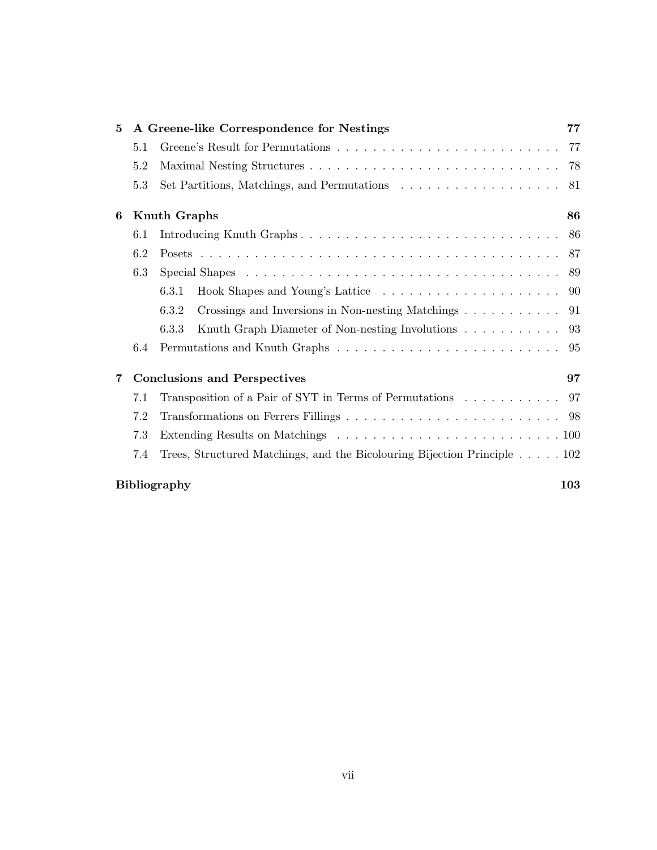| $\mathbf{5}$ |     |                     | A Greene-like Correspondence for Nestings                                      | 77  |
|--------------|-----|---------------------|--------------------------------------------------------------------------------|-----|
|              | 5.1 |                     |                                                                                | 77  |
|              | 5.2 |                     |                                                                                | 78  |
|              | 5.3 |                     |                                                                                | -81 |
| 6            |     | Knuth Graphs        |                                                                                | 86  |
|              | 6.1 |                     | Introducing Knuth Graphs                                                       | -86 |
|              | 6.2 |                     |                                                                                |     |
|              | 6.3 |                     |                                                                                |     |
|              |     | 6.3.1               |                                                                                |     |
|              |     | 6.3.2               | Crossings and Inversions in Non-nesting Matchings $\dots \dots \dots \dots$ 91 |     |
|              |     | 6.3.3               | Knuth Graph Diameter of Non-nesting Involutions 93                             |     |
|              | 6.4 |                     |                                                                                |     |
| 7            |     |                     | <b>Conclusions and Perspectives</b>                                            | 97  |
|              | 7.1 |                     | Transposition of a Pair of SYT in Terms of Permutations 97                     |     |
|              | 7.2 |                     |                                                                                |     |
|              | 7.3 |                     |                                                                                |     |
|              | 7.4 |                     | Trees, Structured Matchings, and the Bicolouring Bijection Principle 102       |     |
|              |     | <b>Bibliography</b> |                                                                                | 103 |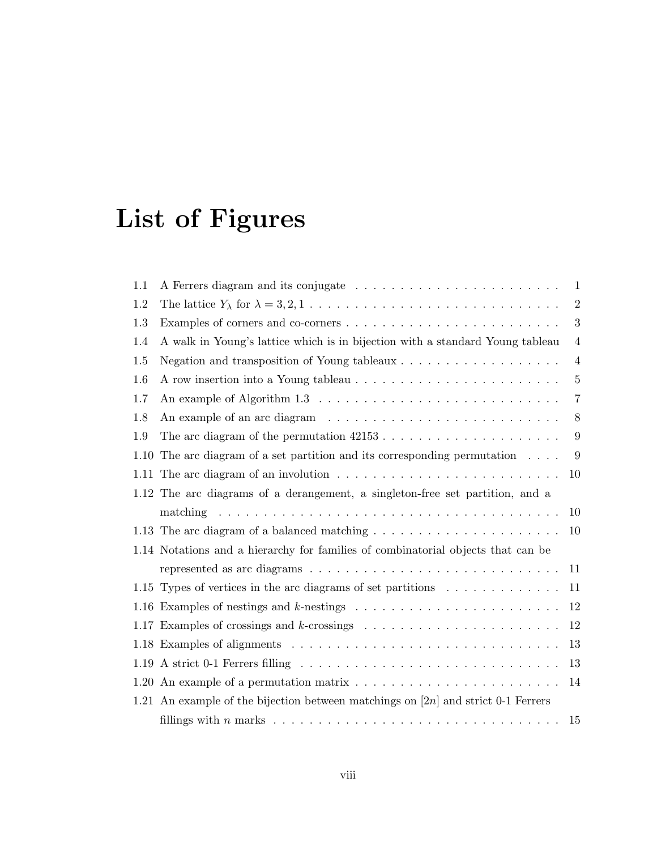# List of Figures

| 1.1  |                                                                                                                   | $\mathbf{1}$   |
|------|-------------------------------------------------------------------------------------------------------------------|----------------|
| 1.2  | The lattice $Y_{\lambda}$ for $\lambda = 3, 2, 1, \ldots, \ldots, \ldots, \ldots, \ldots, \ldots, \ldots, \ldots$ | $\overline{2}$ |
| 1.3  |                                                                                                                   | 3              |
| 1.4  | A walk in Young's lattice which is in bijection with a standard Young tableau                                     | $\overline{4}$ |
| 1.5  | Negation and transposition of Young tableaux $\dots \dots \dots \dots \dots \dots$                                | $\overline{4}$ |
| 1.6  |                                                                                                                   | $\overline{5}$ |
| 1.7  |                                                                                                                   | $\overline{7}$ |
| 1.8  |                                                                                                                   | 8              |
| 1.9  |                                                                                                                   | 9              |
| 1.10 | The arc diagram of a set partition and its corresponding permutation $\ldots$ .                                   | 9              |
| 1.11 | The arc diagram of an involution $\ldots \ldots \ldots \ldots \ldots \ldots \ldots \ldots$                        | 10             |
|      | 1.12 The arc diagrams of a derangement, a singleton-free set partition, and a                                     |                |
|      |                                                                                                                   | 10             |
|      |                                                                                                                   | 10             |
|      | 1.14 Notations and a hierarchy for families of combinatorial objects that can be                                  |                |
|      |                                                                                                                   | 11             |
|      | 1.15 Types of vertices in the arc diagrams of set partitions                                                      | 11             |
|      |                                                                                                                   | 12             |
|      |                                                                                                                   | 12             |
|      |                                                                                                                   | 13             |
| 1.19 |                                                                                                                   | 13             |
|      |                                                                                                                   | 14             |
|      | 1.21 An example of the bijection between matchings on $[2n]$ and strict 0-1 Ferrers                               |                |
|      |                                                                                                                   | 15             |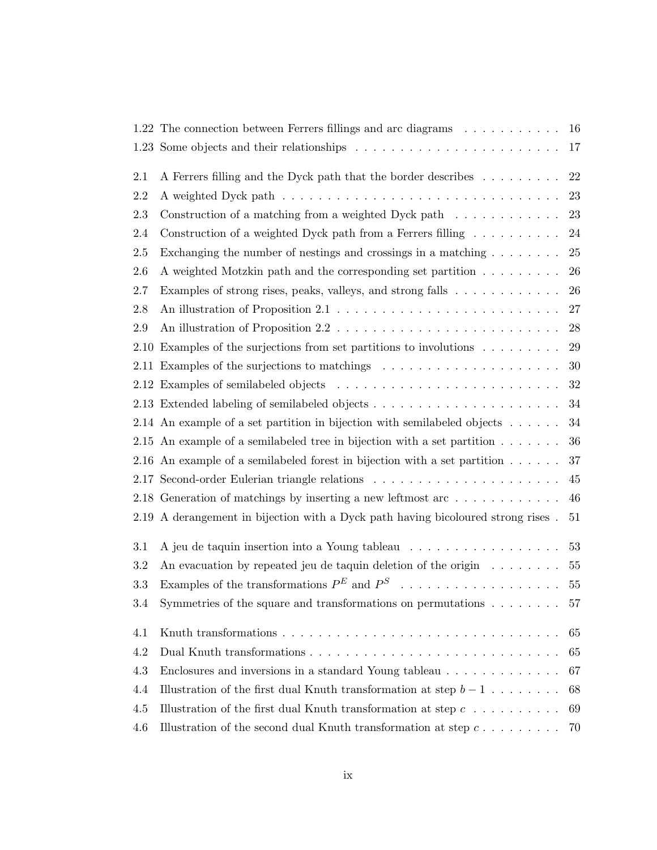|         | 1.22 The connection between Ferrers fillings and arc diagrams $\dots \dots \dots \dots$ 16 |    |
|---------|--------------------------------------------------------------------------------------------|----|
|         |                                                                                            | 17 |
| 2.1     | A Ferrers filling and the Dyck path that the border describes                              | 22 |
| 2.2     |                                                                                            | 23 |
| 2.3     | Construction of a matching from a weighted Dyck path $\dots \dots \dots$                   | 23 |
| 2.4     | Construction of a weighted Dyck path from a Ferrers filling $\ldots \ldots \ldots$         | 24 |
| $2.5\,$ | Exchanging the number of nestings and crossings in a matching $\dots \dots$                | 25 |
| 2.6     | A weighted Motzkin path and the corresponding set partition                                | 26 |
| 2.7     | Examples of strong rises, peaks, valleys, and strong falls                                 | 26 |
| 2.8     |                                                                                            | 27 |
| 2.9     |                                                                                            | 28 |
| 2.10    | Examples of the surjections from set partitions to involutions $\ldots \ldots \ldots$      | 29 |
|         |                                                                                            | 30 |
|         |                                                                                            | 32 |
|         |                                                                                            | 34 |
|         | 2.14 An example of a set partition in bijection with semilabeled objects $\dots \dots$     | 34 |
|         | 2.15 An example of a semilabeled tree in bijection with a set partition $\dots \dots$      | 36 |
|         | 2.16 An example of a semilabeled forest in bijection with a set partition $\dots \dots$    | 37 |
|         |                                                                                            | 45 |
|         | 2.18 Generation of matchings by inserting a new leftmost arc $\dots \dots \dots \dots$     | 46 |
|         | 2.19 A derangement in bijection with a Dyck path having bicoloured strong rises.           | 51 |
| 3.1     |                                                                                            | 53 |
| $\!.2$  | An evacuation by repeated jeu de taquin deletion of the origin $\dots \dots$               | 55 |
| 3.3     | Examples of the transformations $P^E$ and $P^S$                                            | 55 |
| 3.4     | Symmetries of the square and transformations on permutations $\dots \dots$                 | 57 |
| 4.1     |                                                                                            | 65 |
| 4.2     |                                                                                            | 65 |
| 4.3     | Enclosures and inversions in a standard Young tableau                                      | 67 |
| 4.4     | Illustration of the first dual Knuth transformation at step $b-1$                          | 68 |
| $4.5\,$ | Illustration of the first dual Knuth transformation at step $c \ldots \ldots \ldots$       | 69 |
| 4.6     | Illustration of the second dual Knuth transformation at step $c \ldots \ldots$             | 70 |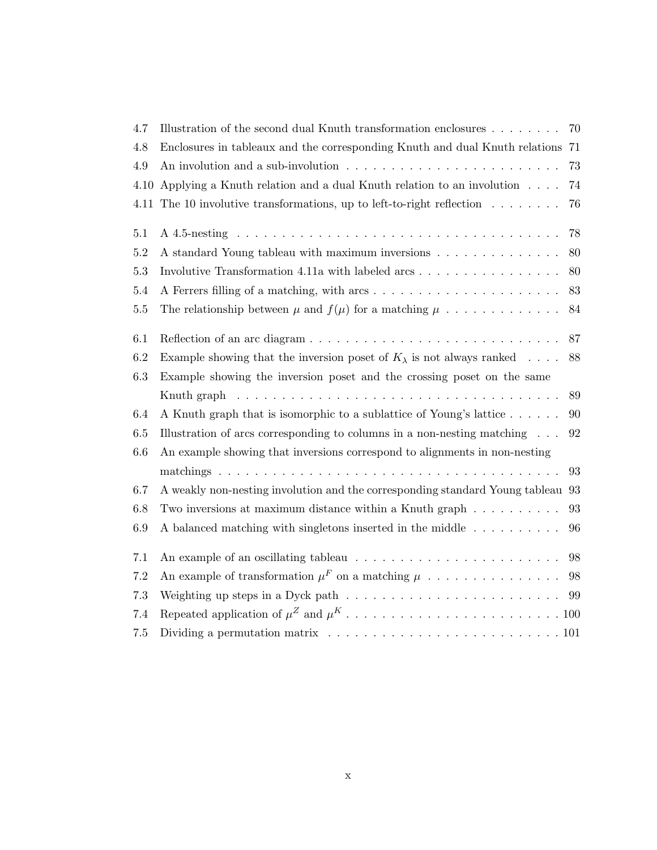| 4.7     | Illustration of the second dual Knuth transformation enclosures                                                   | 70 |
|---------|-------------------------------------------------------------------------------------------------------------------|----|
| 4.8     | Enclosures in tableaux and the corresponding Knuth and dual Knuth relations 71                                    |    |
| 4.9     | An involution and a sub-involution $\ldots$ , , , , , ,                                                           | 73 |
| 4.10    | Applying a Knuth relation and a dual Knuth relation to an involution $\ldots$ .                                   | 74 |
| 4.11    | The 10 involutive transformations, up to left-to-right reflection $\dots \dots$                                   | 76 |
| 5.1     |                                                                                                                   | 78 |
| $5.2\,$ | A standard Young tableau with maximum inversions                                                                  | 80 |
| 5.3     |                                                                                                                   | 80 |
| $5.4\,$ |                                                                                                                   | 83 |
| $5.5\,$ | The relationship between $\mu$ and $f(\mu)$ for a matching $\mu$                                                  | 84 |
| 6.1     |                                                                                                                   | 87 |
| 6.2     | Example showing that the inversion poset of $K_{\lambda}$ is not always ranked                                    | 88 |
| 6.3     | Example showing the inversion poset and the crossing poset on the same                                            |    |
|         | Knuth graph $\ldots \ldots \ldots \ldots \ldots \ldots \ldots \ldots \ldots \ldots \ldots \ldots$                 | 89 |
| 6.4     | A Knuth graph that is isomorphic to a sublattice of Young's lattice                                               | 90 |
| 6.5     | Illustration of arcs corresponding to columns in a non-nesting matching $\ldots$                                  | 92 |
| $6.6\,$ | An example showing that inversions correspond to alignments in non-nesting                                        |    |
|         |                                                                                                                   | 93 |
| 6.7     | A weakly non-nesting involution and the corresponding standard Young tableau 93                                   |    |
| $6.8\,$ | Two inversions at maximum distance within a Knuth graph $\ldots \ldots \ldots$                                    | 93 |
| $6.9\,$ | A balanced matching with singletons inserted in the middle $\dots \dots \dots$                                    | 96 |
| 7.1     |                                                                                                                   | 98 |
| $7.2\,$ | An example of transformation $\mu^F$ on a matching $\mu$                                                          | 98 |
| 7.3     | Weighting up steps in a Dyck path $\ldots \ldots \ldots \ldots \ldots \ldots \ldots \ldots \ldots$ 99             |    |
| 7.4     |                                                                                                                   |    |
| $7.5\,$ | Dividing a permutation matrix $\dots \dots \dots \dots \dots \dots \dots \dots \dots \dots \dots \dots \dots 101$ |    |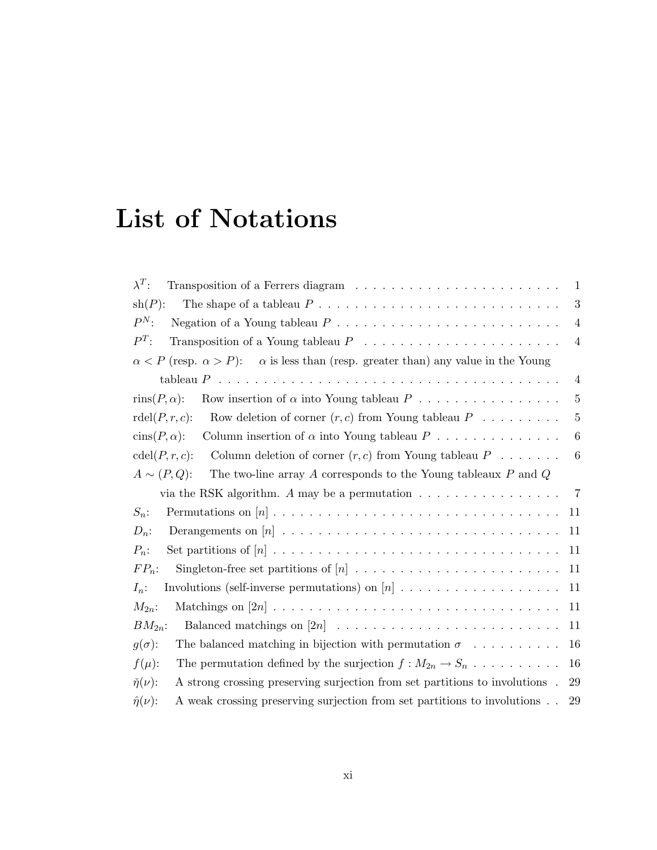# List of Notations

| $\lambda^T$ :                                                                                              | $\mathbf{1}$     |
|------------------------------------------------------------------------------------------------------------|------------------|
| $\sh(P)$ :                                                                                                 | 3                |
| $P^N$ :<br>Negation of a Young tableau $P \ldots \ldots \ldots \ldots \ldots \ldots \ldots \ldots \ldots$  | $\overline{4}$   |
| $P^T$ :                                                                                                    | $\overline{4}$   |
| $\alpha$ is less than (resp. greater than) any value in the Young<br>$\alpha < P$ (resp. $\alpha > P$ ):   |                  |
|                                                                                                            | $\overline{4}$   |
| Row insertion of $\alpha$ into Young tableau $P$<br>$\text{rins}(P, \alpha)$ :                             | 5                |
| Row deletion of corner $(r, c)$ from Young tableau $P \dots \dots \dots$<br>rdel(P,r,c):                   | 5                |
| Column insertion of $\alpha$ into Young tableau $P$<br>$\operatorname{cins}(P,\alpha)$ :                   | 6                |
| $\operatorname{cdel}(P,r,c)$ :<br>Column deletion of corner $(r, c)$ from Young tableau $P \dots \dots$    | $\boldsymbol{6}$ |
| $A \sim (P,Q)$ :<br>The two-line array A corresponds to the Young tableaux $P$ and $Q$                     |                  |
| via the RSK algorithm. A may be a permutation $\dots \dots \dots \dots \dots$                              | $\overline{7}$   |
| $S_n$ :<br>11                                                                                              |                  |
| $D_n$ :<br>11                                                                                              |                  |
| $P_n$ :<br>11                                                                                              |                  |
| $FP_n$ :<br>11                                                                                             |                  |
| 11<br>$I_n$ :                                                                                              |                  |
| $M_{2n}$ :<br>11                                                                                           |                  |
| $BM_{2n}$ :<br>11                                                                                          |                  |
| $g(\sigma)$ :<br>The balanced matching in bijection with permutation $\sigma$<br>16                        |                  |
| 16<br>The permutation defined by the surjection $f: M_{2n} \to S_n$<br>$f(\mu)$ :                          |                  |
| $\check{\eta}(\nu)$ :<br>A strong crossing preserving surjection from set partitions to involutions.<br>29 |                  |
| $\hat{\eta}(\nu)$ :<br>A weak crossing preserving surjection from set partitions to involutions<br>29      |                  |
|                                                                                                            |                  |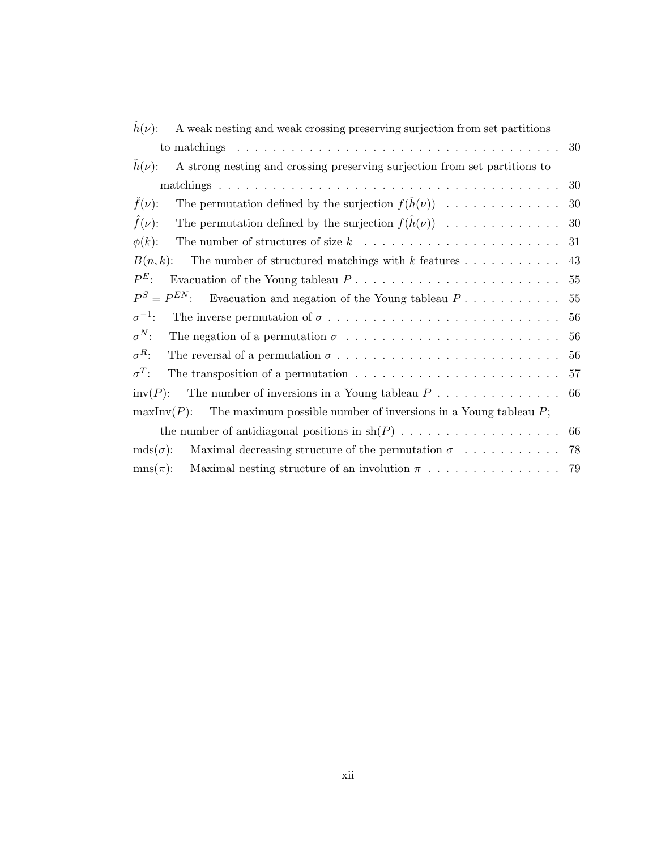| $h(\nu)$ :<br>A weak nesting and weak crossing preserving surjection from set partitions             |    |
|------------------------------------------------------------------------------------------------------|----|
|                                                                                                      | 30 |
| $h(\nu)$ :<br>A strong nesting and crossing preserving surjection from set partitions to             |    |
|                                                                                                      | 30 |
| $f(\nu)$ :<br>The permutation defined by the surjection $f(h(\nu))$                                  | 30 |
| The permutation defined by the surjection $f(\hat{h}(\nu))$<br>$\ddot{f}(\nu)$ :                     | 30 |
| $\phi(k)$ :                                                                                          | 31 |
| $B(n,k)$ :<br>The number of structured matchings with $k$ features                                   | 43 |
| $P^E$ :                                                                                              | 55 |
| $P^S = P^{EN}$<br>Evacuation and negation of the Young tableau $P_1, \ldots, \ldots, \ldots$         | 55 |
| $\sigma^{-1}$ :                                                                                      | 56 |
| $\sigma^N$ :                                                                                         | 56 |
| $\sigma^R$ :                                                                                         | 56 |
| $\sigma^T$ :<br>The transposition of a permutation $\dots \dots \dots \dots \dots \dots \dots \dots$ | 57 |
| $inv(P)$ :                                                                                           |    |
| The maximum possible number of inversions in a Young tableau $P$ ;<br>$\max\text{Inv}(P)$ :          |    |
|                                                                                                      |    |
| $mds(\sigma)$ :                                                                                      |    |
| $\text{mns}(\pi)$ :<br>Maximal nesting structure of an involution $\pi$                              | 79 |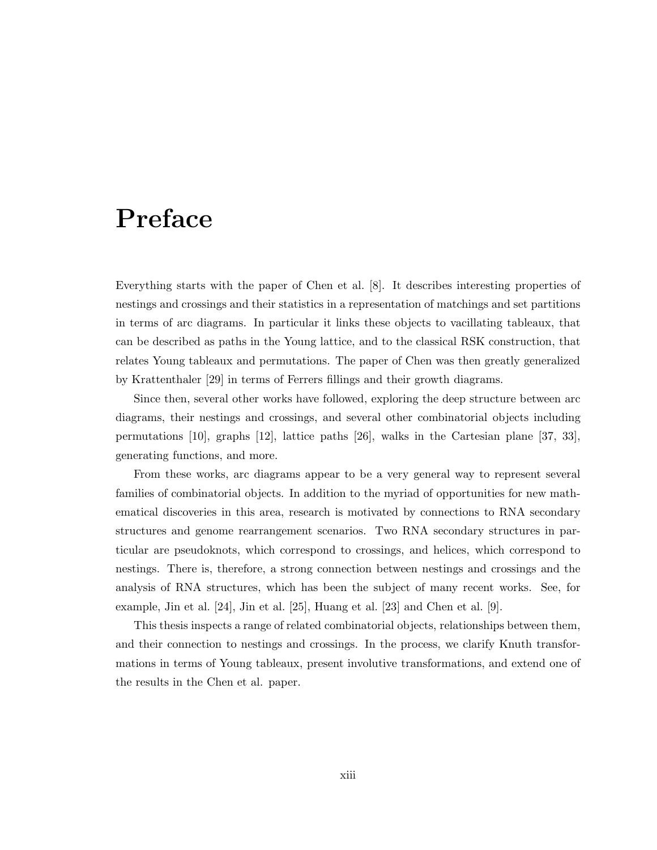### Preface

Everything starts with the paper of Chen et al. [8]. It describes interesting properties of nestings and crossings and their statistics in a representation of matchings and set partitions in terms of arc diagrams. In particular it links these objects to vacillating tableaux, that can be described as paths in the Young lattice, and to the classical RSK construction, that relates Young tableaux and permutations. The paper of Chen was then greatly generalized by Krattenthaler [29] in terms of Ferrers fillings and their growth diagrams.

Since then, several other works have followed, exploring the deep structure between arc diagrams, their nestings and crossings, and several other combinatorial objects including permutations [10], graphs [12], lattice paths [26], walks in the Cartesian plane [37, 33], generating functions, and more.

From these works, arc diagrams appear to be a very general way to represent several families of combinatorial objects. In addition to the myriad of opportunities for new mathematical discoveries in this area, research is motivated by connections to RNA secondary structures and genome rearrangement scenarios. Two RNA secondary structures in particular are pseudoknots, which correspond to crossings, and helices, which correspond to nestings. There is, therefore, a strong connection between nestings and crossings and the analysis of RNA structures, which has been the subject of many recent works. See, for example, Jin et al.  $[24]$ , Jin et al.  $[25]$ , Huang et al.  $[23]$  and Chen et al.  $[9]$ .

This thesis inspects a range of related combinatorial objects, relationships between them, and their connection to nestings and crossings. In the process, we clarify Knuth transformations in terms of Young tableaux, present involutive transformations, and extend one of the results in the Chen et al. paper.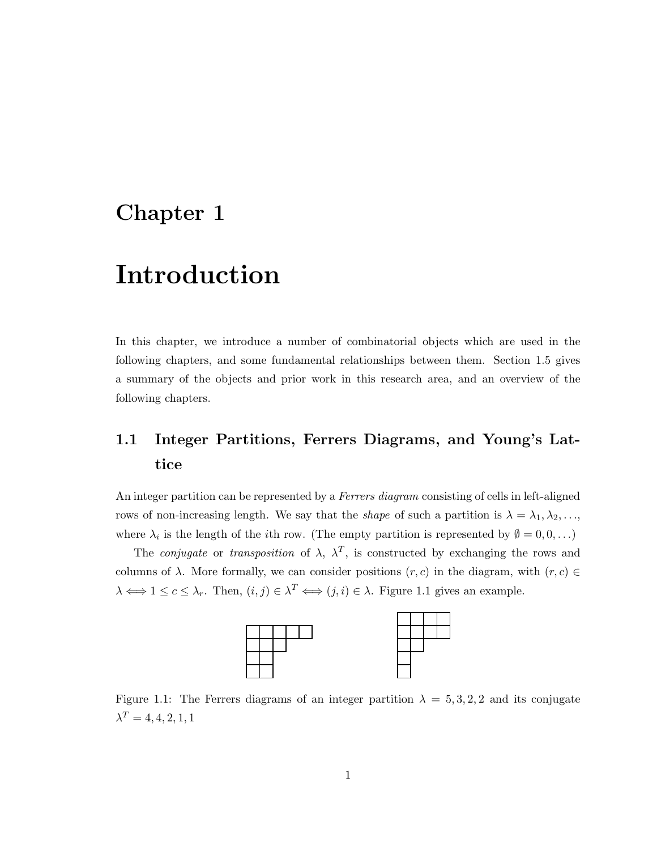### Chapter 1

### Introduction

In this chapter, we introduce a number of combinatorial objects which are used in the following chapters, and some fundamental relationships between them. Section 1.5 gives a summary of the objects and prior work in this research area, and an overview of the following chapters.

### 1.1 Integer Partitions, Ferrers Diagrams, and Young's Lattice

An integer partition can be represented by a *Ferrers diagram* consisting of cells in left-aligned rows of non-increasing length. We say that the *shape* of such a partition is  $\lambda = \lambda_1, \lambda_2, \ldots$ , where  $\lambda_i$  is the length of the *i*th row. (The empty partition is represented by  $\emptyset = 0, 0, \ldots$ )

The *conjugate* or *transposition* of  $\lambda$ ,  $\lambda^T$ , is constructed by exchanging the rows and columns of  $\lambda$ . More formally, we can consider positions  $(r, c)$  in the diagram, with  $(r, c) \in$  $\lambda \Longleftrightarrow 1 \leq c \leq \lambda_r$ . Then,  $(i, j) \in \lambda^T \Longleftrightarrow (j, i) \in \lambda$ . Figure 1.1 gives an example.



Figure 1.1: The Ferrers diagrams of an integer partition  $\lambda = 5, 3, 2, 2$  and its conjugate  $\lambda^T = 4, 4, 2, 1, 1$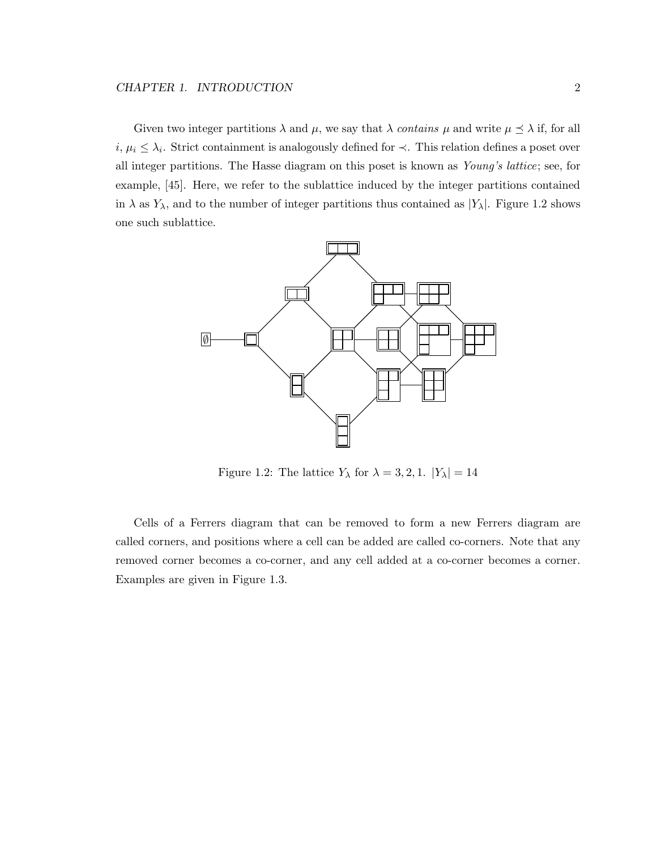Given two integer partitions  $\lambda$  and  $\mu$ , we say that  $\lambda$  *contains*  $\mu$  and write  $\mu \leq \lambda$  if, for all  $i, \mu_i \leq \lambda_i$ . Strict containment is analogously defined for  $\prec$ . This relation defines a poset over all integer partitions. The Hasse diagram on this poset is known as *Young's lattice*; see, for example, [45]. Here, we refer to the sublattice induced by the integer partitions contained in  $\lambda$  as  $Y_{\lambda}$ , and to the number of integer partitions thus contained as  $|Y_{\lambda}|$ . Figure 1.2 shows one such sublattice.



Figure 1.2: The lattice  $Y_{\lambda}$  for  $\lambda = 3, 2, 1$ .  $|Y_{\lambda}| = 14$ 

Cells of a Ferrers diagram that can be removed to form a new Ferrers diagram are called corners, and positions where a cell can be added are called co-corners. Note that any removed corner becomes a co-corner, and any cell added at a co-corner becomes a corner. Examples are given in Figure 1.3.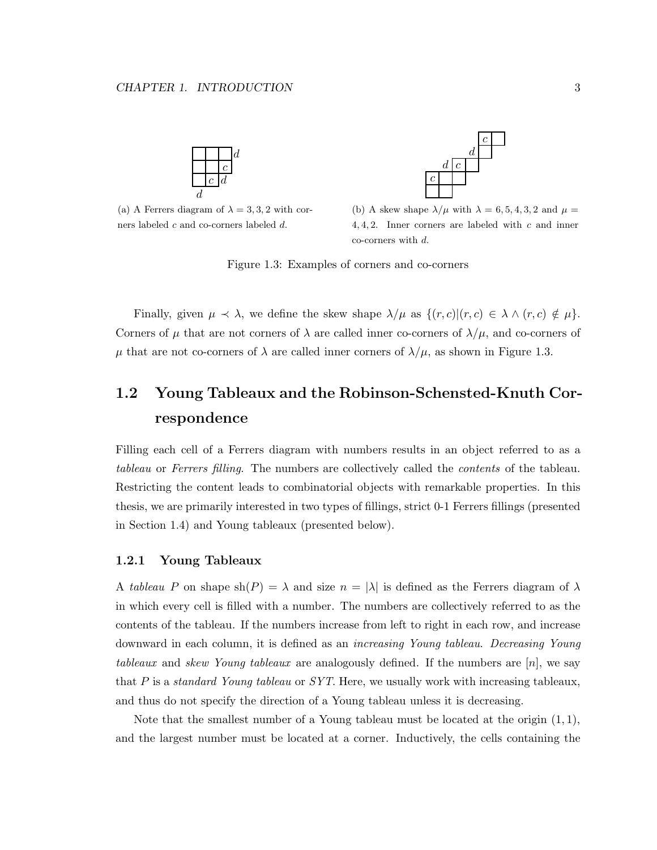

(a) A Ferrers diagram of  $\lambda = 3, 3, 2$  with corners labeled c and co-corners labeled d.



(b) A skew shape  $\lambda/\mu$  with  $\lambda = 6, 5, 4, 3, 2$  and  $\mu =$ 4, 4, 2. Inner corners are labeled with  $c$  and inner co-corners with d.

Figure 1.3: Examples of corners and co-corners

Finally, given  $\mu \prec \lambda$ , we define the skew shape  $\lambda/\mu$  as  $\{(r, c) | (r, c) \in \lambda \wedge (r, c) \notin \mu\}.$ Corners of  $\mu$  that are not corners of  $\lambda$  are called inner co-corners of  $\lambda/\mu$ , and co-corners of  $\mu$  that are not co-corners of  $\lambda$  are called inner corners of  $\lambda/\mu$ , as shown in Figure 1.3.

### 1.2 Young Tableaux and the Robinson-Schensted-Knuth Correspondence

Filling each cell of a Ferrers diagram with numbers results in an object referred to as a *tableau* or *Ferrers filling*. The numbers are collectively called the *contents* of the tableau. Restricting the content leads to combinatorial objects with remarkable properties. In this thesis, we are primarily interested in two types of fillings, strict 0-1 Ferrers fillings (presented in Section 1.4) and Young tableaux (presented below).

#### 1.2.1 Young Tableaux

A *tableau* P on shape  $\text{sh}(P) = \lambda$  and size  $n = |\lambda|$  is defined as the Ferrers diagram of  $\lambda$ in which every cell is filled with a number. The numbers are collectively referred to as the contents of the tableau. If the numbers increase from left to right in each row, and increase downward in each column, it is defined as an *increasing Young tableau*. *Decreasing Young tableaux* and *skew Young tableaux* are analogously defined. If the numbers are [n], we say that P is a *standard Young tableau* or *SYT*. Here, we usually work with increasing tableaux, and thus do not specify the direction of a Young tableau unless it is decreasing.

Note that the smallest number of a Young tableau must be located at the origin  $(1, 1)$ , and the largest number must be located at a corner. Inductively, the cells containing the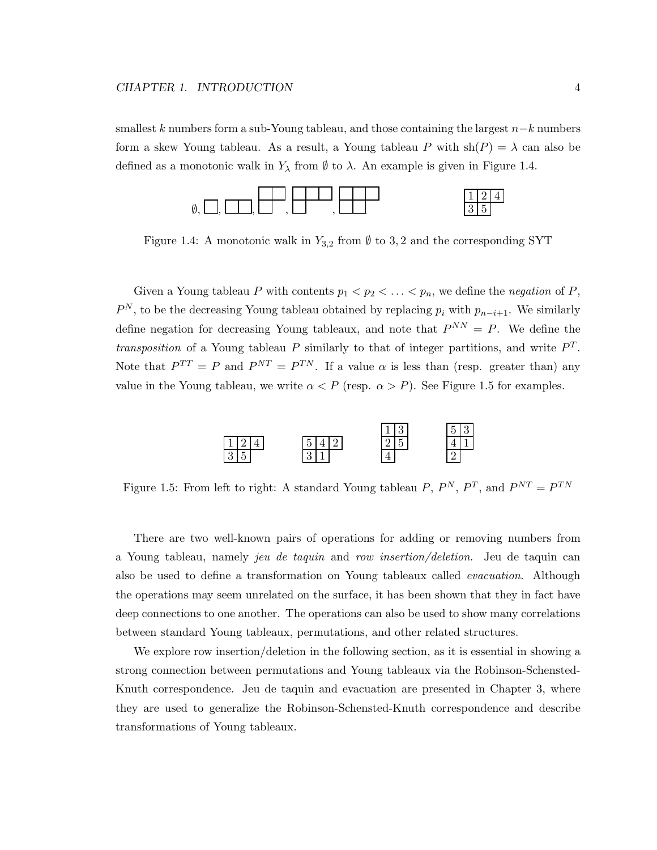smallest k numbers form a sub-Young tableau, and those containing the largest  $n-k$  numbers form a skew Young tableau. As a result, a Young tableau P with  $\text{sh}(P) = \lambda$  can also be defined as a monotonic walk in  $Y_{\lambda}$  from  $\emptyset$  to  $\lambda$ . An example is given in Figure 1.4.



Figure 1.4: A monotonic walk in  $Y_{3,2}$  from  $\emptyset$  to 3, 2 and the corresponding SYT

Given a Young tableau P with contents  $p_1 < p_2 < \ldots < p_n$ , we define the *negation* of P,  $P^N$ , to be the decreasing Young tableau obtained by replacing  $p_i$  with  $p_{n-i+1}$ . We similarly define negation for decreasing Young tableaux, and note that  $P^{NN} = P$ . We define the *transposition* of a Young tableau P similarly to that of integer partitions, and write  $P<sup>T</sup>$ . Note that  $P^{TT} = P$  and  $P^{NT} = P^{TN}$ . If a value  $\alpha$  is less than (resp. greater than) any value in the Young tableau, we write  $\alpha < P$  (resp.  $\alpha > P$ ). See Figure 1.5 for examples.



Figure 1.5: From left to right: A standard Young tableau  $P, P^N, P^T$ , and  $P^{NT} = P^{TN}$ 

There are two well-known pairs of operations for adding or removing numbers from a Young tableau, namely *jeu de taquin* and *row insertion/deletion*. Jeu de taquin can also be used to define a transformation on Young tableaux called *evacuation*. Although the operations may seem unrelated on the surface, it has been shown that they in fact have deep connections to one another. The operations can also be used to show many correlations between standard Young tableaux, permutations, and other related structures.

We explore row insertion/deletion in the following section, as it is essential in showing a strong connection between permutations and Young tableaux via the Robinson-Schensted-Knuth correspondence. Jeu de taquin and evacuation are presented in Chapter 3, where they are used to generalize the Robinson-Schensted-Knuth correspondence and describe transformations of Young tableaux.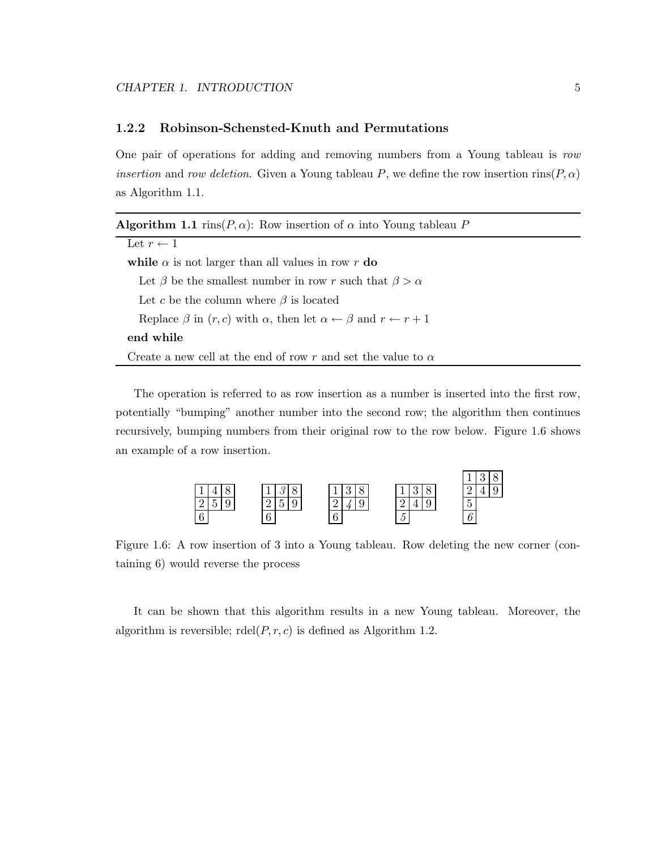#### 1.2.2 Robinson-Schensted-Knuth and Permutations

One pair of operations for adding and removing numbers from a Young tableau is *row insertion* and *row deletion*. Given a Young tableau P, we define the row insertion rins( $P, \alpha$ ) as Algorithm 1.1.

| <b>Algorithm 1.1</b> rins( $P, \alpha$ ): Row insertion of $\alpha$ into Young tableau P                |  |  |  |  |  |
|---------------------------------------------------------------------------------------------------------|--|--|--|--|--|
| Let $r \leftarrow 1$                                                                                    |  |  |  |  |  |
| while $\alpha$ is not larger than all values in row r do                                                |  |  |  |  |  |
| Let $\beta$ be the smallest number in row r such that $\beta > \alpha$                                  |  |  |  |  |  |
| Let c be the column where $\beta$ is located                                                            |  |  |  |  |  |
| Replace $\beta$ in $(r, c)$ with $\alpha$ , then let $\alpha \leftarrow \beta$ and $r \leftarrow r + 1$ |  |  |  |  |  |
| end while                                                                                               |  |  |  |  |  |
| Create a new cell at the end of row r and set the value to $\alpha$                                     |  |  |  |  |  |

The operation is referred to as row insertion as a number is inserted into the first row, potentially "bumping" another number into the second row; the algorithm then continues recursively, bumping numbers from their original row to the row below. Figure 1.6 shows an example of a row insertion.



Figure 1.6: A row insertion of 3 into a Young tableau. Row deleting the new corner (containing 6) would reverse the process

It can be shown that this algorithm results in a new Young tableau. Moreover, the algorithm is reversible;  $\text{rdel}(P, r, c)$  is defined as Algorithm 1.2.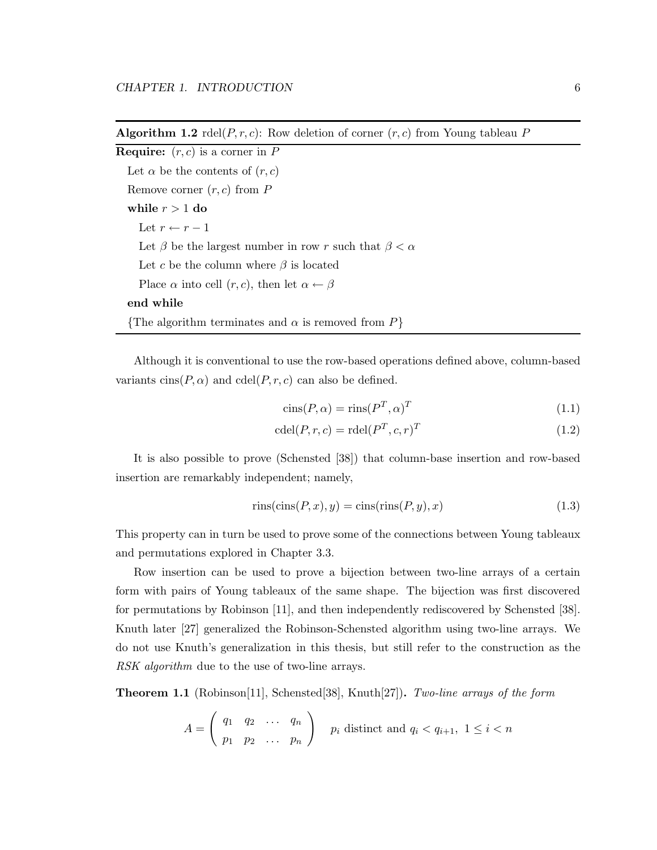**Algorithm 1.2** rdel( $P, r, c$ ): Row deletion of corner  $(r, c)$  from Young tableau P

**Require:**  $(r, c)$  is a corner in  $P$ Let  $\alpha$  be the contents of  $(r, c)$ Remove corner  $(r, c)$  from P while  $r > 1$  do Let  $r \leftarrow r - 1$ Let  $\beta$  be the largest number in row r such that  $\beta < \alpha$ Let c be the column where  $\beta$  is located Place  $\alpha$  into cell  $(r, c)$ , then let  $\alpha \leftarrow \beta$ end while {The algorithm terminates and  $\alpha$  is removed from  $P$ }

Although it is conventional to use the row-based operations defined above, column-based variants  $\text{cins}(P, \alpha)$  and  $\text{cdel}(P, r, c)$  can also be defined.

$$
\text{cins}(P, \alpha) = \text{rins}(P^T, \alpha)^T \tag{1.1}
$$

$$
\operatorname{cdel}(P, r, c) = \operatorname{rdel}(P^T, c, r)^T \tag{1.2}
$$

It is also possible to prove (Schensted [38]) that column-base insertion and row-based insertion are remarkably independent; namely,

$$
rins(cins(P, x), y) = cins(rins(P, y), x)
$$
\n(1.3)

This property can in turn be used to prove some of the connections between Young tableaux and permutations explored in Chapter 3.3.

Row insertion can be used to prove a bijection between two-line arrays of a certain form with pairs of Young tableaux of the same shape. The bijection was first discovered for permutations by Robinson [11], and then independently rediscovered by Schensted [38]. Knuth later [27] generalized the Robinson-Schensted algorithm using two-line arrays. We do not use Knuth's generalization in this thesis, but still refer to the construction as the *RSK algorithm* due to the use of two-line arrays.

Theorem 1.1 (Robinson[11], Schensted[38], Knuth[27]). *Two-line arrays of the form*

$$
A = \left(\begin{array}{cccc} q_1 & q_2 & \dots & q_n \\ p_1 & p_2 & \dots & p_n \end{array}\right) \quad p_i \text{ distinct and } q_i < q_{i+1}, \ 1 \leq i < n
$$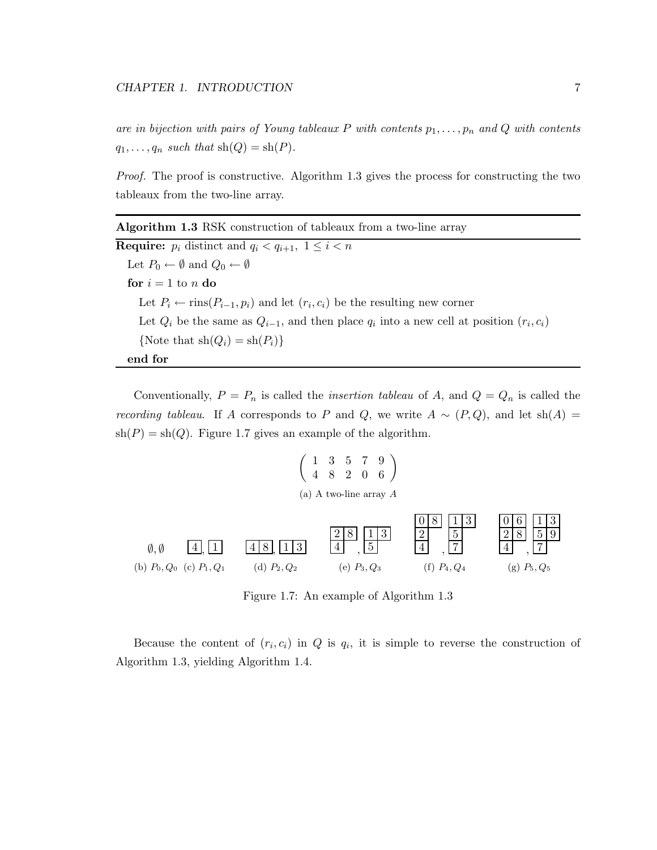*are in bijection with pairs of Young tableaux*  $P$  *with contents*  $p_1, \ldots, p_n$  *and*  $Q$  *with contents*  $q_1, \ldots, q_n$  such that  $\text{sh}(Q) = \text{sh}(P)$ .

*Proof.* The proof is constructive. Algorithm 1.3 gives the process for constructing the two tableaux from the two-line array.

| <b>Algorithm 1.3</b> RSK construction of tableaux from a two-line array                            |
|----------------------------------------------------------------------------------------------------|
| <b>Require:</b> $p_i$ distinct and $q_i < q_{i+1}$ , $1 \leq i < n$                                |
| Let $P_0 \leftarrow \emptyset$ and $Q_0 \leftarrow \emptyset$                                      |
| for $i = 1$ to n do                                                                                |
| Let $P_i \leftarrow \text{rins}(P_{i-1}, p_i)$ and let $(r_i, c_i)$ be the resulting new corner    |
| Let $Q_i$ be the same as $Q_{i-1}$ , and then place $q_i$ into a new cell at position $(r_i, c_i)$ |
| {Note that $\text{sh}(Q_i) = \text{sh}(P_i)$ }                                                     |
| end for                                                                                            |

Conventionally,  $P = P_n$  is called the *insertion tableau* of A, and  $Q = Q_n$  is called the *recording tableau*. If A corresponds to P and Q, we write  $A \sim (P, Q)$ , and let sh(A) =  $sh(P) = sh(Q)$ . Figure 1.7 gives an example of the algorithm.

$$
\left(\begin{array}{ccc} 1 & 3 & 5 & 7 & 9 \\ 4 & 8 & 2 & 0 & 6 \end{array}\right)
$$
  
(a) A two-line array A



Figure 1.7: An example of Algorithm 1.3

Because the content of  $(r_i, c_i)$  in Q is  $q_i$ , it is simple to reverse the construction of Algorithm 1.3, yielding Algorithm 1.4.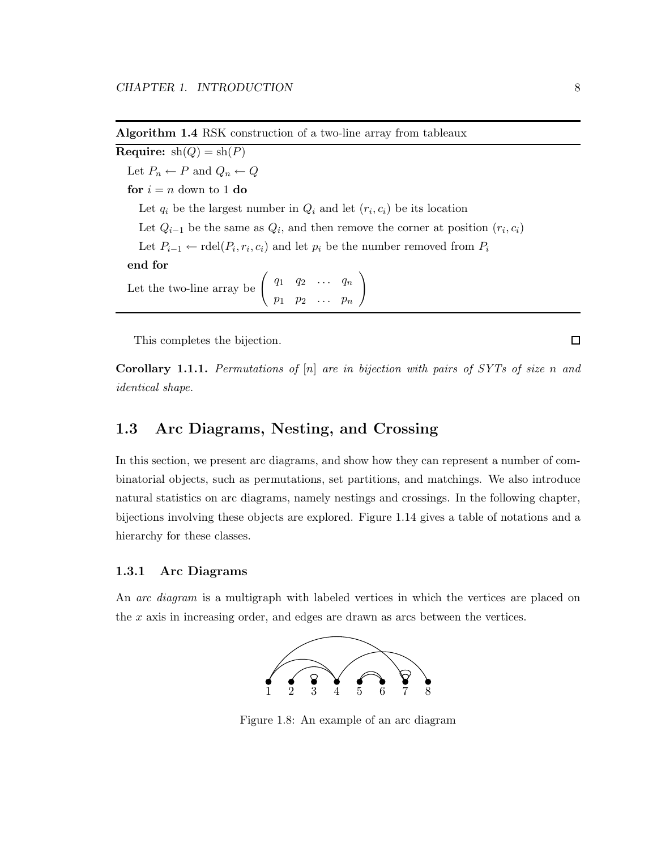Algorithm 1.4 RSK construction of a two-line array from tableaux

**Require:**  $sh(Q) = sh(P)$ Let  $P_n \leftarrow P$  and  $Q_n \leftarrow Q$ for  $i = n$  down to 1 do Let  $q_i$  be the largest number in  $Q_i$  and let  $(r_i, c_i)$  be its location Let  $Q_{i-1}$  be the same as  $Q_i$ , and then remove the corner at position  $(r_i, c_i)$ Let  $P_{i-1} \leftarrow \text{rdel}(P_i, r_i, c_i)$  and let  $p_i$  be the number removed from  $P_i$ end for Let the two-line array be  $\left( \begin{array}{cccc} q_1 & q_2 & \ldots & q_n \end{array} \right)$  $p_1$   $p_2$  ...  $p_n$  $\setminus$ 

This completes the bijection.

Corollary 1.1.1. *Permutations of* [n] *are in bijection with pairs of SYTs of size* n *and identical shape.*

#### 1.3 Arc Diagrams, Nesting, and Crossing

In this section, we present arc diagrams, and show how they can represent a number of combinatorial objects, such as permutations, set partitions, and matchings. We also introduce natural statistics on arc diagrams, namely nestings and crossings. In the following chapter, bijections involving these objects are explored. Figure 1.14 gives a table of notations and a hierarchy for these classes.

#### 1.3.1 Arc Diagrams

An *arc diagram* is a multigraph with labeled vertices in which the vertices are placed on the x axis in increasing order, and edges are drawn as arcs between the vertices.



Figure 1.8: An example of an arc diagram

 $\Box$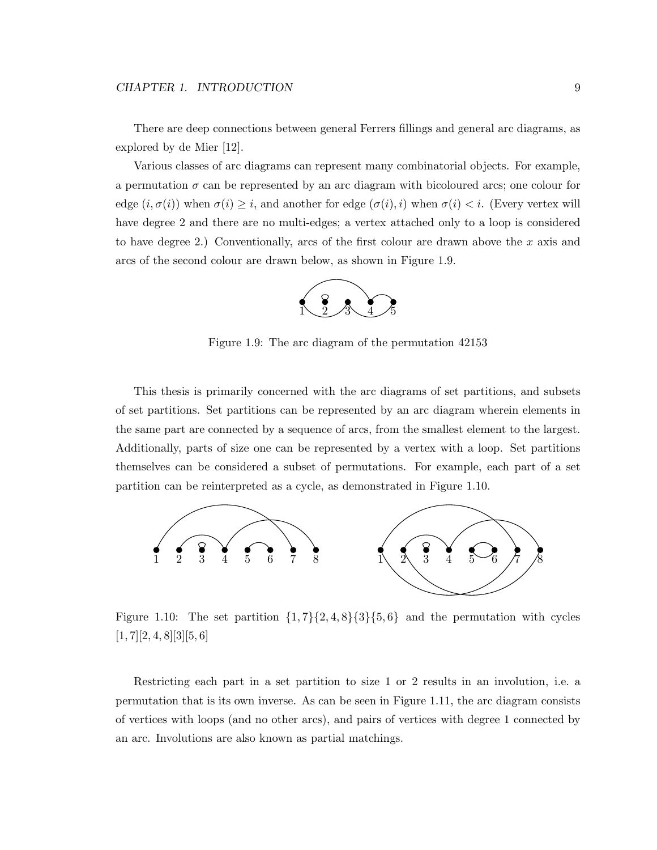There are deep connections between general Ferrers fillings and general arc diagrams, as explored by de Mier [12].

Various classes of arc diagrams can represent many combinatorial objects. For example, a permutation  $\sigma$  can be represented by an arc diagram with bicoloured arcs; one colour for edge  $(i, \sigma(i))$  when  $\sigma(i) \geq i$ , and another for edge  $(\sigma(i), i)$  when  $\sigma(i) < i$ . (Every vertex will have degree 2 and there are no multi-edges; a vertex attached only to a loop is considered to have degree 2.) Conventionally, arcs of the first colour are drawn above the x axis and arcs of the second colour are drawn below, as shown in Figure 1.9.



Figure 1.9: The arc diagram of the permutation 42153

This thesis is primarily concerned with the arc diagrams of set partitions, and subsets of set partitions. Set partitions can be represented by an arc diagram wherein elements in the same part are connected by a sequence of arcs, from the smallest element to the largest. Additionally, parts of size one can be represented by a vertex with a loop. Set partitions themselves can be considered a subset of permutations. For example, each part of a set partition can be reinterpreted as a cycle, as demonstrated in Figure 1.10.



Figure 1.10: The set partition  $\{1, 7\}\{2, 4, 8\}\{3\}\{5, 6\}$  and the permutation with cycles  $[1, 7][2, 4, 8][3][5, 6]$ 

Restricting each part in a set partition to size 1 or 2 results in an involution, i.e. a permutation that is its own inverse. As can be seen in Figure 1.11, the arc diagram consists of vertices with loops (and no other arcs), and pairs of vertices with degree 1 connected by an arc. Involutions are also known as partial matchings.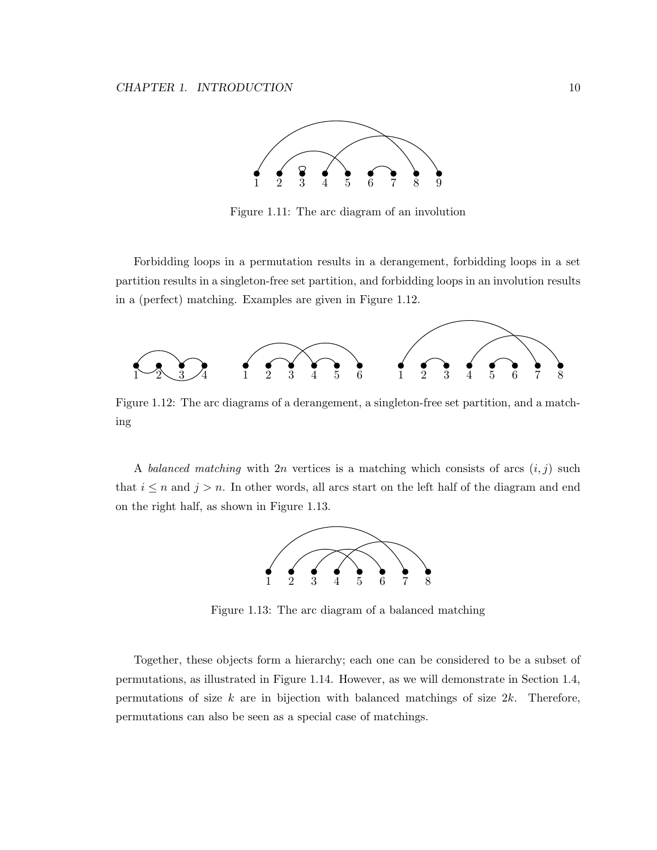

Figure 1.11: The arc diagram of an involution

Forbidding loops in a permutation results in a derangement, forbidding loops in a set partition results in a singleton-free set partition, and forbidding loops in an involution results in a (perfect) matching. Examples are given in Figure 1.12.



Figure 1.12: The arc diagrams of a derangement, a singleton-free set partition, and a matching

A *balanced matching* with  $2n$  vertices is a matching which consists of arcs  $(i, j)$  such that  $i \leq n$  and  $j > n$ . In other words, all arcs start on the left half of the diagram and end on the right half, as shown in Figure 1.13.



Figure 1.13: The arc diagram of a balanced matching

Together, these objects form a hierarchy; each one can be considered to be a subset of permutations, as illustrated in Figure 1.14. However, as we will demonstrate in Section 1.4, permutations of size  $k$  are in bijection with balanced matchings of size  $2k$ . Therefore, permutations can also be seen as a special case of matchings.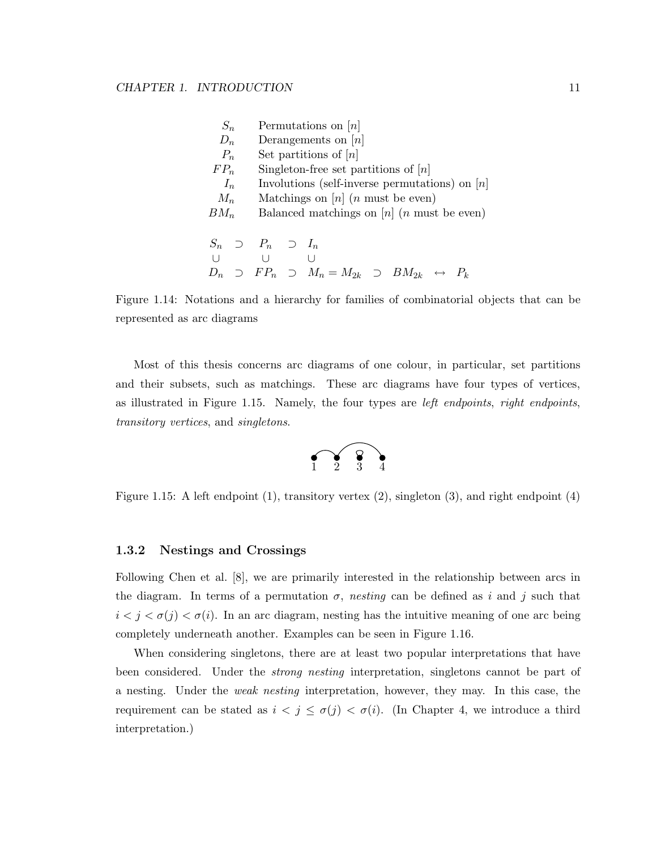| $S_n$   |  |                               |                                                  |  | Permutations on $[n]$   |  |  |                                                                                       |  |                                                      |
|---------|--|-------------------------------|--------------------------------------------------|--|-------------------------|--|--|---------------------------------------------------------------------------------------|--|------------------------------------------------------|
| $D_n$   |  |                               | Derangements on $[n]$                            |  |                         |  |  |                                                                                       |  |                                                      |
| $P_n$   |  |                               |                                                  |  | Set partitions of $[n]$ |  |  |                                                                                       |  |                                                      |
| $FP_n$  |  |                               |                                                  |  |                         |  |  | Singleton-free set partitions of $ n $                                                |  |                                                      |
| $I_n$   |  |                               | Involutions (self-inverse permutations) on $[n]$ |  |                         |  |  |                                                                                       |  |                                                      |
| $M_n$   |  |                               | Matchings on $[n]$ ( <i>n</i> must be even)      |  |                         |  |  |                                                                                       |  |                                                      |
| $BM_n$  |  |                               |                                                  |  |                         |  |  |                                                                                       |  | Balanced matchings on $[n]$ ( <i>n</i> must be even) |
|         |  |                               |                                                  |  |                         |  |  |                                                                                       |  |                                                      |
|         |  | $S_n \supset P_n \supset I_n$ |                                                  |  |                         |  |  |                                                                                       |  |                                                      |
| $\perp$ |  | $\Box$                        |                                                  |  |                         |  |  |                                                                                       |  |                                                      |
| $D_n$   |  |                               |                                                  |  |                         |  |  | $\supset$ $FP_n$ $\supset$ $M_n = M_{2k}$ $\supset$ $BM_{2k}$ $\leftrightarrow$ $P_k$ |  |                                                      |

Figure 1.14: Notations and a hierarchy for families of combinatorial objects that can be represented as arc diagrams

Most of this thesis concerns arc diagrams of one colour, in particular, set partitions and their subsets, such as matchings. These arc diagrams have four types of vertices, as illustrated in Figure 1.15. Namely, the four types are *left endpoints*, *right endpoints*, *transitory vertices*, and *singletons*.



Figure 1.15: A left endpoint (1), transitory vertex (2), singleton (3), and right endpoint (4)

#### 1.3.2 Nestings and Crossings

Following Chen et al. [8], we are primarily interested in the relationship between arcs in the diagram. In terms of a permutation  $\sigma$ , *nesting* can be defined as i and j such that  $i < j < \sigma(j) < \sigma(i)$ . In an arc diagram, nesting has the intuitive meaning of one arc being completely underneath another. Examples can be seen in Figure 1.16.

When considering singletons, there are at least two popular interpretations that have been considered. Under the *strong nesting* interpretation, singletons cannot be part of a nesting. Under the *weak nesting* interpretation, however, they may. In this case, the requirement can be stated as  $i < j \leq \sigma(j) < \sigma(i)$ . (In Chapter 4, we introduce a third interpretation.)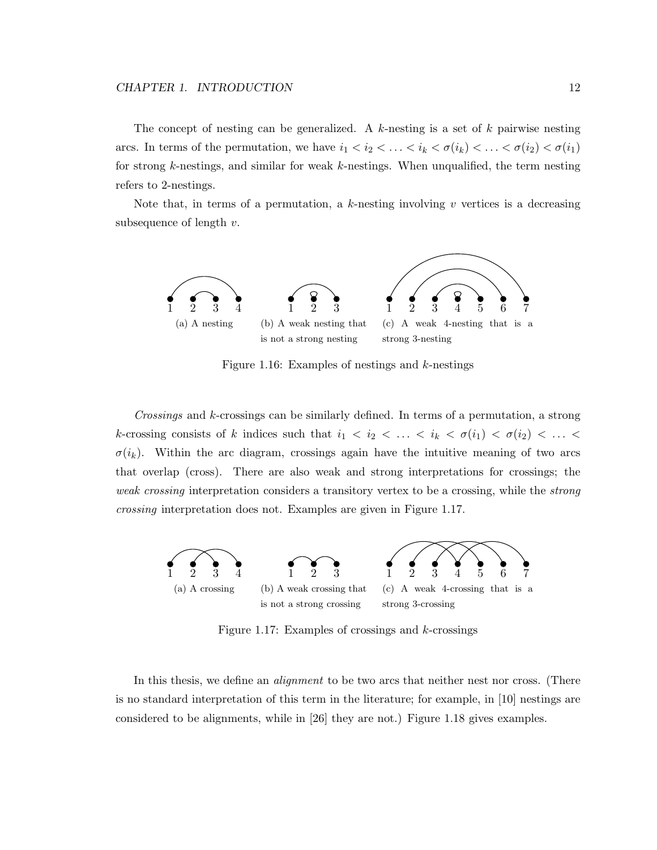The concept of nesting can be generalized. A  $k$ -nesting is a set of  $k$  pairwise nesting arcs. In terms of the permutation, we have  $i_1 < i_2 < \ldots < i_k < \sigma(i_k) < \ldots < \sigma(i_2) < \sigma(i_1)$ for strong k-nestings, and similar for weak k-nestings. When unqualified, the term nesting refers to 2-nestings.

Note that, in terms of a permutation, a k-nesting involving  $v$  vertices is a decreasing subsequence of length  $v$ .



Figure 1.16: Examples of nestings and  $k$ -nestings

*Crossings* and k-crossings can be similarly defined. In terms of a permutation, a strong k-crossing consists of k indices such that  $i_1 < i_2 < \ldots < i_k < \sigma(i_1) < \sigma(i_2) < \ldots <$  $\sigma(i_k)$ . Within the arc diagram, crossings again have the intuitive meaning of two arcs that overlap (cross). There are also weak and strong interpretations for crossings; the *weak crossing* interpretation considers a transitory vertex to be a crossing, while the *strong crossing* interpretation does not. Examples are given in Figure 1.17.



Figure 1.17: Examples of crossings and  $k$ -crossings

In this thesis, we define an *alignment* to be two arcs that neither nest nor cross. (There is no standard interpretation of this term in the literature; for example, in [10] nestings are considered to be alignments, while in [26] they are not.) Figure 1.18 gives examples.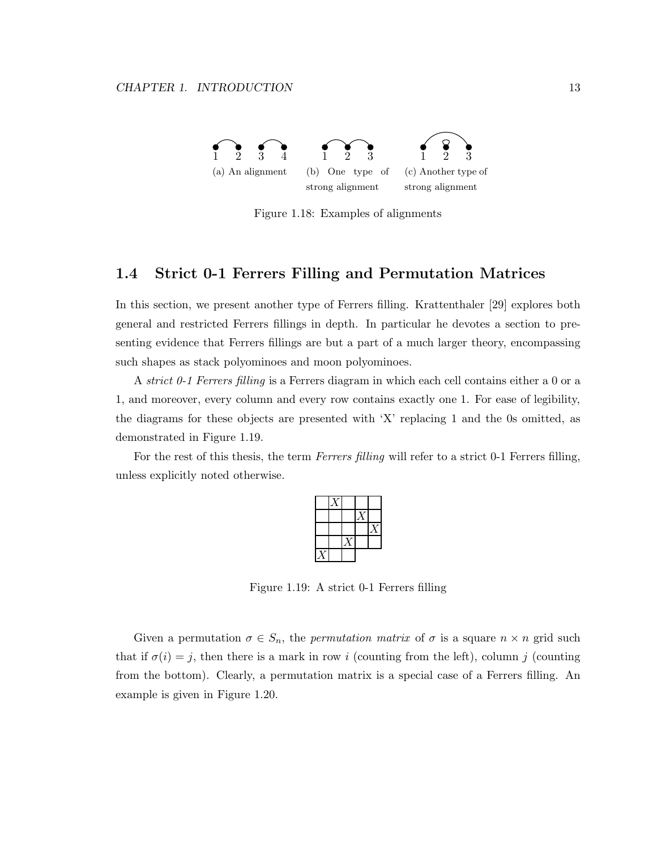

Figure 1.18: Examples of alignments

#### 1.4 Strict 0-1 Ferrers Filling and Permutation Matrices

In this section, we present another type of Ferrers filling. Krattenthaler [29] explores both general and restricted Ferrers fillings in depth. In particular he devotes a section to presenting evidence that Ferrers fillings are but a part of a much larger theory, encompassing such shapes as stack polyominoes and moon polyominoes.

A *strict 0-1 Ferrers filling* is a Ferrers diagram in which each cell contains either a 0 or a 1, and moreover, every column and every row contains exactly one 1. For ease of legibility, the diagrams for these objects are presented with 'X' replacing 1 and the 0s omitted, as demonstrated in Figure 1.19.

For the rest of this thesis, the term *Ferrers filling* will refer to a strict 0-1 Ferrers filling, unless explicitly noted otherwise.

Figure 1.19: A strict 0-1 Ferrers filling

Given a permutation  $\sigma \in S_n$ , the *permutation matrix* of  $\sigma$  is a square  $n \times n$  grid such that if  $\sigma(i) = j$ , then there is a mark in row i (counting from the left), column j (counting from the bottom). Clearly, a permutation matrix is a special case of a Ferrers filling. An example is given in Figure 1.20.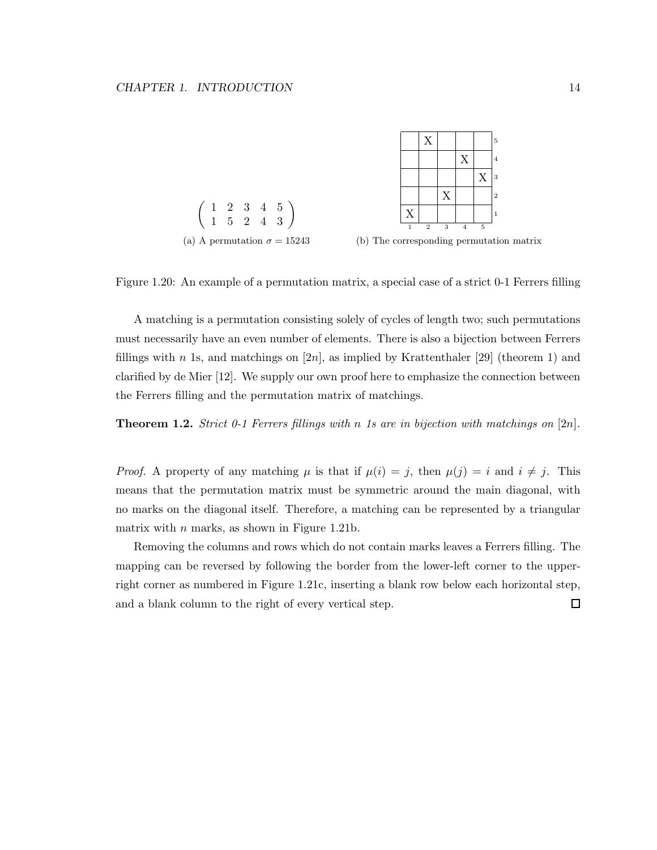



A matching is a permutation consisting solely of cycles of length two; such permutations must necessarily have an even number of elements. There is also a bijection between Ferrers fillings with n 1s, and matchings on  $[2n]$ , as implied by Krattenthaler  $[29]$  (theorem 1) and clarified by de Mier [12]. We supply our own proof here to emphasize the connection between the Ferrers filling and the permutation matrix of matchings.

Theorem 1.2. *Strict 0-1 Ferrers fillings with* n *1s are in bijection with matchings on* [2n]*.*

*Proof.* A property of any matching  $\mu$  is that if  $\mu(i) = j$ , then  $\mu(j) = i$  and  $i \neq j$ . This means that the permutation matrix must be symmetric around the main diagonal, with no marks on the diagonal itself. Therefore, a matching can be represented by a triangular matrix with  $n$  marks, as shown in Figure 1.21b.

Removing the columns and rows which do not contain marks leaves a Ferrers filling. The mapping can be reversed by following the border from the lower-left corner to the upperright corner as numbered in Figure 1.21c, inserting a blank row below each horizontal step, and a blank column to the right of every vertical step. $\Box$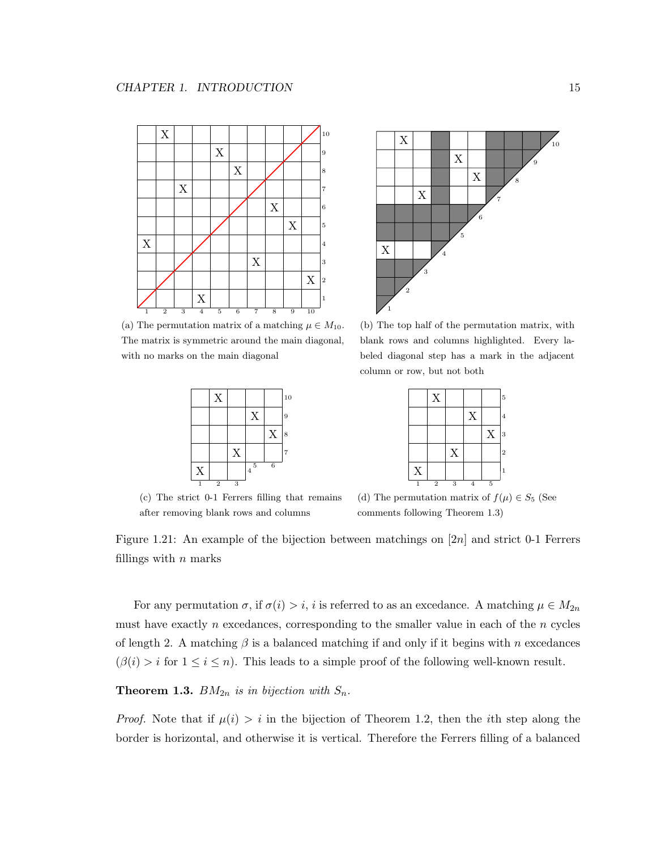

(a) The permutation matrix of a matching  $\mu \in M_{10}$ . The matrix is symmetric around the main diagonal, with no marks on the main diagonal



(c) The strict 0-1 Ferrers filling that remains after removing blank rows and columns



(b) The top half of the permutation matrix, with blank rows and columns highlighted. Every labeled diagonal step has a mark in the adjacent column or row, but not both

|   | X              |   |   |   | 5              |
|---|----------------|---|---|---|----------------|
|   |                |   | X |   | 4              |
|   |                |   |   | X | 3              |
|   |                | X |   |   | $\overline{2}$ |
| X |                |   |   |   |                |
|   | $\overline{2}$ | 3 |   | 5 |                |

(d) The permutation matrix of  $f(\mu) \in S_5$  (See comments following Theorem 1.3)

Figure 1.21: An example of the bijection between matchings on [2n] and strict 0-1 Ferrers fillings with  $n$  marks

For any permutation  $\sigma$ , if  $\sigma(i) > i$ , i is referred to as an excedance. A matching  $\mu \in M_{2n}$ must have exactly n excedances, corresponding to the smaller value in each of the n cycles of length 2. A matching  $\beta$  is a balanced matching if and only if it begins with n excedances  $(\beta(i) > i \text{ for } 1 \leq i \leq n)$ . This leads to a simple proof of the following well-known result.

#### **Theorem 1.3.**  $BM_{2n}$  *is in bijection with*  $S_n$ .

*Proof.* Note that if  $\mu(i) > i$  in the bijection of Theorem 1.2, then the *i*th step along the border is horizontal, and otherwise it is vertical. Therefore the Ferrers filling of a balanced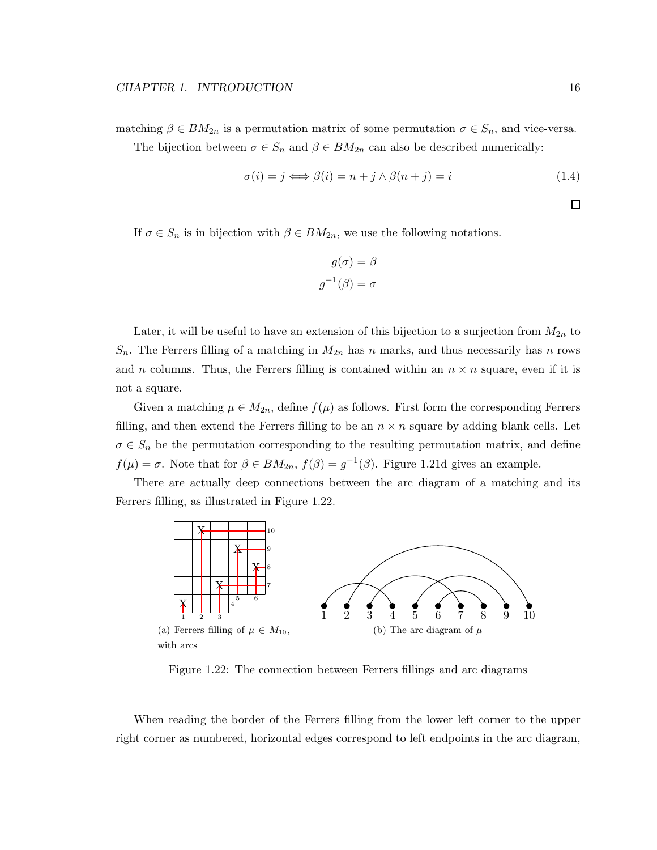matching  $\beta \in BM_{2n}$  is a permutation matrix of some permutation  $\sigma \in S_n$ , and vice-versa.

The bijection between  $\sigma \in S_n$  and  $\beta \in BM_{2n}$  can also be described numerically:

$$
\sigma(i) = j \Longleftrightarrow \beta(i) = n + j \wedge \beta(n + j) = i \tag{1.4}
$$

 $\Box$ 

If  $\sigma \in S_n$  is in bijection with  $\beta \in BM_{2n}$ , we use the following notations.

$$
g(\sigma) = \beta
$$

$$
g^{-1}(\beta) = \sigma
$$

Later, it will be useful to have an extension of this bijection to a surjection from  $M_{2n}$  to  $S_n$ . The Ferrers filling of a matching in  $M_{2n}$  has n marks, and thus necessarily has n rows and n columns. Thus, the Ferrers filling is contained within an  $n \times n$  square, even if it is not a square.

Given a matching  $\mu \in M_{2n}$ , define  $f(\mu)$  as follows. First form the corresponding Ferrers filling, and then extend the Ferrers filling to be an  $n \times n$  square by adding blank cells. Let  $\sigma \in S_n$  be the permutation corresponding to the resulting permutation matrix, and define  $f(\mu) = \sigma$ . Note that for  $\beta \in BM_{2n}$ ,  $f(\beta) = g^{-1}(\beta)$ . Figure 1.21d gives an example.

There are actually deep connections between the arc diagram of a matching and its Ferrers filling, as illustrated in Figure 1.22.



Figure 1.22: The connection between Ferrers fillings and arc diagrams

When reading the border of the Ferrers filling from the lower left corner to the upper right corner as numbered, horizontal edges correspond to left endpoints in the arc diagram,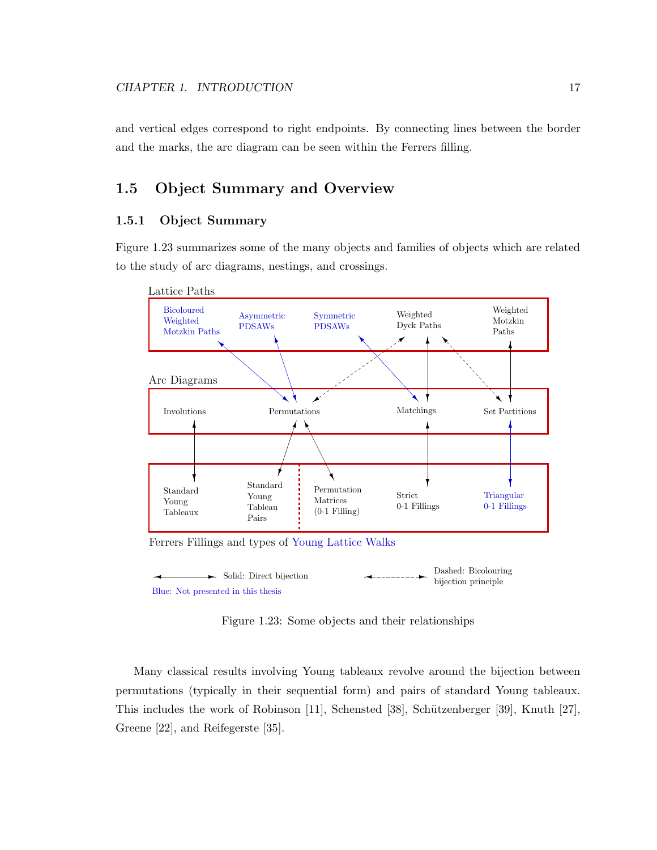and vertical edges correspond to right endpoints. By connecting lines between the border and the marks, the arc diagram can be seen within the Ferrers filling.

#### 1.5 Object Summary and Overview

#### 1.5.1 Object Summary

Figure 1.23 summarizes some of the many objects and families of objects which are related to the study of arc diagrams, nestings, and crossings.



Ferrers Fillings and types of Young Lattice Walks



Figure 1.23: Some objects and their relationships

Many classical results involving Young tableaux revolve around the bijection between permutations (typically in their sequential form) and pairs of standard Young tableaux. This includes the work of Robinson [11], Schensted [38], Schützenberger [39], Knuth [27], Greene [22], and Reifegerste [35].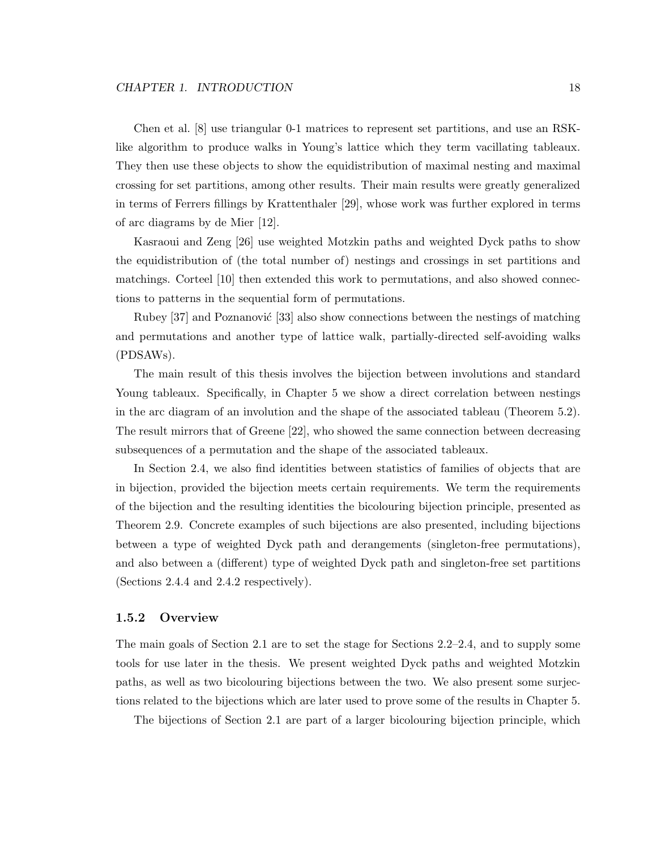Chen et al. [8] use triangular 0-1 matrices to represent set partitions, and use an RSKlike algorithm to produce walks in Young's lattice which they term vacillating tableaux. They then use these objects to show the equidistribution of maximal nesting and maximal crossing for set partitions, among other results. Their main results were greatly generalized in terms of Ferrers fillings by Krattenthaler [29], whose work was further explored in terms of arc diagrams by de Mier [12].

Kasraoui and Zeng [26] use weighted Motzkin paths and weighted Dyck paths to show the equidistribution of (the total number of) nestings and crossings in set partitions and matchings. Corteel [10] then extended this work to permutations, and also showed connections to patterns in the sequential form of permutations.

Rubey [37] and Poznanović [33] also show connections between the nestings of matching and permutations and another type of lattice walk, partially-directed self-avoiding walks (PDSAWs).

The main result of this thesis involves the bijection between involutions and standard Young tableaux. Specifically, in Chapter 5 we show a direct correlation between nestings in the arc diagram of an involution and the shape of the associated tableau (Theorem 5.2). The result mirrors that of Greene [22], who showed the same connection between decreasing subsequences of a permutation and the shape of the associated tableaux.

In Section 2.4, we also find identities between statistics of families of objects that are in bijection, provided the bijection meets certain requirements. We term the requirements of the bijection and the resulting identities the bicolouring bijection principle, presented as Theorem 2.9. Concrete examples of such bijections are also presented, including bijections between a type of weighted Dyck path and derangements (singleton-free permutations), and also between a (different) type of weighted Dyck path and singleton-free set partitions (Sections 2.4.4 and 2.4.2 respectively).

#### 1.5.2 Overview

The main goals of Section 2.1 are to set the stage for Sections 2.2–2.4, and to supply some tools for use later in the thesis. We present weighted Dyck paths and weighted Motzkin paths, as well as two bicolouring bijections between the two. We also present some surjections related to the bijections which are later used to prove some of the results in Chapter 5.

The bijections of Section 2.1 are part of a larger bicolouring bijection principle, which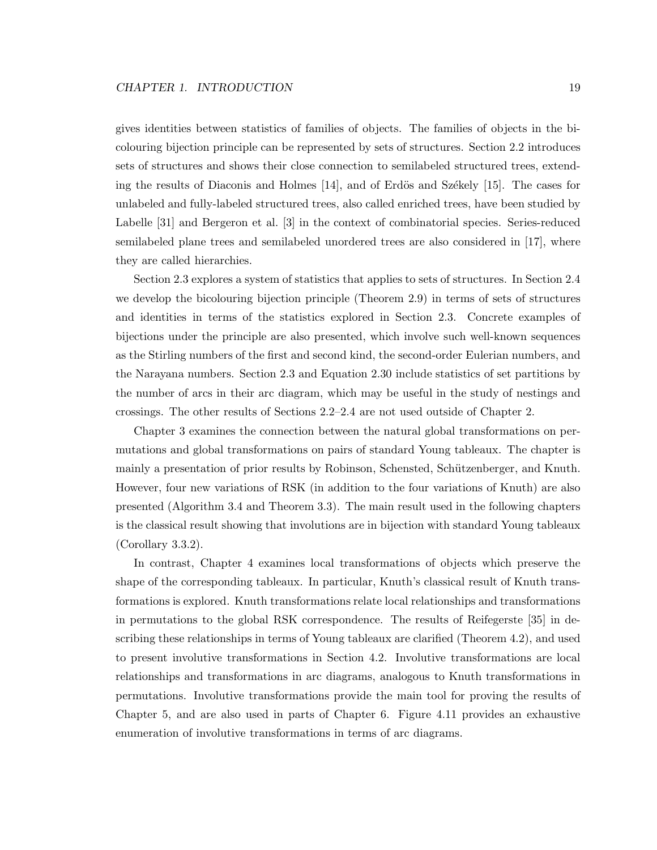gives identities between statistics of families of objects. The families of objects in the bicolouring bijection principle can be represented by sets of structures. Section 2.2 introduces sets of structures and shows their close connection to semilabeled structured trees, extending the results of Diaconis and Holmes  $[14]$ , and of Erdös and Székely  $[15]$ . The cases for unlabeled and fully-labeled structured trees, also called enriched trees, have been studied by Labelle [31] and Bergeron et al. [3] in the context of combinatorial species. Series-reduced semilabeled plane trees and semilabeled unordered trees are also considered in [17], where they are called hierarchies.

Section 2.3 explores a system of statistics that applies to sets of structures. In Section 2.4 we develop the bicolouring bijection principle (Theorem 2.9) in terms of sets of structures and identities in terms of the statistics explored in Section 2.3. Concrete examples of bijections under the principle are also presented, which involve such well-known sequences as the Stirling numbers of the first and second kind, the second-order Eulerian numbers, and the Narayana numbers. Section 2.3 and Equation 2.30 include statistics of set partitions by the number of arcs in their arc diagram, which may be useful in the study of nestings and crossings. The other results of Sections 2.2–2.4 are not used outside of Chapter 2.

Chapter 3 examines the connection between the natural global transformations on permutations and global transformations on pairs of standard Young tableaux. The chapter is mainly a presentation of prior results by Robinson, Schensted, Schützenberger, and Knuth. However, four new variations of RSK (in addition to the four variations of Knuth) are also presented (Algorithm 3.4 and Theorem 3.3). The main result used in the following chapters is the classical result showing that involutions are in bijection with standard Young tableaux (Corollary 3.3.2).

In contrast, Chapter 4 examines local transformations of objects which preserve the shape of the corresponding tableaux. In particular, Knuth's classical result of Knuth transformations is explored. Knuth transformations relate local relationships and transformations in permutations to the global RSK correspondence. The results of Reifegerste [35] in describing these relationships in terms of Young tableaux are clarified (Theorem 4.2), and used to present involutive transformations in Section 4.2. Involutive transformations are local relationships and transformations in arc diagrams, analogous to Knuth transformations in permutations. Involutive transformations provide the main tool for proving the results of Chapter 5, and are also used in parts of Chapter 6. Figure 4.11 provides an exhaustive enumeration of involutive transformations in terms of arc diagrams.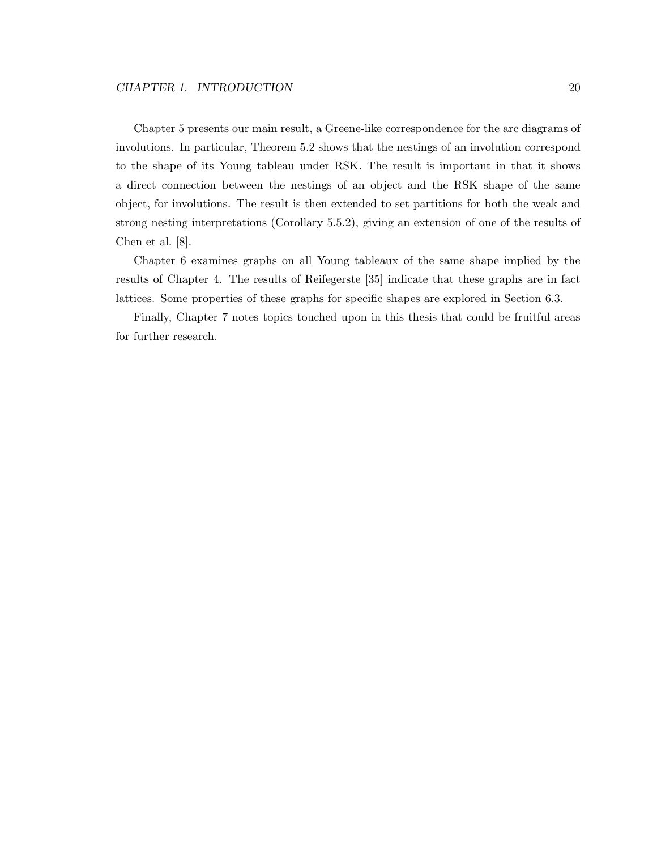Chapter 5 presents our main result, a Greene-like correspondence for the arc diagrams of involutions. In particular, Theorem 5.2 shows that the nestings of an involution correspond to the shape of its Young tableau under RSK. The result is important in that it shows a direct connection between the nestings of an object and the RSK shape of the same object, for involutions. The result is then extended to set partitions for both the weak and strong nesting interpretations (Corollary 5.5.2), giving an extension of one of the results of Chen et al. [8].

Chapter 6 examines graphs on all Young tableaux of the same shape implied by the results of Chapter 4. The results of Reifegerste [35] indicate that these graphs are in fact lattices. Some properties of these graphs for specific shapes are explored in Section 6.3.

Finally, Chapter 7 notes topics touched upon in this thesis that could be fruitful areas for further research.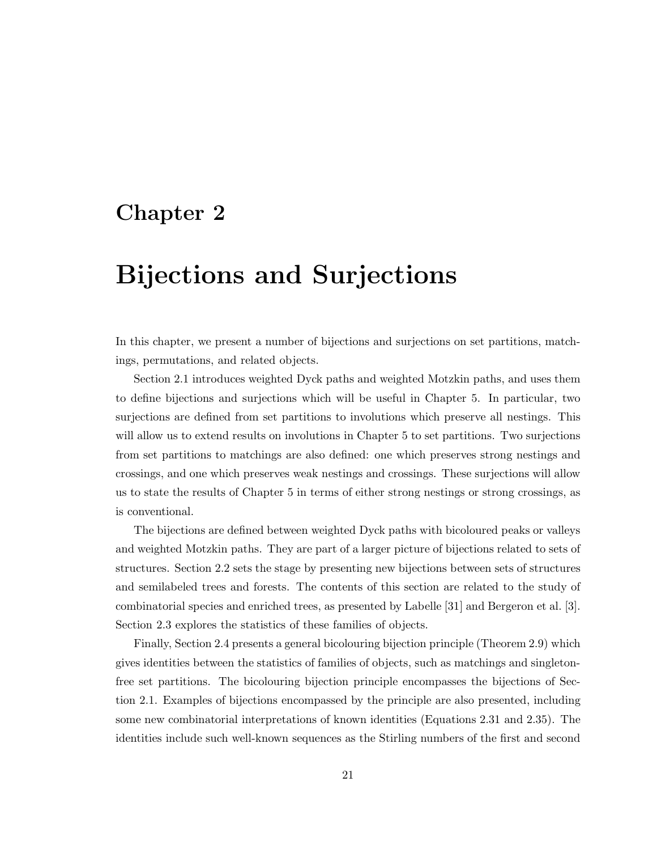### Chapter 2

## Bijections and Surjections

In this chapter, we present a number of bijections and surjections on set partitions, matchings, permutations, and related objects.

Section 2.1 introduces weighted Dyck paths and weighted Motzkin paths, and uses them to define bijections and surjections which will be useful in Chapter 5. In particular, two surjections are defined from set partitions to involutions which preserve all nestings. This will allow us to extend results on involutions in Chapter 5 to set partitions. Two surjections from set partitions to matchings are also defined: one which preserves strong nestings and crossings, and one which preserves weak nestings and crossings. These surjections will allow us to state the results of Chapter 5 in terms of either strong nestings or strong crossings, as is conventional.

The bijections are defined between weighted Dyck paths with bicoloured peaks or valleys and weighted Motzkin paths. They are part of a larger picture of bijections related to sets of structures. Section 2.2 sets the stage by presenting new bijections between sets of structures and semilabeled trees and forests. The contents of this section are related to the study of combinatorial species and enriched trees, as presented by Labelle [31] and Bergeron et al. [3]. Section 2.3 explores the statistics of these families of objects.

Finally, Section 2.4 presents a general bicolouring bijection principle (Theorem 2.9) which gives identities between the statistics of families of objects, such as matchings and singletonfree set partitions. The bicolouring bijection principle encompasses the bijections of Section 2.1. Examples of bijections encompassed by the principle are also presented, including some new combinatorial interpretations of known identities (Equations 2.31 and 2.35). The identities include such well-known sequences as the Stirling numbers of the first and second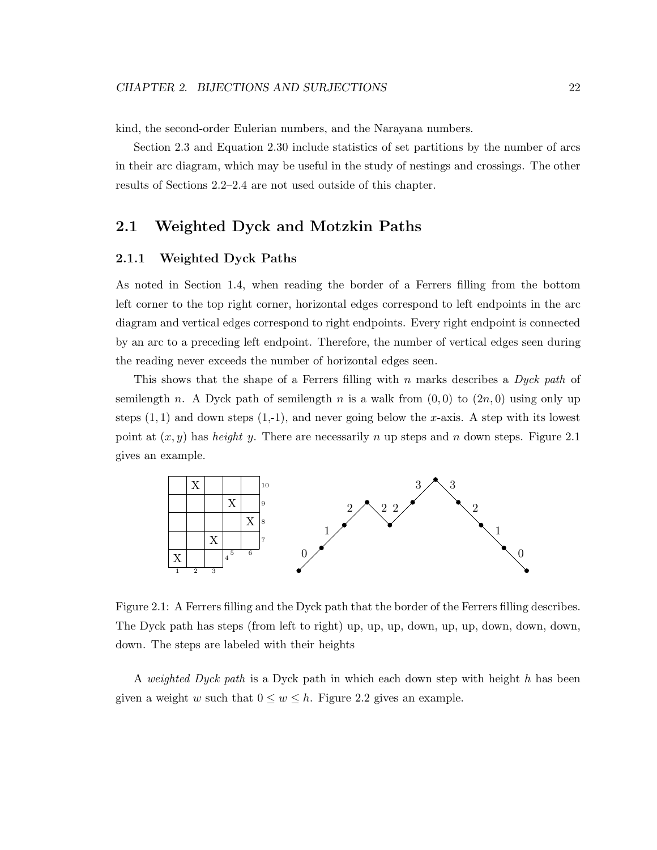kind, the second-order Eulerian numbers, and the Narayana numbers.

Section 2.3 and Equation 2.30 include statistics of set partitions by the number of arcs in their arc diagram, which may be useful in the study of nestings and crossings. The other results of Sections 2.2–2.4 are not used outside of this chapter.

### 2.1 Weighted Dyck and Motzkin Paths

#### 2.1.1 Weighted Dyck Paths

As noted in Section 1.4, when reading the border of a Ferrers filling from the bottom left corner to the top right corner, horizontal edges correspond to left endpoints in the arc diagram and vertical edges correspond to right endpoints. Every right endpoint is connected by an arc to a preceding left endpoint. Therefore, the number of vertical edges seen during the reading never exceeds the number of horizontal edges seen.

This shows that the shape of a Ferrers filling with n marks describes a *Dyck path* of semilength n. A Dyck path of semilength n is a walk from  $(0, 0)$  to  $(2n, 0)$  using only up steps  $(1, 1)$  and down steps  $(1,-1)$ , and never going below the x-axis. A step with its lowest point at  $(x, y)$  has *height* y. There are necessarily n up steps and n down steps. Figure 2.1 gives an example.



Figure 2.1: A Ferrers filling and the Dyck path that the border of the Ferrers filling describes. The Dyck path has steps (from left to right) up, up, up, down, up, up, down, down, down, down. The steps are labeled with their heights

A *weighted Dyck path* is a Dyck path in which each down step with height h has been given a weight w such that  $0 \leq w \leq h$ . Figure 2.2 gives an example.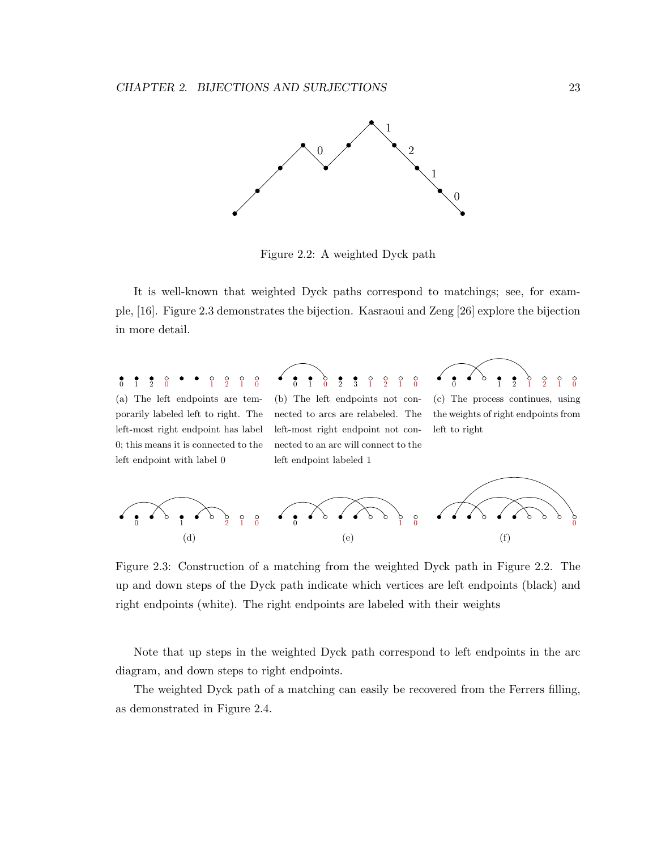

Figure 2.2: A weighted Dyck path

It is well-known that weighted Dyck paths correspond to matchings; see, for example, [16]. Figure 2.3 demonstrates the bijection. Kasraoui and Zeng [26] explore the bijection in more detail.

0 1 2 0 1 2 1 0 (a) The left endpoints are temporarily labeled left to right. The left-most right endpoint has label 0; this means it is connected to the left endpoint with label 0

0 1 0 2 3 1 2 1 0 (b) The left endpoints not connected to arcs are relabeled. The left-most right endpoint not connected to an arc will connect to the left endpoint labeled 1



(c) The process continues, using the weights of right endpoints from left to right



Figure 2.3: Construction of a matching from the weighted Dyck path in Figure 2.2. The up and down steps of the Dyck path indicate which vertices are left endpoints (black) and right endpoints (white). The right endpoints are labeled with their weights

Note that up steps in the weighted Dyck path correspond to left endpoints in the arc diagram, and down steps to right endpoints.

The weighted Dyck path of a matching can easily be recovered from the Ferrers filling, as demonstrated in Figure 2.4.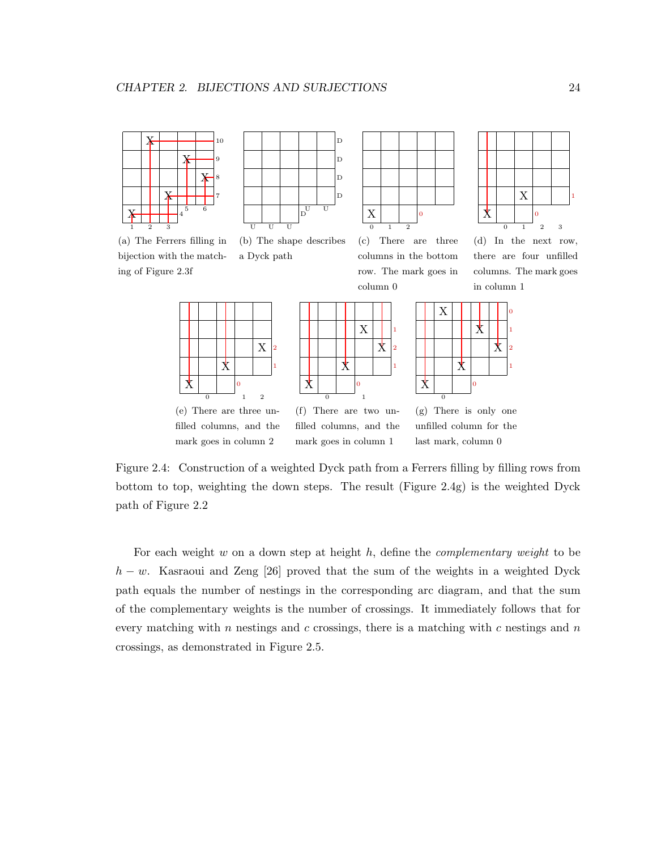

bijection with the match-

ing of Figure 2.3f



a Dyck path

(b) The shape describes



(c) There are three columns in the bottom row. The mark goes in column 0

> 1 2 1



(d) In the next row, there are four unfilled columns. The mark goes in column 1







(e) There are three unfilled columns, and the mark goes in column 2

(f) There are two unfilled columns, and the mark goes in column 1

(g) There is only one unfilled column for the last mark, column 0

Figure 2.4: Construction of a weighted Dyck path from a Ferrers filling by filling rows from bottom to top, weighting the down steps. The result (Figure 2.4g) is the weighted Dyck path of Figure 2.2

For each weight w on a down step at height h, define the *complementary weight* to be  $h - w$ . Kasraoui and Zeng [26] proved that the sum of the weights in a weighted Dyck path equals the number of nestings in the corresponding arc diagram, and that the sum of the complementary weights is the number of crossings. It immediately follows that for every matching with n nestings and c crossings, there is a matching with c nestings and  $n$ crossings, as demonstrated in Figure 2.5.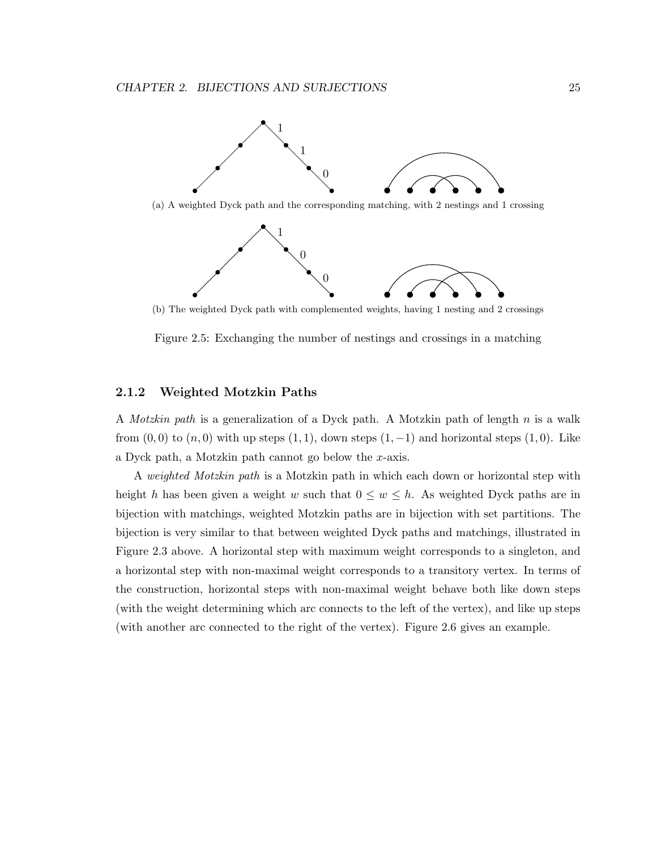

(a) A weighted Dyck path and the corresponding matching, with 2 nestings and 1 crossing



(b) The weighted Dyck path with complemented weights, having 1 nesting and 2 crossings

Figure 2.5: Exchanging the number of nestings and crossings in a matching

#### 2.1.2 Weighted Motzkin Paths

A *Motzkin path* is a generalization of a Dyck path. A Motzkin path of length n is a walk from  $(0,0)$  to  $(n,0)$  with up steps  $(1,1)$ , down steps  $(1,-1)$  and horizontal steps  $(1,0)$ . Like a Dyck path, a Motzkin path cannot go below the x-axis.

A *weighted Motzkin path* is a Motzkin path in which each down or horizontal step with height h has been given a weight w such that  $0 \leq w \leq h$ . As weighted Dyck paths are in bijection with matchings, weighted Motzkin paths are in bijection with set partitions. The bijection is very similar to that between weighted Dyck paths and matchings, illustrated in Figure 2.3 above. A horizontal step with maximum weight corresponds to a singleton, and a horizontal step with non-maximal weight corresponds to a transitory vertex. In terms of the construction, horizontal steps with non-maximal weight behave both like down steps (with the weight determining which arc connects to the left of the vertex), and like up steps (with another arc connected to the right of the vertex). Figure 2.6 gives an example.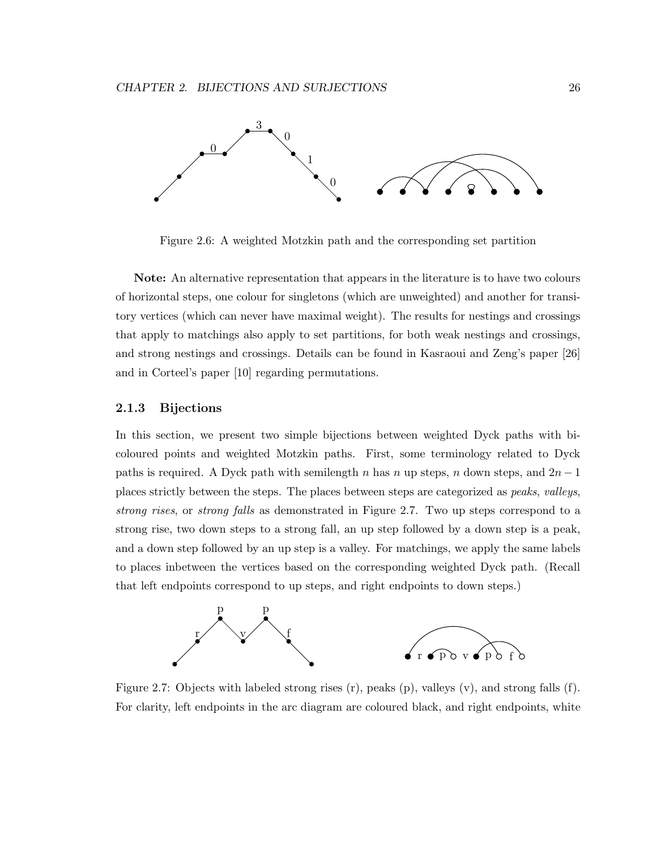

Figure 2.6: A weighted Motzkin path and the corresponding set partition

Note: An alternative representation that appears in the literature is to have two colours of horizontal steps, one colour for singletons (which are unweighted) and another for transitory vertices (which can never have maximal weight). The results for nestings and crossings that apply to matchings also apply to set partitions, for both weak nestings and crossings, and strong nestings and crossings. Details can be found in Kasraoui and Zeng's paper [26] and in Corteel's paper [10] regarding permutations.

#### 2.1.3 Bijections

In this section, we present two simple bijections between weighted Dyck paths with bicoloured points and weighted Motzkin paths. First, some terminology related to Dyck paths is required. A Dyck path with semilength n has n up steps, n down steps, and  $2n-1$ places strictly between the steps. The places between steps are categorized as *peaks*, *valleys*, *strong rises*, or *strong falls* as demonstrated in Figure 2.7. Two up steps correspond to a strong rise, two down steps to a strong fall, an up step followed by a down step is a peak, and a down step followed by an up step is a valley. For matchings, we apply the same labels to places inbetween the vertices based on the corresponding weighted Dyck path. (Recall that left endpoints correspond to up steps, and right endpoints to down steps.)



Figure 2.7: Objects with labeled strong rises (r), peaks (p), valleys (v), and strong falls (f). For clarity, left endpoints in the arc diagram are coloured black, and right endpoints, white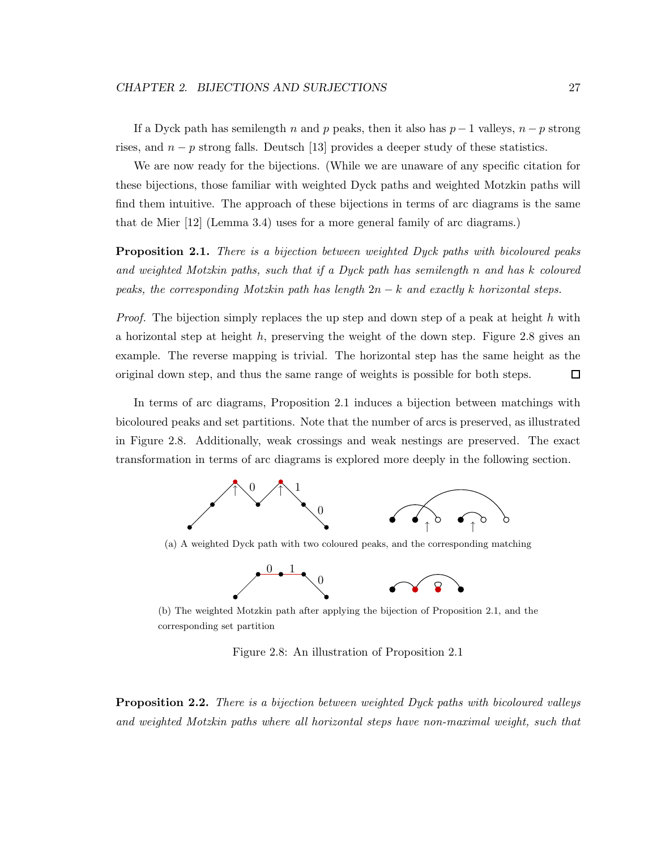If a Dyck path has semilength n and p peaks, then it also has  $p-1$  valleys,  $n-p$  strong rises, and  $n - p$  strong falls. Deutsch [13] provides a deeper study of these statistics.

We are now ready for the bijections. (While we are unaware of any specific citation for these bijections, those familiar with weighted Dyck paths and weighted Motzkin paths will find them intuitive. The approach of these bijections in terms of arc diagrams is the same that de Mier [12] (Lemma 3.4) uses for a more general family of arc diagrams.)

Proposition 2.1. *There is a bijection between weighted Dyck paths with bicoloured peaks and weighted Motzkin paths, such that if a Dyck path has semilength* n *and has* k *coloured peaks, the corresponding Motzkin path has length* 2n − k *and exactly* k *horizontal steps.*

*Proof.* The bijection simply replaces the up step and down step of a peak at height h with a horizontal step at height  $h$ , preserving the weight of the down step. Figure 2.8 gives an example. The reverse mapping is trivial. The horizontal step has the same height as the original down step, and thus the same range of weights is possible for both steps. 口

In terms of arc diagrams, Proposition 2.1 induces a bijection between matchings with bicoloured peaks and set partitions. Note that the number of arcs is preserved, as illustrated in Figure 2.8. Additionally, weak crossings and weak nestings are preserved. The exact transformation in terms of arc diagrams is explored more deeply in the following section.



(a) A weighted Dyck path with two coloured peaks, and the corresponding matching



(b) The weighted Motzkin path after applying the bijection of Proposition 2.1, and the corresponding set partition

Figure 2.8: An illustration of Proposition 2.1

Proposition 2.2. *There is a bijection between weighted Dyck paths with bicoloured valleys and weighted Motzkin paths where all horizontal steps have non-maximal weight, such that*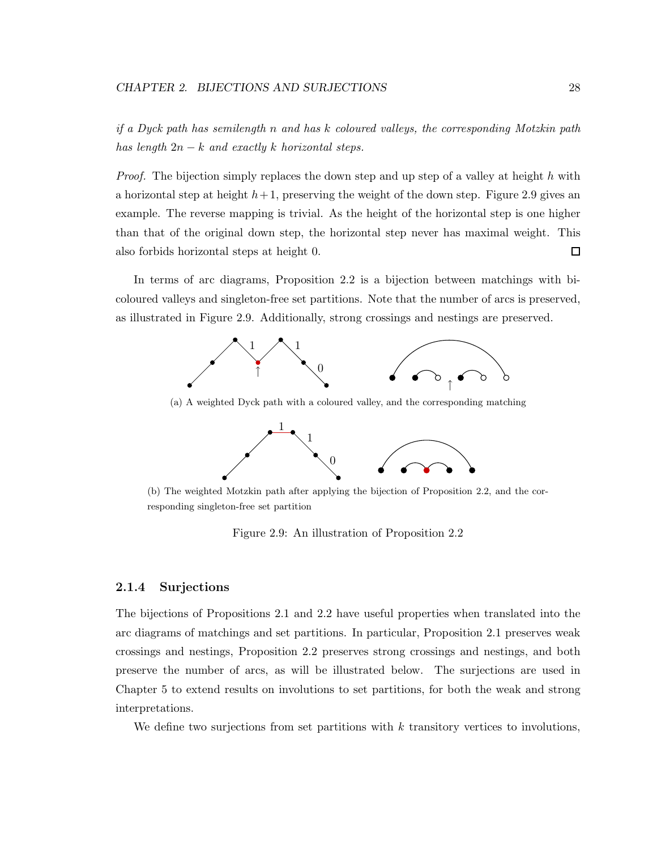*if a Dyck path has semilength* n *and has* k *coloured valleys, the corresponding Motzkin path has length* 2n − k *and exactly* k *horizontal steps.*

*Proof.* The bijection simply replaces the down step and up step of a valley at height h with a horizontal step at height  $h+1$ , preserving the weight of the down step. Figure 2.9 gives an example. The reverse mapping is trivial. As the height of the horizontal step is one higher than that of the original down step, the horizontal step never has maximal weight. This also forbids horizontal steps at height 0. □

In terms of arc diagrams, Proposition 2.2 is a bijection between matchings with bicoloured valleys and singleton-free set partitions. Note that the number of arcs is preserved, as illustrated in Figure 2.9. Additionally, strong crossings and nestings are preserved.



(a) A weighted Dyck path with a coloured valley, and the corresponding matching



(b) The weighted Motzkin path after applying the bijection of Proposition 2.2, and the corresponding singleton-free set partition

Figure 2.9: An illustration of Proposition 2.2

#### 2.1.4 Surjections

The bijections of Propositions 2.1 and 2.2 have useful properties when translated into the arc diagrams of matchings and set partitions. In particular, Proposition 2.1 preserves weak crossings and nestings, Proposition 2.2 preserves strong crossings and nestings, and both preserve the number of arcs, as will be illustrated below. The surjections are used in Chapter 5 to extend results on involutions to set partitions, for both the weak and strong interpretations.

We define two surjections from set partitions with  $k$  transitory vertices to involutions,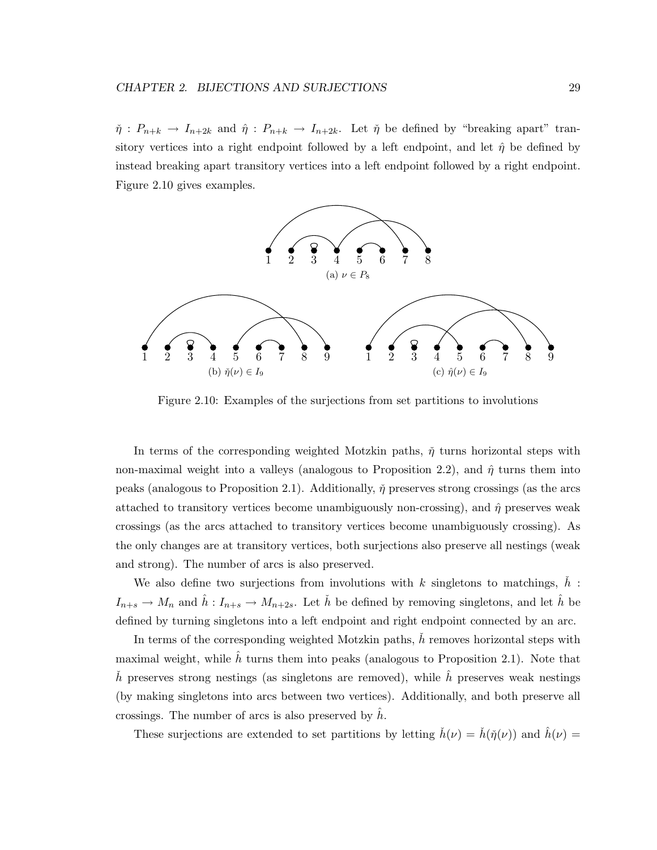$\check{\eta}: P_{n+k} \to I_{n+2k}$  and  $\hat{\eta}: P_{n+k} \to I_{n+2k}$ . Let  $\check{\eta}$  be defined by "breaking apart" transitory vertices into a right endpoint followed by a left endpoint, and let  $\hat{\eta}$  be defined by instead breaking apart transitory vertices into a left endpoint followed by a right endpoint. Figure 2.10 gives examples.



Figure 2.10: Examples of the surjections from set partitions to involutions

In terms of the corresponding weighted Motzkin paths,  $\check{\eta}$  turns horizontal steps with non-maximal weight into a valleys (analogous to Proposition 2.2), and  $\hat{\eta}$  turns them into peaks (analogous to Proposition 2.1). Additionally,  $\check{\eta}$  preserves strong crossings (as the arcs attached to transitory vertices become unambiguously non-crossing), and  $\hat{\eta}$  preserves weak crossings (as the arcs attached to transitory vertices become unambiguously crossing). As the only changes are at transitory vertices, both surjections also preserve all nestings (weak and strong). The number of arcs is also preserved.

We also define two surjections from involutions with k singletons to matchings,  $\check{h}$ :  $I_{n+s} \to M_n$  and  $\hat{h}: I_{n+s} \to M_{n+2s}$ . Let  $\check{h}$  be defined by removing singletons, and let  $\hat{h}$  be defined by turning singletons into a left endpoint and right endpoint connected by an arc.

In terms of the corresponding weighted Motzkin paths, h removes horizontal steps with maximal weight, while  $\hat{h}$  turns them into peaks (analogous to Proposition 2.1). Note that h preserves strong nestings (as singletons are removed), while h preserves weak nestings (by making singletons into arcs between two vertices). Additionally, and both preserve all crossings. The number of arcs is also preserved by  $h$ .

These surjections are extended to set partitions by letting  $\dot{h}(\nu) = \dot{h}(\tilde{\eta}(\nu))$  and  $\dot{h}(\nu) =$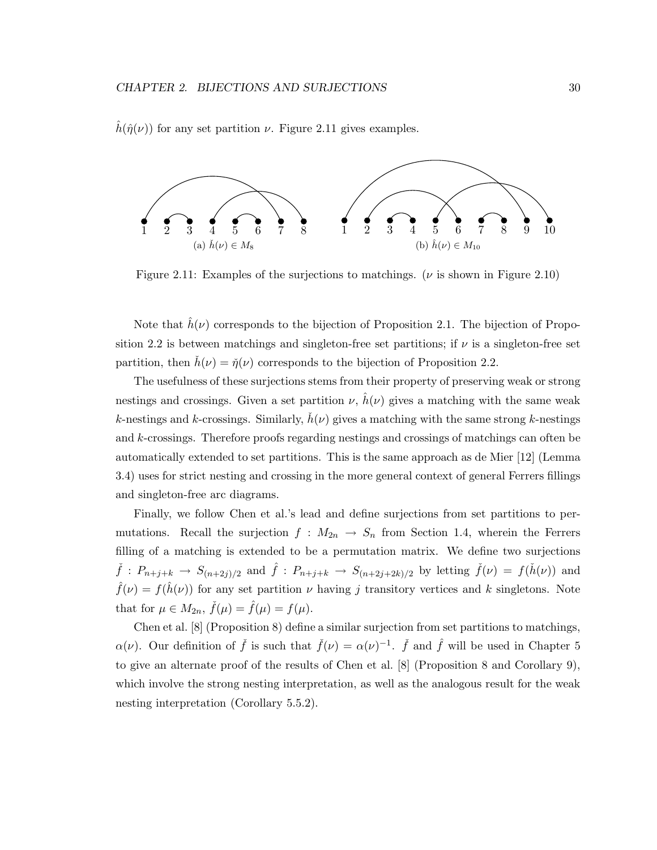$\hat{h}(\hat{\eta}(\nu))$  for any set partition  $\nu$ . Figure 2.11 gives examples.



Figure 2.11: Examples of the surjections to matchings. ( $\nu$  is shown in Figure 2.10)

Note that  $\hat{h}(\nu)$  corresponds to the bijection of Proposition 2.1. The bijection of Proposition 2.2 is between matchings and singleton-free set partitions; if  $\nu$  is a singleton-free set partition, then  $h(\nu) = \check{\eta}(\nu)$  corresponds to the bijection of Proposition 2.2.

The usefulness of these surjections stems from their property of preserving weak or strong nestings and crossings. Given a set partition  $\nu$ ,  $\hat{h}(\nu)$  gives a matching with the same weak k-nestings and k-crossings. Similarly,  $h(\nu)$  gives a matching with the same strong k-nestings and k-crossings. Therefore proofs regarding nestings and crossings of matchings can often be automatically extended to set partitions. This is the same approach as de Mier [12] (Lemma 3.4) uses for strict nesting and crossing in the more general context of general Ferrers fillings and singleton-free arc diagrams.

Finally, we follow Chen et al.'s lead and define surjections from set partitions to permutations. Recall the surjection  $f : M_{2n} \to S_n$  from Section 1.4, wherein the Ferrers filling of a matching is extended to be a permutation matrix. We define two surjections  $\check{f}: P_{n+j+k} \to S_{(n+2j)/2}$  and  $\hat{f}: P_{n+j+k} \to S_{(n+2j+2k)/2}$  by letting  $\check{f}(\nu) = f(\check{h}(\nu))$  and  $\hat{f}(\nu) = f(\hat{h}(\nu))$  for any set partition  $\nu$  having j transitory vertices and k singletons. Note that for  $\mu \in M_{2n}$ ,  $\check{f}(\mu) = \hat{f}(\mu) = f(\mu)$ .

Chen et al. [8] (Proposition 8) define a similar surjection from set partitions to matchings,  $\alpha(\nu)$ . Our definition of  $\check{f}$  is such that  $\check{f}(\nu) = \alpha(\nu)^{-1}$ .  $\check{f}$  and  $\hat{f}$  will be used in Chapter 5 to give an alternate proof of the results of Chen et al. [8] (Proposition 8 and Corollary 9), which involve the strong nesting interpretation, as well as the analogous result for the weak nesting interpretation (Corollary 5.5.2).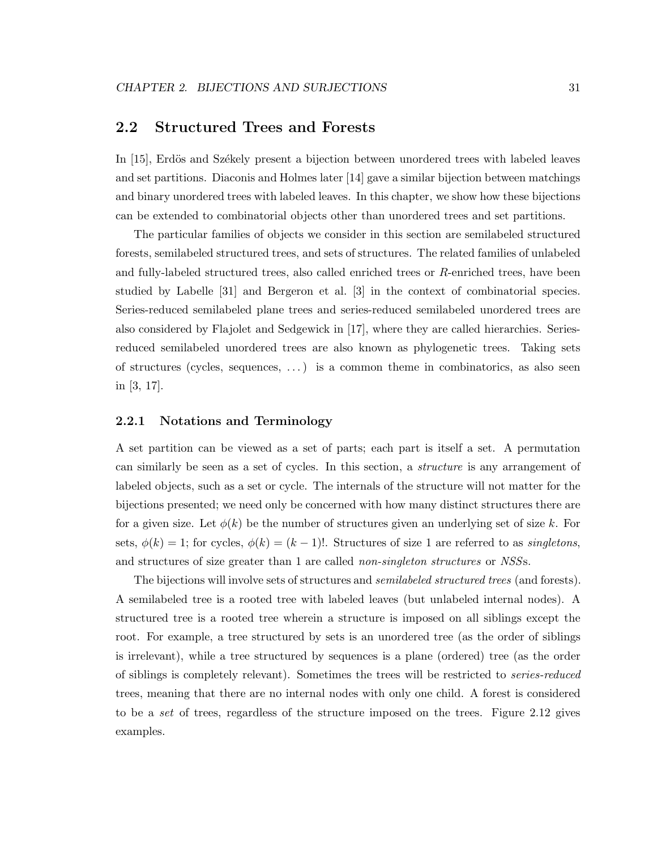# 2.2 Structured Trees and Forests

In [15], Erdös and Székely present a bijection between unordered trees with labeled leaves and set partitions. Diaconis and Holmes later [14] gave a similar bijection between matchings and binary unordered trees with labeled leaves. In this chapter, we show how these bijections can be extended to combinatorial objects other than unordered trees and set partitions.

The particular families of objects we consider in this section are semilabeled structured forests, semilabeled structured trees, and sets of structures. The related families of unlabeled and fully-labeled structured trees, also called enriched trees or  $R$ -enriched trees, have been studied by Labelle [31] and Bergeron et al. [3] in the context of combinatorial species. Series-reduced semilabeled plane trees and series-reduced semilabeled unordered trees are also considered by Flajolet and Sedgewick in [17], where they are called hierarchies. Seriesreduced semilabeled unordered trees are also known as phylogenetic trees. Taking sets of structures (cycles, sequences, . . . ) is a common theme in combinatorics, as also seen in [3, 17].

#### 2.2.1 Notations and Terminology

A set partition can be viewed as a set of parts; each part is itself a set. A permutation can similarly be seen as a set of cycles. In this section, a *structure* is any arrangement of labeled objects, such as a set or cycle. The internals of the structure will not matter for the bijections presented; we need only be concerned with how many distinct structures there are for a given size. Let  $\phi(k)$  be the number of structures given an underlying set of size k. For sets,  $\phi(k) = 1$ ; for cycles,  $\phi(k) = (k-1)!$ . Structures of size 1 are referred to as *singletons*, and structures of size greater than 1 are called *non-singleton structures* or *NSS*s.

The bijections will involve sets of structures and *semilabeled structured trees* (and forests). A semilabeled tree is a rooted tree with labeled leaves (but unlabeled internal nodes). A structured tree is a rooted tree wherein a structure is imposed on all siblings except the root. For example, a tree structured by sets is an unordered tree (as the order of siblings is irrelevant), while a tree structured by sequences is a plane (ordered) tree (as the order of siblings is completely relevant). Sometimes the trees will be restricted to *series-reduced* trees, meaning that there are no internal nodes with only one child. A forest is considered to be a *set* of trees, regardless of the structure imposed on the trees. Figure 2.12 gives examples.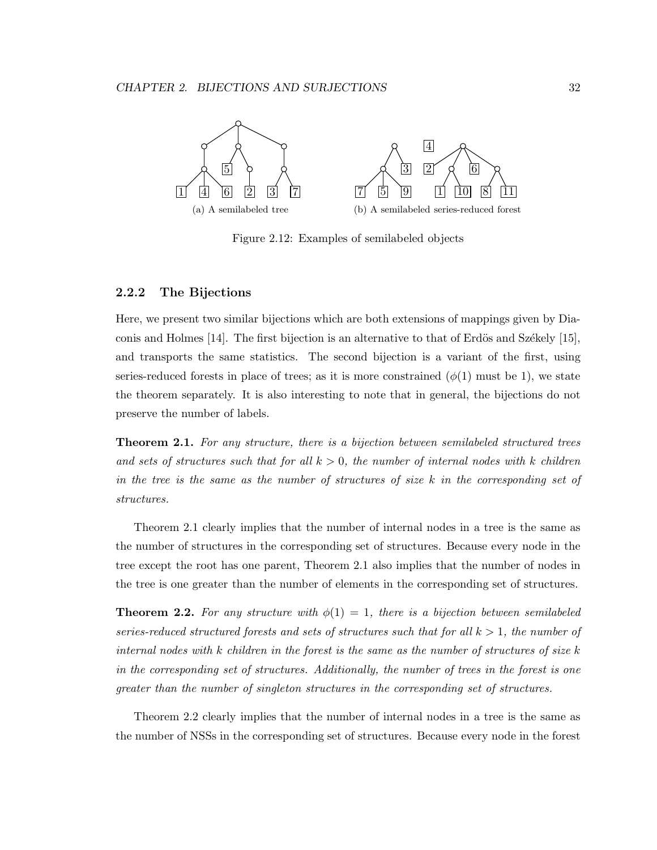

Figure 2.12: Examples of semilabeled objects

#### 2.2.2 The Bijections

Here, we present two similar bijections which are both extensions of mappings given by Diaconis and Holmes  $[14]$ . The first bijection is an alternative to that of Erdös and Székely [15], and transports the same statistics. The second bijection is a variant of the first, using series-reduced forests in place of trees; as it is more constrained  $(\phi(1)$  must be 1), we state the theorem separately. It is also interesting to note that in general, the bijections do not preserve the number of labels.

Theorem 2.1. *For any structure, there is a bijection between semilabeled structured trees and sets of structures such that for all* k > 0*, the number of internal nodes with* k *children in the tree is the same as the number of structures of size* k *in the corresponding set of structures.*

Theorem 2.1 clearly implies that the number of internal nodes in a tree is the same as the number of structures in the corresponding set of structures. Because every node in the tree except the root has one parent, Theorem 2.1 also implies that the number of nodes in the tree is one greater than the number of elements in the corresponding set of structures.

**Theorem 2.2.** For any structure with  $\phi(1) = 1$ , there is a bijection between semilabeled *series-reduced structured forests and sets of structures such that for all*  $k > 1$ *, the number of internal nodes with* k *children in the forest is the same as the number of structures of size* k *in the corresponding set of structures. Additionally, the number of trees in the forest is one greater than the number of singleton structures in the corresponding set of structures.*

Theorem 2.2 clearly implies that the number of internal nodes in a tree is the same as the number of NSSs in the corresponding set of structures. Because every node in the forest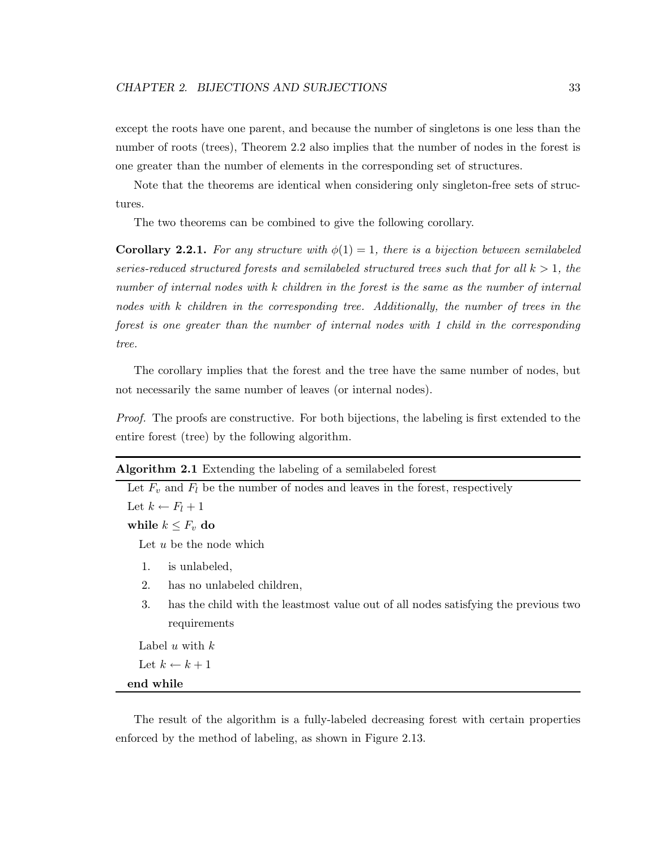except the roots have one parent, and because the number of singletons is one less than the number of roots (trees), Theorem 2.2 also implies that the number of nodes in the forest is one greater than the number of elements in the corresponding set of structures.

Note that the theorems are identical when considering only singleton-free sets of structures.

The two theorems can be combined to give the following corollary.

**Corollary 2.2.1.** For any structure with  $\phi(1) = 1$ , there is a bijection between semilabeled *series-reduced structured forests and semilabeled structured trees such that for all*  $k > 1$ *, the number of internal nodes with* k *children in the forest is the same as the number of internal nodes with* k *children in the corresponding tree. Additionally, the number of trees in the forest is one greater than the number of internal nodes with 1 child in the corresponding tree.*

The corollary implies that the forest and the tree have the same number of nodes, but not necessarily the same number of leaves (or internal nodes).

*Proof.* The proofs are constructive. For both bijections, the labeling is first extended to the entire forest (tree) by the following algorithm.

| <b>Algorithm 2.1</b> Extending the labeling of a semilabeled forest                       |
|-------------------------------------------------------------------------------------------|
| Let $F_v$ and $F_l$ be the number of nodes and leaves in the forest, respectively         |
| Let $k \leftarrow F_l + 1$                                                                |
| while $k \leq F_v$ do                                                                     |
| Let $u$ be the node which                                                                 |
| is unlabeled,<br>1.                                                                       |
| 2.<br>has no unlabeled children,                                                          |
| 3.<br>has the child with the leastmost value out of all nodes satisfying the previous two |
| requirements                                                                              |
| Label u with $k$                                                                          |
| Let $k \leftarrow k+1$                                                                    |
| end while                                                                                 |

The result of the algorithm is a fully-labeled decreasing forest with certain properties enforced by the method of labeling, as shown in Figure 2.13.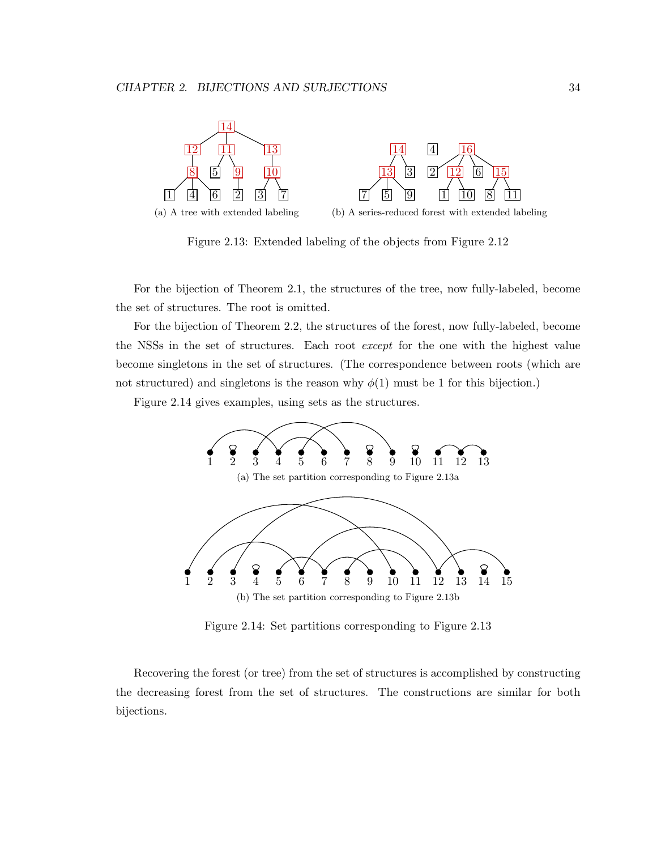

Figure 2.13: Extended labeling of the objects from Figure 2.12

For the bijection of Theorem 2.1, the structures of the tree, now fully-labeled, become the set of structures. The root is omitted.

For the bijection of Theorem 2.2, the structures of the forest, now fully-labeled, become the NSSs in the set of structures. Each root *except* for the one with the highest value become singletons in the set of structures. (The correspondence between roots (which are not structured) and singletons is the reason why  $\phi(1)$  must be 1 for this bijection.)

Figure 2.14 gives examples, using sets as the structures.



Figure 2.14: Set partitions corresponding to Figure 2.13

Recovering the forest (or tree) from the set of structures is accomplished by constructing the decreasing forest from the set of structures. The constructions are similar for both bijections.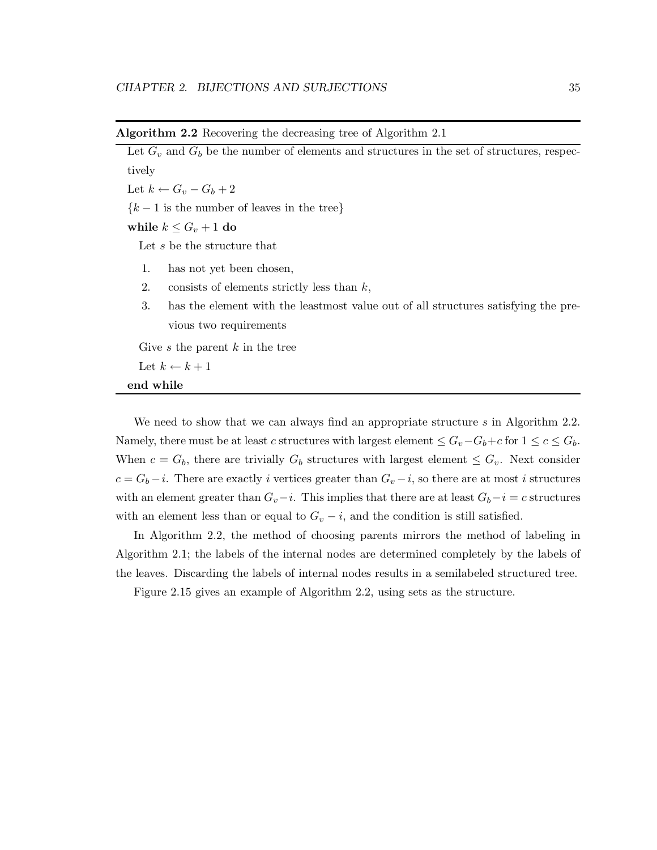| Let $G_v$ and $G_b$ be the number of elements and structures in the set of structures, respec- |  |  |  |  |  |
|------------------------------------------------------------------------------------------------|--|--|--|--|--|
| tively                                                                                         |  |  |  |  |  |
| Let $k \leftarrow G_v - G_b + 2$                                                               |  |  |  |  |  |
| ${k-1}$ is the number of leaves in the tree}                                                   |  |  |  |  |  |
| while $k \leq G_v + 1$ do                                                                      |  |  |  |  |  |
| Let s be the structure that                                                                    |  |  |  |  |  |
| has not yet been chosen,<br>1.                                                                 |  |  |  |  |  |
| 2.<br>consists of elements strictly less than $k$ ,                                            |  |  |  |  |  |
| 3.<br>has the element with the leastmost value out of all structures satisfying the pre-       |  |  |  |  |  |
| vious two requirements                                                                         |  |  |  |  |  |
| Give s the parent $k$ in the tree                                                              |  |  |  |  |  |
| Let $k \leftarrow k+1$                                                                         |  |  |  |  |  |
| end while                                                                                      |  |  |  |  |  |

We need to show that we can always find an appropriate structure s in Algorithm 2.2. Namely, there must be at least c structures with largest element  $\leq G_v - G_b + c$  for  $1 \leq c \leq G_b$ . When  $c = G_b$ , there are trivially  $G_b$  structures with largest element  $\leq G_v$ . Next consider  $c = G_b - i$ . There are exactly i vertices greater than  $G_v - i$ , so there are at most i structures with an element greater than  $G_v-i$ . This implies that there are at least  $G_b-i = c$  structures with an element less than or equal to  $G_v - i$ , and the condition is still satisfied.

In Algorithm 2.2, the method of choosing parents mirrors the method of labeling in Algorithm 2.1; the labels of the internal nodes are determined completely by the labels of the leaves. Discarding the labels of internal nodes results in a semilabeled structured tree.

Figure 2.15 gives an example of Algorithm 2.2, using sets as the structure.

### Algorithm 2.2 Recovering the decreasing tree of Algorithm 2.1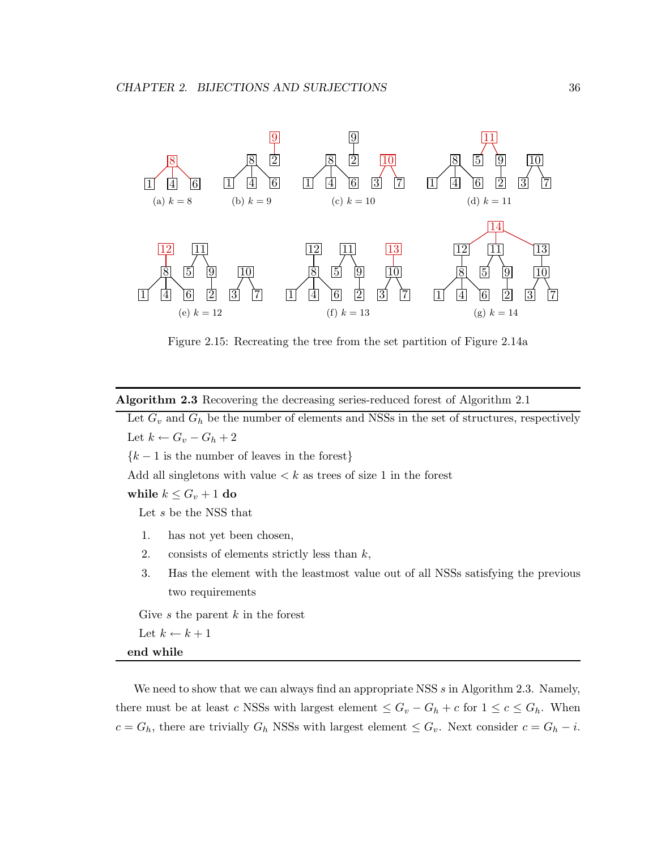

Figure 2.15: Recreating the tree from the set partition of Figure 2.14a

Algorithm 2.3 Recovering the decreasing series-reduced forest of Algorithm 2.1

Let  $G_v$  and  $G_h$  be the number of elements and NSSs in the set of structures, respectively Let  $k \leftarrow G_v - G_h + 2$ 

 ${k-1}$  is the number of leaves in the forest}

Add all singletons with value  $\lt k$  as trees of size 1 in the forest

while  $k \leq G_v + 1$  do

Let s be the NSS that

- 1. has not yet been chosen,
- 2. consists of elements strictly less than  $k$ ,
- 3. Has the element with the leastmost value out of all NSSs satisfying the previous two requirements

Give s the parent  $k$  in the forest

Let  $k \leftarrow k + 1$ 

end while

We need to show that we can always find an appropriate NSS  $s$  in Algorithm 2.3. Namely, there must be at least c NSSs with largest element  $\leq G_v - G_h + c$  for  $1 \leq c \leq G_h$ . When  $c = G_h$ , there are trivially  $G_h$  NSSs with largest element  $\leq G_v$ . Next consider  $c = G_h - i$ .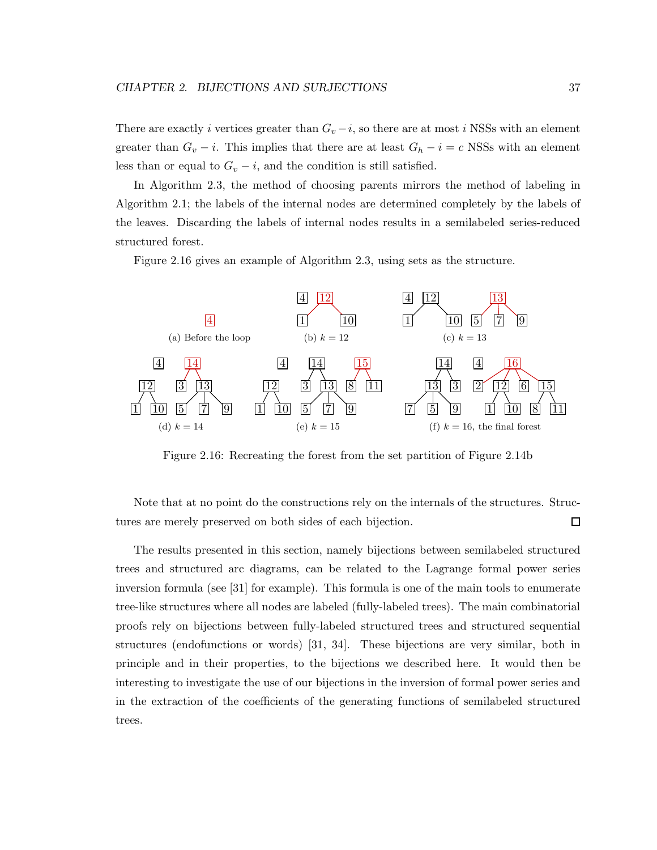There are exactly i vertices greater than  $G_v - i$ , so there are at most i NSSs with an element greater than  $G_v - i$ . This implies that there are at least  $G_h - i = c$  NSSs with an element less than or equal to  $G_v - i$ , and the condition is still satisfied.

In Algorithm 2.3, the method of choosing parents mirrors the method of labeling in Algorithm 2.1; the labels of the internal nodes are determined completely by the labels of the leaves. Discarding the labels of internal nodes results in a semilabeled series-reduced structured forest.

Figure 2.16 gives an example of Algorithm 2.3, using sets as the structure.



Figure 2.16: Recreating the forest from the set partition of Figure 2.14b

Note that at no point do the constructions rely on the internals of the structures. Structures are merely preserved on both sides of each bijection.  $\Box$ 

The results presented in this section, namely bijections between semilabeled structured trees and structured arc diagrams, can be related to the Lagrange formal power series inversion formula (see [31] for example). This formula is one of the main tools to enumerate tree-like structures where all nodes are labeled (fully-labeled trees). The main combinatorial proofs rely on bijections between fully-labeled structured trees and structured sequential structures (endofunctions or words) [31, 34]. These bijections are very similar, both in principle and in their properties, to the bijections we described here. It would then be interesting to investigate the use of our bijections in the inversion of formal power series and in the extraction of the coefficients of the generating functions of semilabeled structured trees.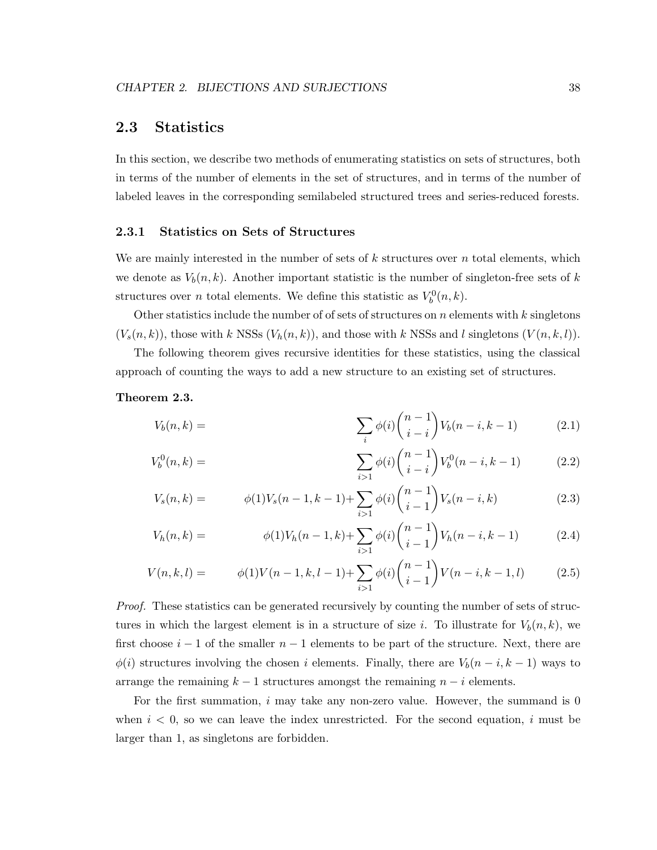# 2.3 Statistics

In this section, we describe two methods of enumerating statistics on sets of structures, both in terms of the number of elements in the set of structures, and in terms of the number of labeled leaves in the corresponding semilabeled structured trees and series-reduced forests.

#### 2.3.1 Statistics on Sets of Structures

We are mainly interested in the number of sets of  $k$  structures over  $n$  total elements, which we denote as  $V_b(n, k)$ . Another important statistic is the number of singleton-free sets of k structures over *n* total elements. We define this statistic as  $V_b^0(n, k)$ .

Other statistics include the number of of sets of structures on  $n$  elements with  $k$  singletons  $(V_s(n, k))$ , those with k NSSs  $(V_h(n, k))$ , and those with k NSSs and l singletons  $(V(n, k, l))$ .

The following theorem gives recursive identities for these statistics, using the classical approach of counting the ways to add a new structure to an existing set of structures.

#### Theorem 2.3.

$$
V_b(n,k) = \qquad \qquad \sum_{i} \phi(i) \binom{n-1}{i-i} V_b(n-i,k-1) \tag{2.1}
$$

$$
V_b^0(n,k) = \qquad \qquad \sum_{i>1} \phi(i) \binom{n-1}{i-i} V_b^0(n-i,k-1) \qquad (2.2)
$$

$$
V_s(n,k) = \phi(1)V_s(n-1,k-1) + \sum_{i>1} \phi(i) \binom{n-1}{i-1} V_s(n-i,k) \tag{2.3}
$$

$$
V_h(n,k) = \phi(1)V_h(n-1,k) + \sum_{i>1} \phi(i) \binom{n-1}{i-1} V_h(n-i,k-1) \tag{2.4}
$$

$$
V(n,k,l) = \phi(1)V(n-1,k,l-1) + \sum_{i>1} \phi(i) \binom{n-1}{i-1} V(n-i,k-1,l) \tag{2.5}
$$

*Proof.* These statistics can be generated recursively by counting the number of sets of structures in which the largest element is in a structure of size i. To illustrate for  $V_b(n, k)$ , we first choose  $i-1$  of the smaller  $n-1$  elements to be part of the structure. Next, there are  $\phi(i)$  structures involving the chosen i elements. Finally, there are  $V_b(n-i, k-1)$  ways to arrange the remaining  $k-1$  structures amongst the remaining  $n-i$  elements.

For the first summation,  $i$  may take any non-zero value. However, the summand is 0 when  $i < 0$ , so we can leave the index unrestricted. For the second equation, i must be larger than 1, as singletons are forbidden.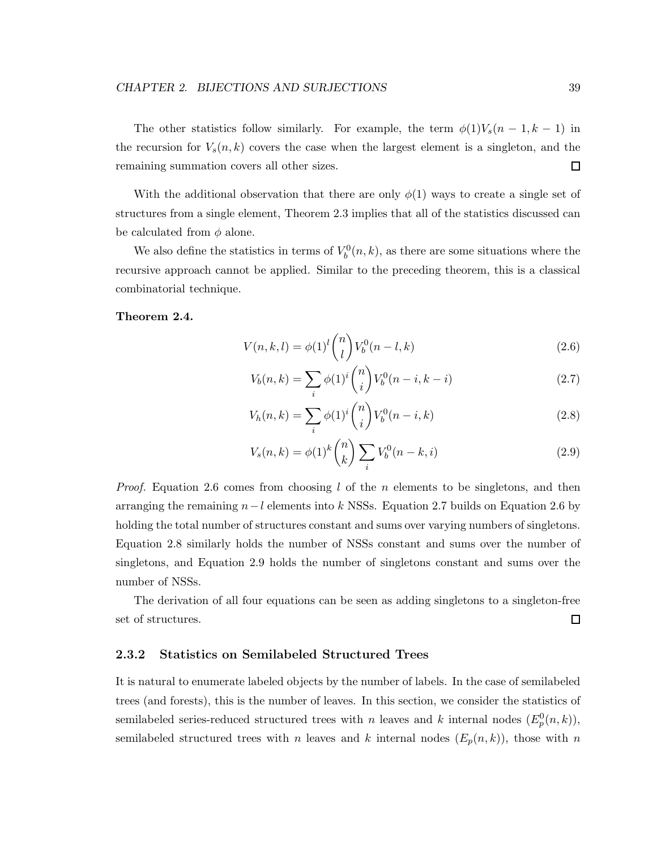The other statistics follow similarly. For example, the term  $\phi(1)V_s(n-1,k-1)$  in the recursion for  $V_s(n, k)$  covers the case when the largest element is a singleton, and the remaining summation covers all other sizes.  $\Box$ 

With the additional observation that there are only  $\phi(1)$  ways to create a single set of structures from a single element, Theorem 2.3 implies that all of the statistics discussed can be calculated from  $\phi$  alone.

We also define the statistics in terms of  $V_b^0(n, k)$ , as there are some situations where the recursive approach cannot be applied. Similar to the preceding theorem, this is a classical combinatorial technique.

#### Theorem 2.4.

$$
V(n,k,l) = \phi(1)^l \binom{n}{l} V_b^0(n-l,k)
$$
\n(2.6)

$$
V_b(n,k) = \sum_{i} \phi(1)^i \binom{n}{i} V_b^0(n-i,k-i)
$$
\n(2.7)

$$
V_h(n,k) = \sum_{i} \phi(1)^i \binom{n}{i} V_b^0(n-i,k) \tag{2.8}
$$

$$
V_s(n,k) = \phi(1)^k \binom{n}{k} \sum_i V_b^0(n-k,i) \tag{2.9}
$$

*Proof.* Equation 2.6 comes from choosing l of the n elements to be singletons, and then arranging the remaining  $n-l$  elements into k NSSs. Equation 2.7 builds on Equation 2.6 by holding the total number of structures constant and sums over varying numbers of singletons. Equation 2.8 similarly holds the number of NSSs constant and sums over the number of singletons, and Equation 2.9 holds the number of singletons constant and sums over the number of NSSs.

The derivation of all four equations can be seen as adding singletons to a singleton-free set of structures. □

#### 2.3.2 Statistics on Semilabeled Structured Trees

It is natural to enumerate labeled objects by the number of labels. In the case of semilabeled trees (and forests), this is the number of leaves. In this section, we consider the statistics of semilabeled series-reduced structured trees with n leaves and k internal nodes  $(E_p^0(n, k))$ , semilabeled structured trees with n leaves and k internal nodes  $(E_p(n, k))$ , those with n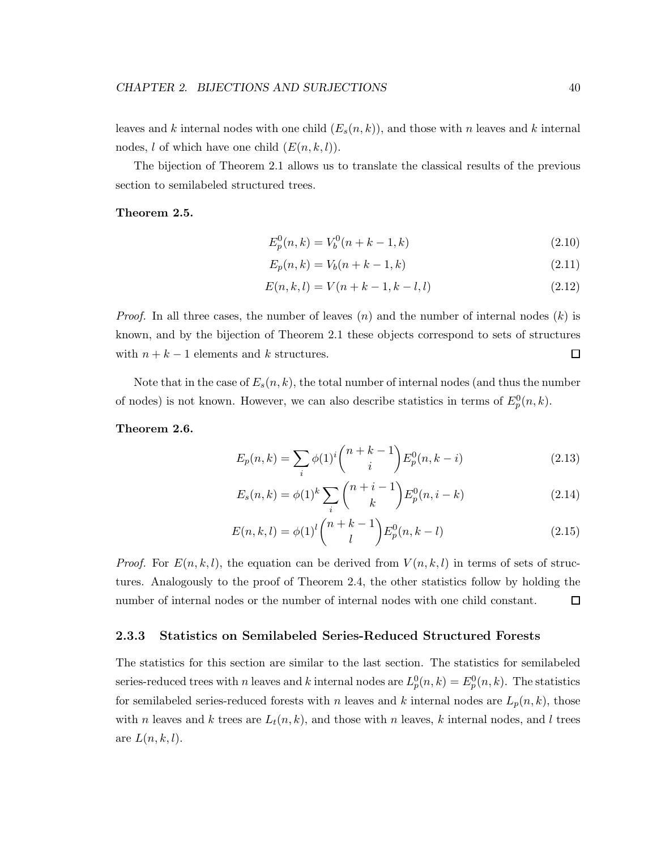leaves and k internal nodes with one child  $(E_s(n, k))$ , and those with n leaves and k internal nodes, l of which have one child  $(E(n, k, l)).$ 

The bijection of Theorem 2.1 allows us to translate the classical results of the previous section to semilabeled structured trees.

#### Theorem 2.5.

$$
E_p^0(n,k) = V_b^0(n+k-1,k)
$$
\n(2.10)

$$
E_p(n,k) = V_b(n+k-1,k)
$$
\n(2.11)

$$
E(n,k,l) = V(n+k-1,k-l,l)
$$
\n(2.12)

*Proof.* In all three cases, the number of leaves  $(n)$  and the number of internal nodes  $(k)$  is known, and by the bijection of Theorem 2.1 these objects correspond to sets of structures with  $n + k - 1$  elements and k structures. 口

Note that in the case of  $E_s(n, k)$ , the total number of internal nodes (and thus the number of nodes) is not known. However, we can also describe statistics in terms of  $E_p^0(n, k)$ .

#### Theorem 2.6.

$$
E_p(n,k) = \sum_i \phi(1)^i \binom{n+k-1}{i} E_p^0(n,k-i)
$$
\n(2.13)

$$
E_s(n,k) = \phi(1)^k \sum_i \binom{n+i-1}{k} E_p^0(n,i-k)
$$
\n(2.14)

$$
E(n,k,l) = \phi(1)^l \binom{n+k-1}{l} E_p^0(n,k-l)
$$
\n(2.15)

*Proof.* For  $E(n, k, l)$ , the equation can be derived from  $V(n, k, l)$  in terms of sets of structures. Analogously to the proof of Theorem 2.4, the other statistics follow by holding the number of internal nodes or the number of internal nodes with one child constant.  $\Box$ 

#### 2.3.3 Statistics on Semilabeled Series-Reduced Structured Forests

The statistics for this section are similar to the last section. The statistics for semilabeled series-reduced trees with n leaves and k internal nodes are  $L_p^0(n,k) = E_p^0(n,k)$ . The statistics for semilabeled series-reduced forests with n leaves and k internal nodes are  $L_p(n, k)$ , those with n leaves and k trees are  $L_t(n, k)$ , and those with n leaves, k internal nodes, and l trees are  $L(n, k, l)$ .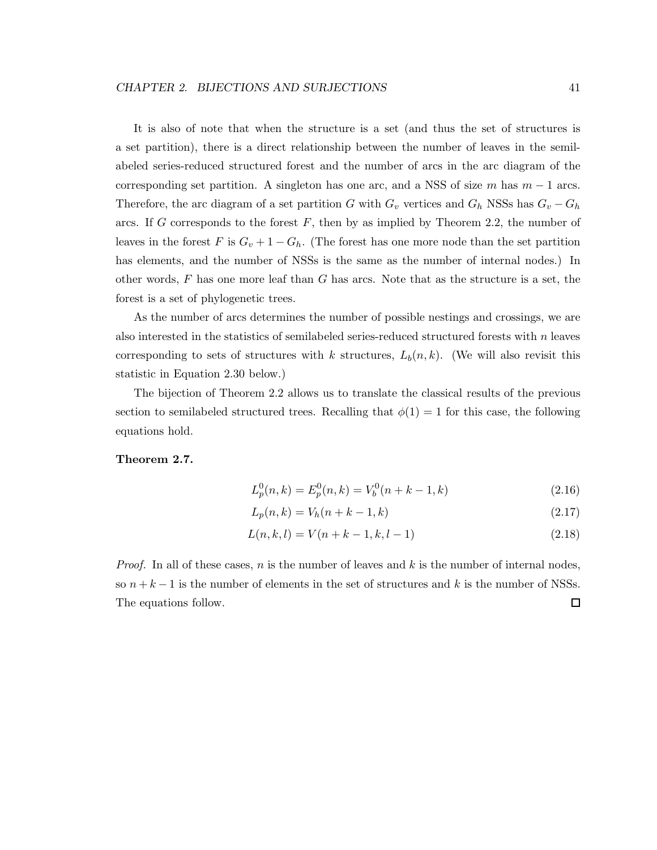It is also of note that when the structure is a set (and thus the set of structures is a set partition), there is a direct relationship between the number of leaves in the semilabeled series-reduced structured forest and the number of arcs in the arc diagram of the corresponding set partition. A singleton has one arc, and a NSS of size m has  $m-1$  arcs. Therefore, the arc diagram of a set partition G with  $G_v$  vertices and  $G_h$  NSSs has  $G_v - G_h$ arcs. If G corresponds to the forest  $F$ , then by as implied by Theorem 2.2, the number of leaves in the forest F is  $G_v + 1 - G_h$ . (The forest has one more node than the set partition has elements, and the number of NSSs is the same as the number of internal nodes.) In other words,  $F$  has one more leaf than  $G$  has arcs. Note that as the structure is a set, the forest is a set of phylogenetic trees.

As the number of arcs determines the number of possible nestings and crossings, we are also interested in the statistics of semilabeled series-reduced structured forests with  $n$  leaves corresponding to sets of structures with k structures,  $L_b(n, k)$ . (We will also revisit this statistic in Equation 2.30 below.)

The bijection of Theorem 2.2 allows us to translate the classical results of the previous section to semilabeled structured trees. Recalling that  $\phi(1) = 1$  for this case, the following equations hold.

#### Theorem 2.7.

$$
L_p^0(n,k) = E_p^0(n,k) = V_b^0(n+k-1,k)
$$
\n(2.16)

$$
L_p(n,k) = V_h(n+k-1,k)
$$
\n(2.17)

$$
L(n,k,l) = V(n+k-1,k,l-1)
$$
\n(2.18)

*Proof.* In all of these cases,  $n$  is the number of leaves and  $k$  is the number of internal nodes, so  $n + k - 1$  is the number of elements in the set of structures and k is the number of NSSs.  $\Box$ The equations follow.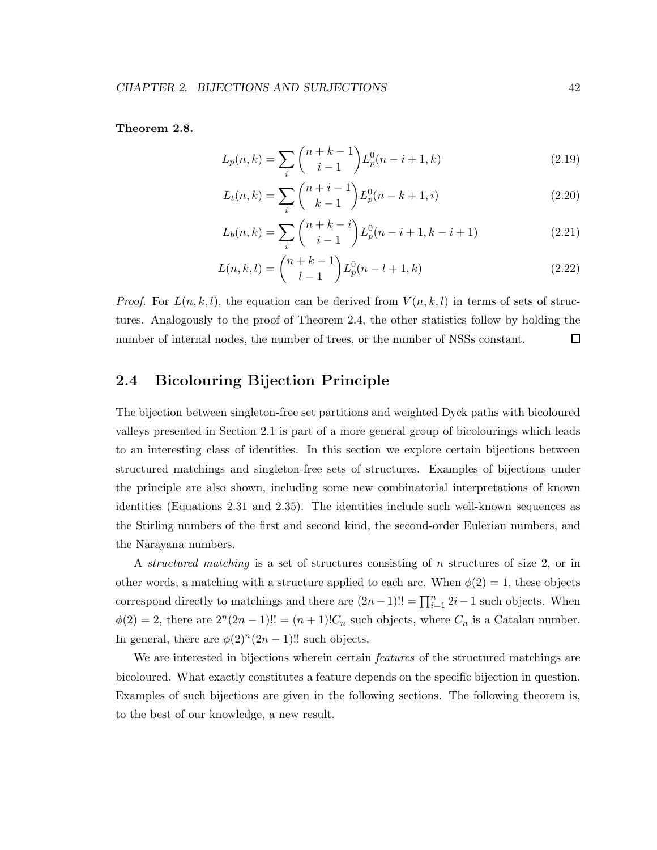Theorem 2.8.

$$
L_p(n,k) = \sum_{i} \binom{n+k-1}{i-1} L_p^0(n-i+1,k)
$$
\n(2.19)

$$
L_t(n,k) = \sum_{i} \binom{n+i-1}{k-1} L_p^0(n-k+1,i)
$$
\n(2.20)

$$
L_b(n,k) = \sum_{i} {n+k-i \choose i-1} L_p^0(n-i+1,k-i+1)
$$
 (2.21)

$$
L(n,k,l) = {n+k-1 \choose l-1} L_p^0(n-l+1,k)
$$
\n(2.22)

*Proof.* For  $L(n, k, l)$ , the equation can be derived from  $V(n, k, l)$  in terms of sets of structures. Analogously to the proof of Theorem 2.4, the other statistics follow by holding the number of internal nodes, the number of trees, or the number of NSSs constant.  $\Box$ 

# 2.4 Bicolouring Bijection Principle

The bijection between singleton-free set partitions and weighted Dyck paths with bicoloured valleys presented in Section 2.1 is part of a more general group of bicolourings which leads to an interesting class of identities. In this section we explore certain bijections between structured matchings and singleton-free sets of structures. Examples of bijections under the principle are also shown, including some new combinatorial interpretations of known identities (Equations 2.31 and 2.35). The identities include such well-known sequences as the Stirling numbers of the first and second kind, the second-order Eulerian numbers, and the Narayana numbers.

A *structured matching* is a set of structures consisting of n structures of size 2, or in other words, a matching with a structure applied to each arc. When  $\phi(2) = 1$ , these objects correspond directly to matchings and there are  $(2n-1)!! = \prod_{i=1}^{n} 2i-1$  such objects. When  $\phi(2) = 2$ , there are  $2^{n}(2n-1)!! = (n+1)!C_n$  such objects, where  $C_n$  is a Catalan number. In general, there are  $\phi(2)^n(2n-1)!!$  such objects.

We are interested in bijections wherein certain *features* of the structured matchings are bicoloured. What exactly constitutes a feature depends on the specific bijection in question. Examples of such bijections are given in the following sections. The following theorem is, to the best of our knowledge, a new result.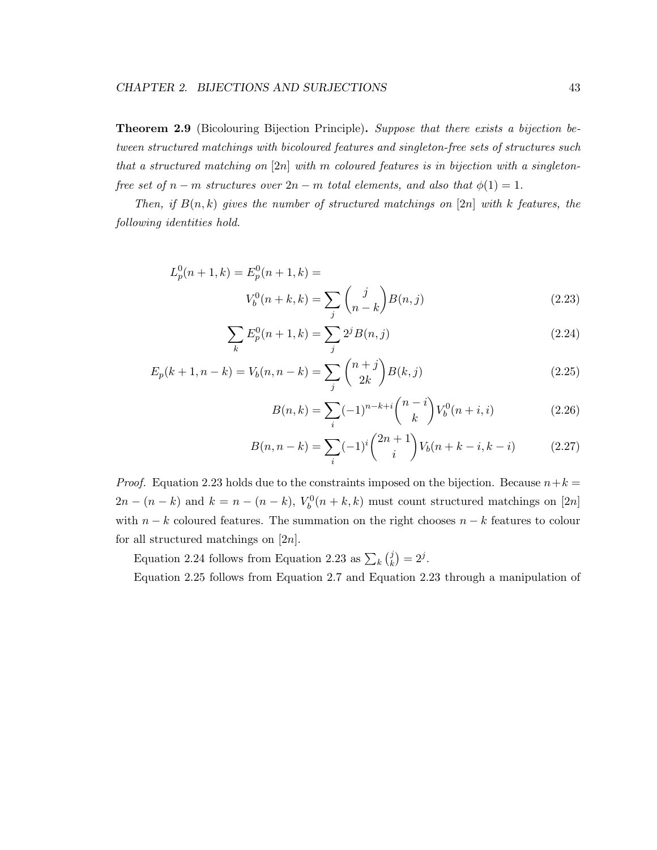Theorem 2.9 (Bicolouring Bijection Principle). *Suppose that there exists a bijection between structured matchings with bicoloured features and singleton-free sets of structures such that a structured matching on* [2n] *with* m *coloured features is in bijection with a singletonfree set of*  $n - m$  *structures over*  $2n - m$  *total elements, and also that*  $\phi(1) = 1$ *.* 

*Then, if*  $B(n,k)$  *gives the number of structured matchings on* [2n] *with* k *features, the following identities hold.*

$$
L_p^0(n+1,k) = E_p^0(n+1,k) =
$$
  

$$
V_b^0(n+k,k) = \sum_j {j \choose n-k} B(n,j)
$$
 (2.23)

$$
\sum_{k} E_p^0(n+1,k) = \sum_{j} 2^j B(n,j)
$$
\n(2.24)

$$
E_p(k+1, n-k) = V_b(n, n-k) = \sum_j {n+j \choose 2k} B(k, j)
$$
\n(2.25)

$$
B(n,k) = \sum_{i} (-1)^{n-k+i} \binom{n-i}{k} V_b^0(n+i, i)
$$
 (2.26)

$$
B(n, n-k) = \sum_{i} (-1)^{i} {2n+1 \choose i} V_b(n+k-i, k-i)
$$
 (2.27)

*Proof.* Equation 2.23 holds due to the constraints imposed on the bijection. Because  $n+k=$  $2n - (n - k)$  and  $k = n - (n - k)$ ,  $V_b^0(n + k, k)$  must count structured matchings on [2n] with  $n - k$  coloured features. The summation on the right chooses  $n - k$  features to colour for all structured matchings on  $[2n]$ .

Equation 2.24 follows from Equation 2.23 as  $\sum_{k} {j \choose k}$  $_{k}^{j}$  $) = 2^{j}$ .

Equation 2.25 follows from Equation 2.7 and Equation 2.23 through a manipulation of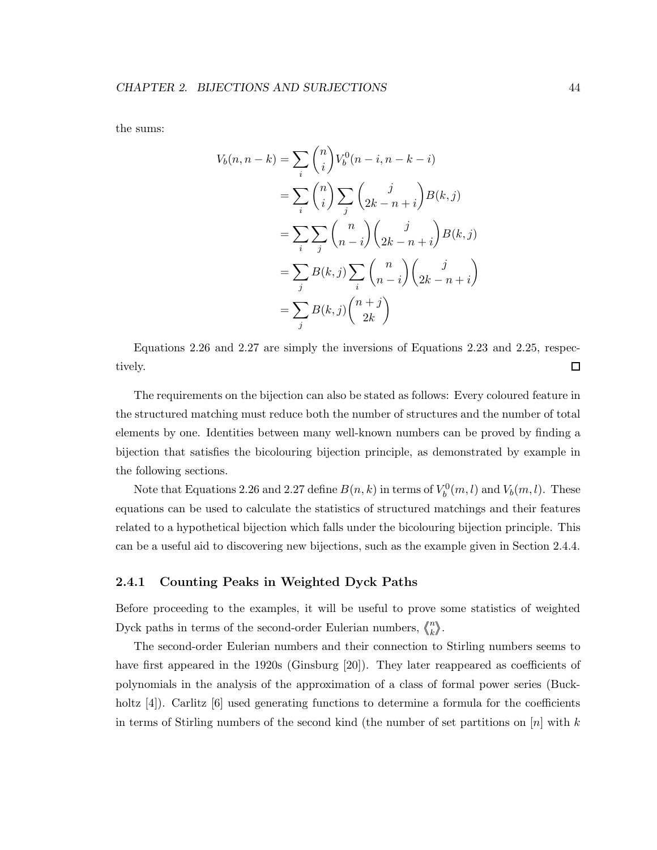the sums:

$$
V_b(n, n-k) = \sum_i {n \choose i} V_b^0(n-i, n-k-i)
$$
  
= 
$$
\sum_i {n \choose i} \sum_j {j \choose 2k-n+i} B(k,j)
$$
  
= 
$$
\sum_i \sum_j {n \choose n-i} {j \choose 2k-n+i} B(k,j)
$$
  
= 
$$
\sum_j B(k,j) \sum_i {n \choose n-i} {j \choose 2k-n+i}
$$
  
= 
$$
\sum_j B(k,j) {n+j \choose 2k}
$$

Equations 2.26 and 2.27 are simply the inversions of Equations 2.23 and 2.25, respectively.  $\Box$ 

The requirements on the bijection can also be stated as follows: Every coloured feature in the structured matching must reduce both the number of structures and the number of total elements by one. Identities between many well-known numbers can be proved by finding a bijection that satisfies the bicolouring bijection principle, as demonstrated by example in the following sections.

Note that Equations 2.26 and 2.27 define  $B(n, k)$  in terms of  $V_b^0(m, l)$  and  $V_b(m, l)$ . These equations can be used to calculate the statistics of structured matchings and their features related to a hypothetical bijection which falls under the bicolouring bijection principle. This can be a useful aid to discovering new bijections, such as the example given in Section 2.4.4.

#### 2.4.1 Counting Peaks in Weighted Dyck Paths

Before proceeding to the examples, it will be useful to prove some statistics of weighted Dyck paths in terms of the second-order Eulerian numbers,  $\binom{n}{k}$  $_{k}^{n}\rangle\!\rangle.$ 

The second-order Eulerian numbers and their connection to Stirling numbers seems to have first appeared in the 1920s (Ginsburg [20]). They later reappeared as coefficients of polynomials in the analysis of the approximation of a class of formal power series (Buckholtz [4]). Carlitz [6] used generating functions to determine a formula for the coefficients in terms of Stirling numbers of the second kind (the number of set partitions on  $[n]$  with k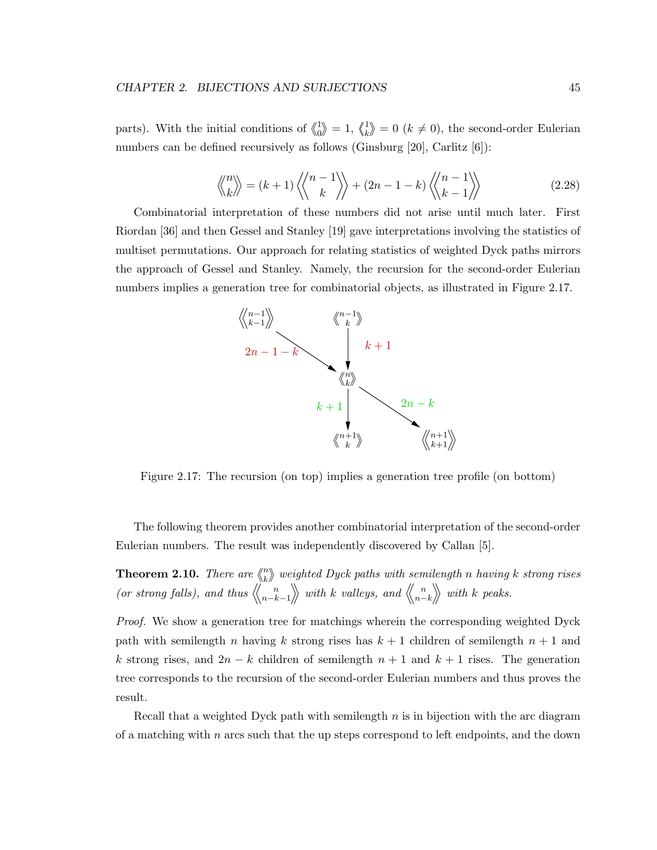parts). With the initial conditions of  $\binom{1}{0}$  $\binom{1}{0} = 1, \; \binom{1}{k}$  $\binom{1}{k} = 0$  ( $k \neq 0$ ), the second-order Eulerian numbers can be defined recursively as follows (Ginsburg [20], Carlitz [6]):

$$
\left\langle \! \left\langle \! \begin{array}{c} n \\ k \end{array} \! \right\rangle \! \right\rangle = (k+1) \left\langle \! \left\langle \! \begin{array}{c} n-1 \\ k \end{array} \! \right\rangle \! \right\rangle + (2n-1-k) \left\langle \! \left\langle \! \begin{array}{c} n-1 \\ k-1 \end{array} \! \right\rangle \! \right\rangle \tag{2.28}
$$

Combinatorial interpretation of these numbers did not arise until much later. First Riordan [36] and then Gessel and Stanley [19] gave interpretations involving the statistics of multiset permutations. Our approach for relating statistics of weighted Dyck paths mirrors the approach of Gessel and Stanley. Namely, the recursion for the second-order Eulerian numbers implies a generation tree for combinatorial objects, as illustrated in Figure 2.17.



Figure 2.17: The recursion (on top) implies a generation tree profile (on bottom)

The following theorem provides another combinatorial interpretation of the second-order Eulerian numbers. The result was independently discovered by Callan [5].

**Theorem 2.10.** *There are*  $\binom{n}{k}$ k *weighted Dyck paths with semilength* n *having* k *strong rises (or strong falls), and thus*  $\langle\langle n-k-1 \rangle\rangle$  with k *valleys, and*  $\langle\langle n-k \rangle\rangle$  with k *peaks.* 

*Proof.* We show a generation tree for matchings wherein the corresponding weighted Dyck path with semilength n having k strong rises has  $k + 1$  children of semilength  $n + 1$  and k strong rises, and  $2n - k$  children of semilength  $n + 1$  and  $k + 1$  rises. The generation tree corresponds to the recursion of the second-order Eulerian numbers and thus proves the result.

Recall that a weighted Dyck path with semilength  $n$  is in bijection with the arc diagram of a matching with  $n$  arcs such that the up steps correspond to left endpoints, and the down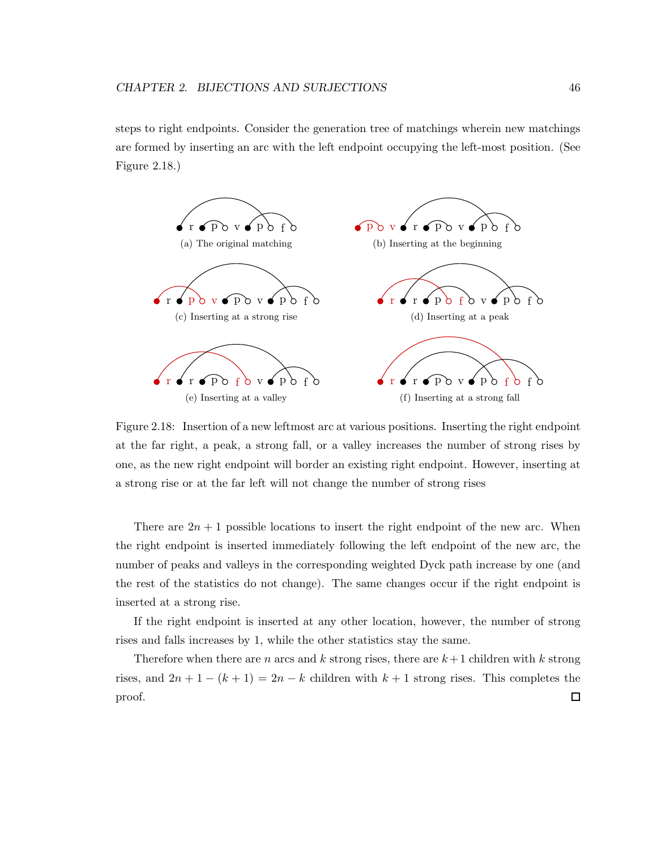steps to right endpoints. Consider the generation tree of matchings wherein new matchings are formed by inserting an arc with the left endpoint occupying the left-most position. (See Figure 2.18.)



Figure 2.18: Insertion of a new leftmost arc at various positions. Inserting the right endpoint at the far right, a peak, a strong fall, or a valley increases the number of strong rises by one, as the new right endpoint will border an existing right endpoint. However, inserting at a strong rise or at the far left will not change the number of strong rises

There are  $2n + 1$  possible locations to insert the right endpoint of the new arc. When the right endpoint is inserted immediately following the left endpoint of the new arc, the number of peaks and valleys in the corresponding weighted Dyck path increase by one (and the rest of the statistics do not change). The same changes occur if the right endpoint is inserted at a strong rise.

If the right endpoint is inserted at any other location, however, the number of strong rises and falls increases by 1, while the other statistics stay the same.

Therefore when there are n arcs and k strong rises, there are  $k+1$  children with k strong rises, and  $2n + 1 - (k + 1) = 2n - k$  children with  $k + 1$  strong rises. This completes the  $\Box$ proof.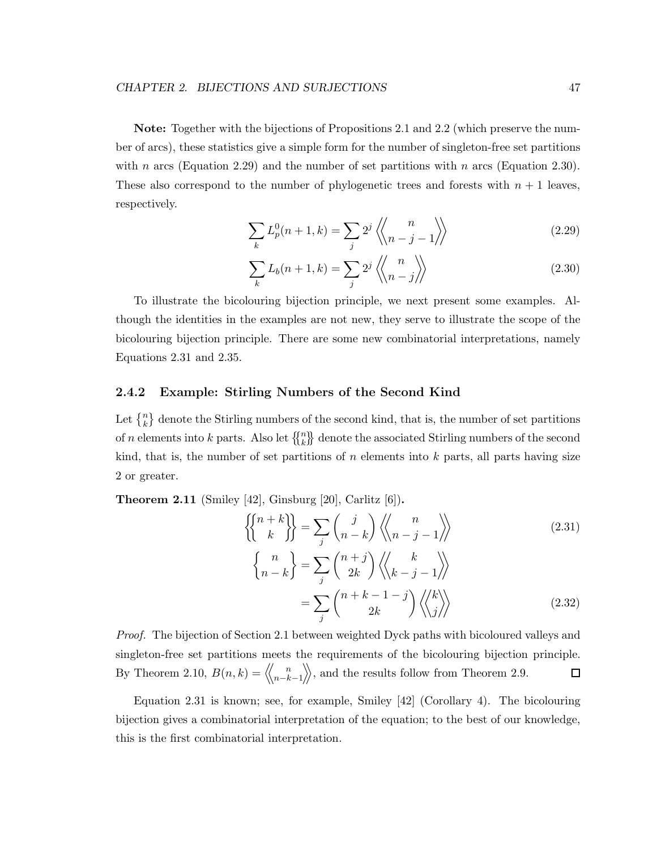Note: Together with the bijections of Propositions 2.1 and 2.2 (which preserve the number of arcs), these statistics give a simple form for the number of singleton-free set partitions with n arcs (Equation 2.29) and the number of set partitions with n arcs (Equation 2.30). These also correspond to the number of phylogenetic trees and forests with  $n + 1$  leaves, respectively.

$$
\sum_{k} L_p^0(n+1,k) = \sum_{j} 2^j \left\langle \begin{matrix} n \\ n-j-1 \end{matrix} \right\rangle \tag{2.29}
$$

$$
\sum_{k} L_b(n+1,k) = \sum_{j} 2^j \left\langle \begin{pmatrix} n \\ n-j \end{pmatrix} \right\rangle \tag{2.30}
$$

To illustrate the bicolouring bijection principle, we next present some examples. Although the identities in the examples are not new, they serve to illustrate the scope of the bicolouring bijection principle. There are some new combinatorial interpretations, namely Equations 2.31 and 2.35.

#### 2.4.2 Example: Stirling Numbers of the Second Kind

Let  $\{n\atop k\}$  denote the Stirling numbers of the second kind, that is, the number of set partitions of *n* elements into *k* parts. Also let  $\{n \atop k \}$  denote the associated Stirling numbers of the second kind, that is, the number of set partitions of  $n$  elements into  $k$  parts, all parts having size 2 or greater.

**Theorem 2.11** (Smiley  $[42]$ , Ginsburg  $[20]$ , Carlitz  $[6]$ ).

$$
\begin{aligned}\n\left\{\n\begin{pmatrix}\nn+k \\
k\n\end{pmatrix}\n\right\} &= \sum_{j} \binom{j}{n-k} \left\langle\n\begin{pmatrix}\nn \\
n-j-1\n\end{pmatrix}\n\right\rangle \\
\left\{\n\begin{pmatrix}\nn \\
n-k\n\end{pmatrix}\n\right\} &= \sum_{j} \binom{n+j}{2k} \left\langle\n\begin{pmatrix}\nk \\
k-j-1\n\end{pmatrix}\n\right\rangle \\
&= \sum_{j} \binom{n+k-1-j}{2k} \left\langle\n\begin{pmatrix}\nk \\
j\n\end{pmatrix}\n\right\rangle\n\end{aligned} \tag{2.32}
$$

*Proof.* The bijection of Section 2.1 between weighted Dyck paths with bicoloured valleys and singleton-free set partitions meets the requirements of the bicolouring bijection principle. By Theorem 2.10,  $B(n,k) = \langle\langle \frac{n}{n-k-1} \rangle\rangle$ , and the results follow from Theorem 2.9.  $\Box$ 

Equation 2.31 is known; see, for example, Smiley [42] (Corollary 4). The bicolouring bijection gives a combinatorial interpretation of the equation; to the best of our knowledge, this is the first combinatorial interpretation.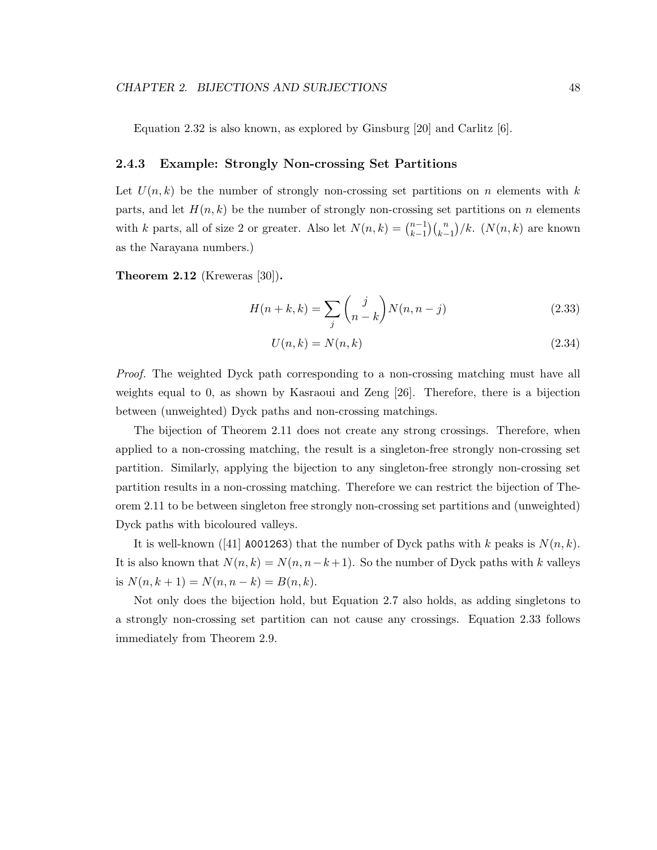Equation 2.32 is also known, as explored by Ginsburg  $[20]$  and Carlitz  $[6]$ .

#### 2.4.3 Example: Strongly Non-crossing Set Partitions

Let  $U(n, k)$  be the number of strongly non-crossing set partitions on n elements with k parts, and let  $H(n, k)$  be the number of strongly non-crossing set partitions on n elements with k parts, all of size 2 or greater. Also let  $N(n,k) = \binom{n-1}{k-1}$  $_{k-1}^{n-1}$  $\binom{n}{k-1}$ /k.  $(N(n,k)$  are known as the Narayana numbers.)

Theorem 2.12 (Kreweras [30]).

$$
H(n+k,k) = \sum_{j} {j \choose n-k} N(n,n-j)
$$
\n(2.33)

$$
U(n,k) = N(n,k) \tag{2.34}
$$

*Proof.* The weighted Dyck path corresponding to a non-crossing matching must have all weights equal to 0, as shown by Kasraoui and Zeng [26]. Therefore, there is a bijection between (unweighted) Dyck paths and non-crossing matchings.

The bijection of Theorem 2.11 does not create any strong crossings. Therefore, when applied to a non-crossing matching, the result is a singleton-free strongly non-crossing set partition. Similarly, applying the bijection to any singleton-free strongly non-crossing set partition results in a non-crossing matching. Therefore we can restrict the bijection of Theorem 2.11 to be between singleton free strongly non-crossing set partitions and (unweighted) Dyck paths with bicoloured valleys.

It is well-known ([41] A001263) that the number of Dyck paths with k peaks is  $N(n, k)$ . It is also known that  $N(n, k) = N(n, n-k+1)$ . So the number of Dyck paths with k valleys is  $N(n, k + 1) = N(n, n - k) = B(n, k).$ 

Not only does the bijection hold, but Equation 2.7 also holds, as adding singletons to a strongly non-crossing set partition can not cause any crossings. Equation 2.33 follows immediately from Theorem 2.9.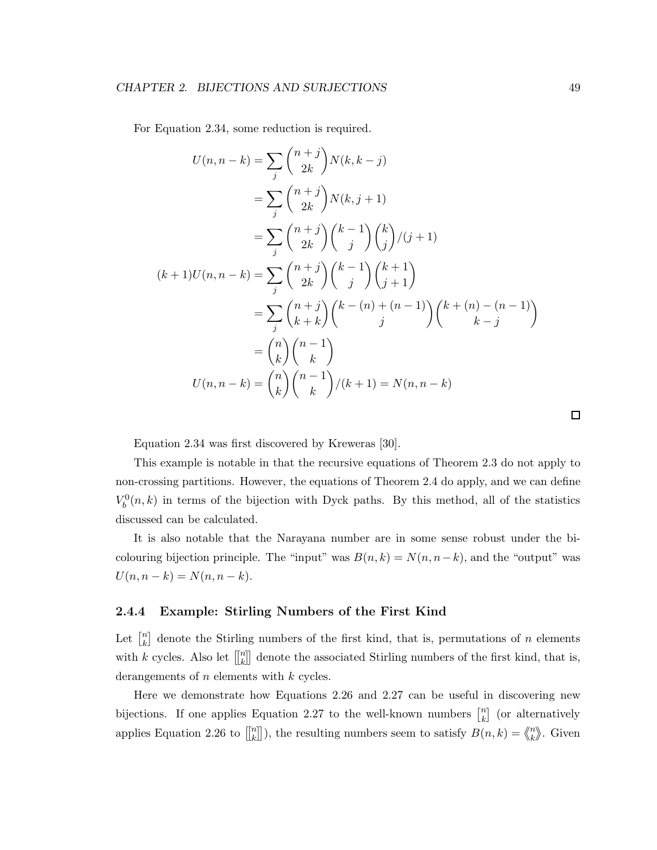For Equation 2.34, some reduction is required.

$$
U(n, n-k) = \sum_{j} {n+j \choose 2k} N(k, k-j)
$$
  
\n
$$
= \sum_{j} {n+j \choose 2k} N(k, j+1)
$$
  
\n
$$
= \sum_{j} {n+j \choose 2k} {k-1 \choose j} {k \choose j} / (j+1)
$$
  
\n
$$
(k+1)U(n, n-k) = \sum_{j} {n+j \choose 2k} {k-1 \choose j} {k+1 \choose j+1}
$$
  
\n
$$
= \sum_{j} {n+j \choose k+k} {k-(n) + (n-1) \choose j} {k+(n) - (n-1) \choose k-j}
$$
  
\n
$$
= {n \choose k} {n-1 \choose k}
$$
  
\n
$$
U(n, n-k) = {n \choose k} {n-1 \choose k} / (k+1) = N(n, n-k)
$$

Equation 2.34 was first discovered by Kreweras [30].

This example is notable in that the recursive equations of Theorem 2.3 do not apply to non-crossing partitions. However, the equations of Theorem 2.4 do apply, and we can define  $V_b^0(n, k)$  in terms of the bijection with Dyck paths. By this method, all of the statistics discussed can be calculated.

It is also notable that the Narayana number are in some sense robust under the bicolouring bijection principle. The "input" was  $B(n, k) = N(n, n-k)$ , and the "output" was  $U(n, n - k) = N(n, n - k).$ 

#### 2.4.4 Example: Stirling Numbers of the First Kind

Let  $\begin{bmatrix} n \\ k \end{bmatrix}$  $\binom{n}{k}$  denote the Stirling numbers of the first kind, that is, permutations of n elements with k cycles. Also let  $\left[\begin{matrix} n \\ k \end{matrix}\right]$  $\binom{n}{k}$  denote the associated Stirling numbers of the first kind, that is, derangements of *n* elements with *k* cycles.

Here we demonstrate how Equations 2.26 and 2.27 can be useful in discovering new bijections. If one applies Equation 2.27 to the well-known numbers  $\begin{bmatrix} n \\ k \end{bmatrix}$  $\binom{n}{k}$  (or alternatively applies Equation 2.26 to  $\left[\begin{matrix} n \\ k \end{matrix}\right]$  $\binom{n}{k}$ ), the resulting numbers seem to satisfy  $B(n, k) = \binom{n}{k}$  $\binom{n}{k}$ . Given

 $\Box$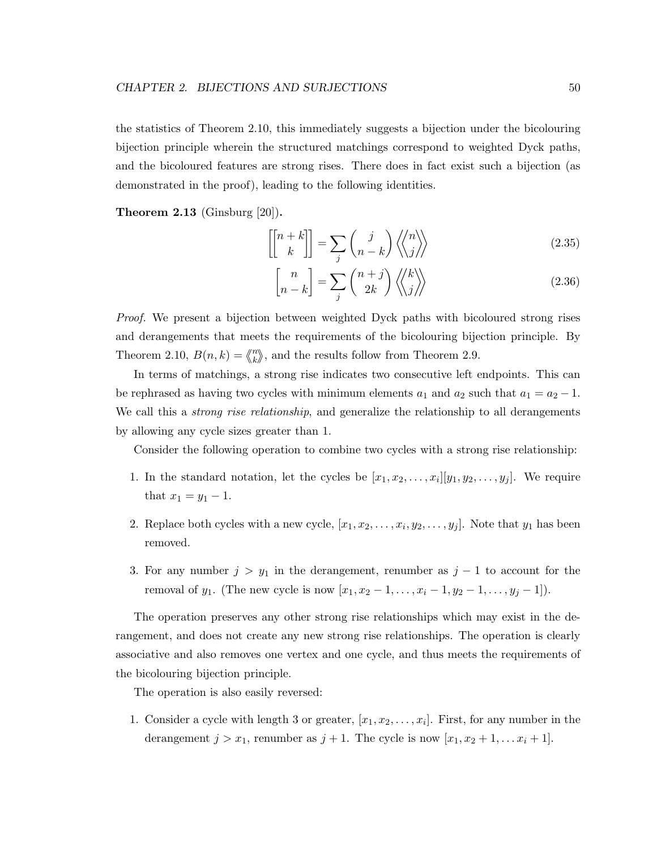the statistics of Theorem 2.10, this immediately suggests a bijection under the bicolouring bijection principle wherein the structured matchings correspond to weighted Dyck paths, and the bicoloured features are strong rises. There does in fact exist such a bijection (as demonstrated in the proof), leading to the following identities.

**Theorem 2.13** (Ginsburg  $[20]$ ).

$$
\begin{bmatrix} n+k \\ k \end{bmatrix} = \sum_{j} \binom{j}{n-k} \left\langle \begin{matrix} n \\ j \end{matrix} \right\rangle \tag{2.35}
$$

$$
\begin{bmatrix} n \\ n-k \end{bmatrix} = \sum_{j} \binom{n+j}{2k} \left\langle \begin{matrix} k \\ j \end{matrix} \right\rangle \tag{2.36}
$$

*Proof.* We present a bijection between weighted Dyck paths with bicoloured strong rises and derangements that meets the requirements of the bicolouring bijection principle. By Theorem 2.10,  $B(n,k) = \binom{n}{k}$  $\binom{n}{k}$ , and the results follow from Theorem 2.9.

In terms of matchings, a strong rise indicates two consecutive left endpoints. This can be rephrased as having two cycles with minimum elements  $a_1$  and  $a_2$  such that  $a_1 = a_2 - 1$ . We call this a *strong rise relationship*, and generalize the relationship to all derangements by allowing any cycle sizes greater than 1.

Consider the following operation to combine two cycles with a strong rise relationship:

- 1. In the standard notation, let the cycles be  $[x_1, x_2, \ldots, x_i][y_1, y_2, \ldots, y_j]$ . We require that  $x_1 = y_1 - 1$ .
- 2. Replace both cycles with a new cycle,  $[x_1, x_2, \ldots, x_i, y_2, \ldots, y_j]$ . Note that  $y_1$  has been removed.
- 3. For any number  $j > y_1$  in the derangement, renumber as  $j 1$  to account for the removal of y<sub>1</sub>. (The new cycle is now  $[x_1, x_2 - 1, \ldots, x_i - 1, y_2 - 1, \ldots, y_j - 1]$ ).

The operation preserves any other strong rise relationships which may exist in the derangement, and does not create any new strong rise relationships. The operation is clearly associative and also removes one vertex and one cycle, and thus meets the requirements of the bicolouring bijection principle.

The operation is also easily reversed:

1. Consider a cycle with length 3 or greater,  $[x_1, x_2, \ldots, x_i]$ . First, for any number in the derangement  $j > x_1$ , renumber as  $j + 1$ . The cycle is now  $[x_1, x_2 + 1, \ldots, x_i + 1]$ .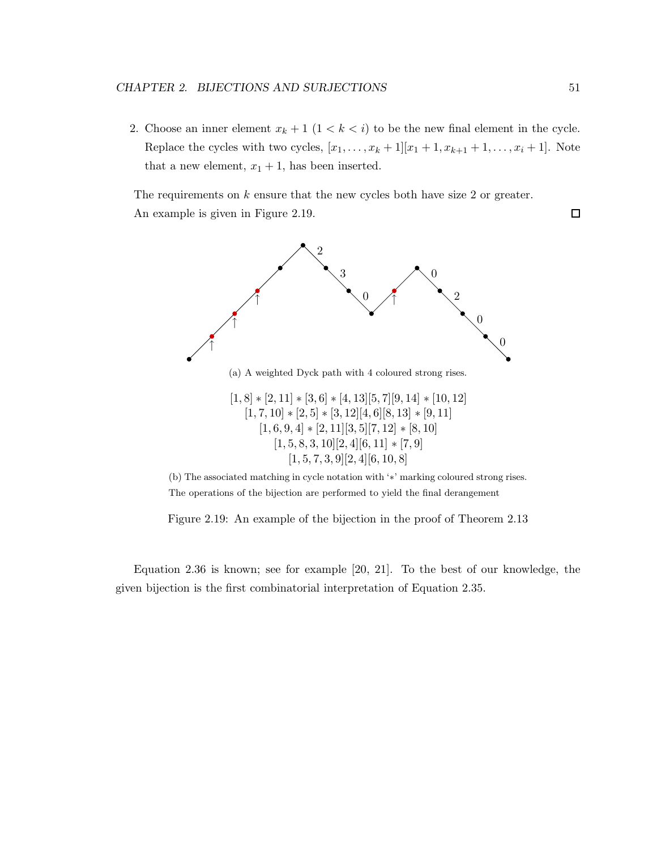2. Choose an inner element  $x_k + 1$   $(1 \lt k \lt i)$  to be the new final element in the cycle. Replace the cycles with two cycles,  $[x_1, ..., x_k + 1][x_1 + 1, x_{k+1} + 1, ..., x_i + 1]$ . Note that a new element,  $x_1 + 1$ , has been inserted.

The requirements on  $k$  ensure that the new cycles both have size 2 or greater. An example is given in Figure 2.19.



(b) The associated matching in cycle notation with '∗' marking coloured strong rises. The operations of the bijection are performed to yield the final derangement

Figure 2.19: An example of the bijection in the proof of Theorem 2.13

Equation 2.36 is known; see for example [20, 21]. To the best of our knowledge, the given bijection is the first combinatorial interpretation of Equation 2.35.

 $\Box$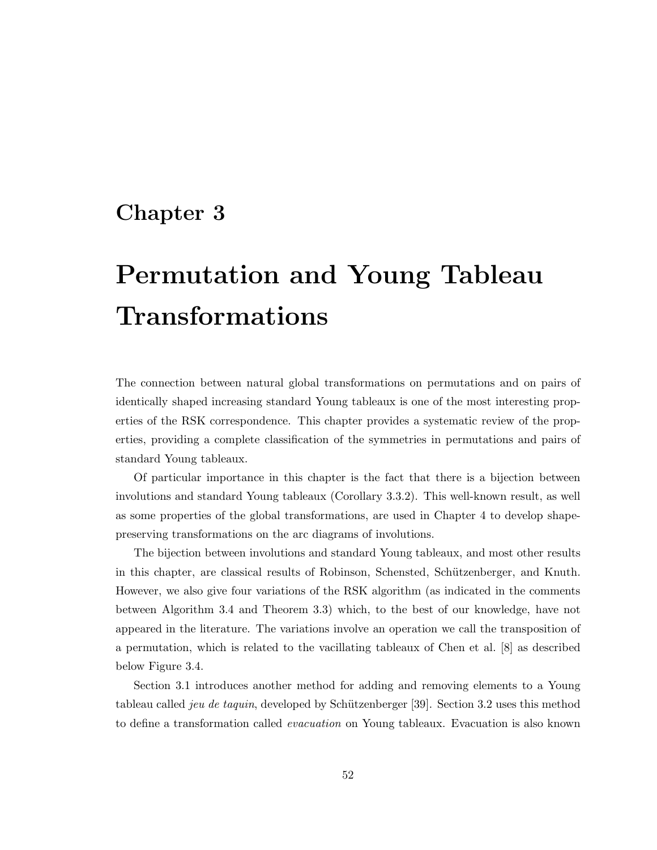# Chapter 3

# Permutation and Young Tableau Transformations

The connection between natural global transformations on permutations and on pairs of identically shaped increasing standard Young tableaux is one of the most interesting properties of the RSK correspondence. This chapter provides a systematic review of the properties, providing a complete classification of the symmetries in permutations and pairs of standard Young tableaux.

Of particular importance in this chapter is the fact that there is a bijection between involutions and standard Young tableaux (Corollary 3.3.2). This well-known result, as well as some properties of the global transformations, are used in Chapter 4 to develop shapepreserving transformations on the arc diagrams of involutions.

The bijection between involutions and standard Young tableaux, and most other results in this chapter, are classical results of Robinson, Schensted, Schützenberger, and Knuth. However, we also give four variations of the RSK algorithm (as indicated in the comments between Algorithm 3.4 and Theorem 3.3) which, to the best of our knowledge, have not appeared in the literature. The variations involve an operation we call the transposition of a permutation, which is related to the vacillating tableaux of Chen et al. [8] as described below Figure 3.4.

Section 3.1 introduces another method for adding and removing elements to a Young tableau called *jeu de taquin*, developed by Schützenberger [39]. Section 3.2 uses this method to define a transformation called *evacuation* on Young tableaux. Evacuation is also known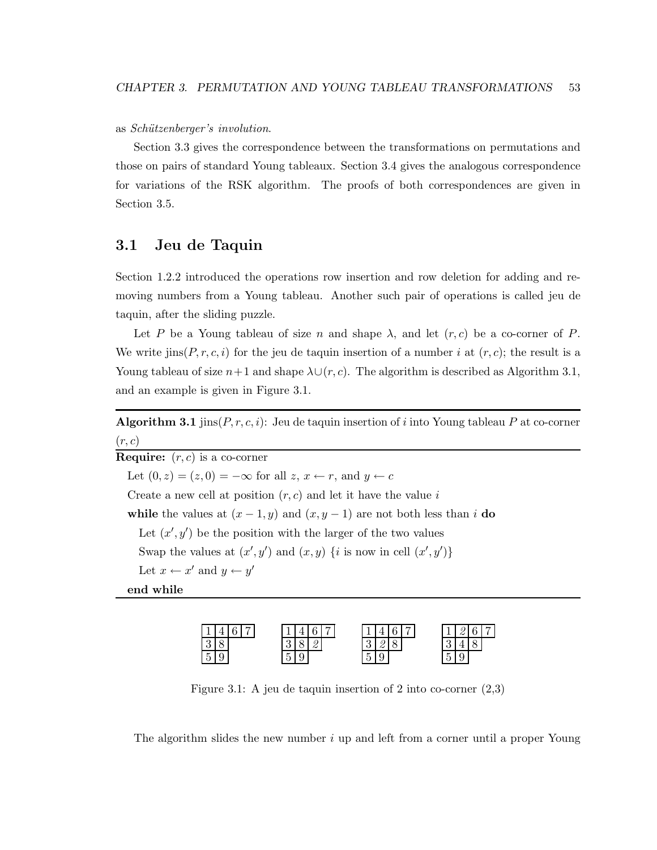as *Sch¨utzenberger's involution*.

Section 3.3 gives the correspondence between the transformations on permutations and those on pairs of standard Young tableaux. Section 3.4 gives the analogous correspondence for variations of the RSK algorithm. The proofs of both correspondences are given in Section 3.5.

# 3.1 Jeu de Taquin

Section 1.2.2 introduced the operations row insertion and row deletion for adding and removing numbers from a Young tableau. Another such pair of operations is called jeu de taquin, after the sliding puzzle.

Let P be a Young tableau of size n and shape  $\lambda$ , and let  $(r, c)$  be a co-corner of P. We write jins( $P, r, c, i$ ) for the jeu de taquin insertion of a number i at  $(r, c)$ ; the result is a Young tableau of size  $n+1$  and shape  $\lambda \cup (r, c)$ . The algorithm is described as Algorithm 3.1, and an example is given in Figure 3.1.

**Algorithm 3.1** jins $(P, r, c, i)$ : Jeu de taquin insertion of i into Young tableau P at co-corner  $(r, c)$ 

**Require:**  $(r, c)$  is a co-corner Let  $(0, z) = (z, 0) = -\infty$  for all  $z, x \leftarrow r$ , and  $y \leftarrow c$ Create a new cell at position  $(r, c)$  and let it have the value i while the values at  $(x - 1, y)$  and  $(x, y - 1)$  are not both less than i do Let  $(x', y')$  be the position with the larger of the two values Swap the values at  $(x', y')$  and  $(x, y)$  {*i* is now in cell  $(x', y')$ } Let  $x \leftarrow x'$  and  $y \leftarrow y'$ 

end while



Figure 3.1: A jeu de taquin insertion of 2 into co-corner (2,3)

The algorithm slides the new number  $i$  up and left from a corner until a proper Young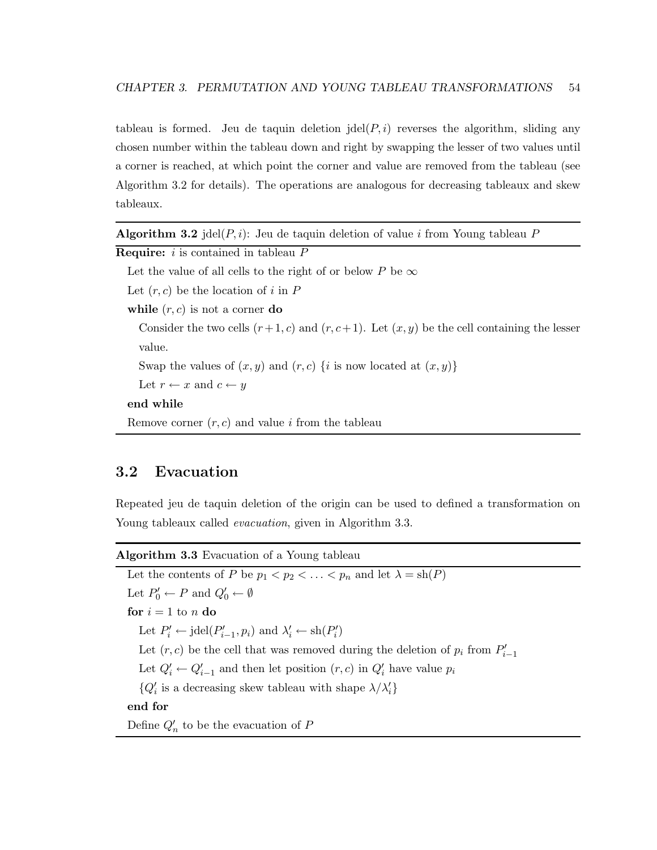tableau is formed. Jeu de taquin deletion jdel $(P, i)$  reverses the algorithm, sliding any chosen number within the tableau down and right by swapping the lesser of two values until a corner is reached, at which point the corner and value are removed from the tableau (see Algorithm 3.2 for details). The operations are analogous for decreasing tableaux and skew tableaux.

| <b>Algorithm 3.2</b> jdel( $P, i$ ): Jeu de taquin deletion of value i from Young tableau $P$ |  |  |  |  |  |  |  |  |  |  |  |  |
|-----------------------------------------------------------------------------------------------|--|--|--|--|--|--|--|--|--|--|--|--|
|-----------------------------------------------------------------------------------------------|--|--|--|--|--|--|--|--|--|--|--|--|

```
Require: i is contained in tableau P
```
Let the value of all cells to the right of or below P be  $\infty$ 

Let  $(r, c)$  be the location of i in P

while  $(r, c)$  is not a corner do

Consider the two cells  $(r+1, c)$  and  $(r, c+1)$ . Let  $(x, y)$  be the cell containing the lesser value.

Swap the values of  $(x, y)$  and  $(r, c)$  {i is now located at  $(x, y)$ }

Let  $r \leftarrow x$  and  $c \leftarrow y$ 

#### end while

Remove corner  $(r, c)$  and value i from the tableau

# 3.2 Evacuation

Repeated jeu de taquin deletion of the origin can be used to defined a transformation on Young tableaux called *evacuation*, given in Algorithm 3.3.

Algorithm 3.3 Evacuation of a Young tableau

Let the contents of P be  $p_1 < p_2 < \ldots < p_n$  and let  $\lambda = \text{sh}(P)$ Let  $P'_0 \leftarrow P$  and  $Q'_0 \leftarrow \emptyset$ for  $i = 1$  to n do Let  $P'_i \leftarrow \text{jdel}(P'_{i-1}, p_i)$  and  $\lambda'_i \leftarrow \text{sh}(P'_i)$ Let  $(r, c)$  be the cell that was removed during the deletion of  $p_i$  from  $P'_{i-1}$ Let  $Q'_i \leftarrow Q'_{i-1}$  and then let position  $(r, c)$  in  $Q'_i$  have value  $p_i$  $\{Q'_i \text{ is a decreasing skew tableau with shape } \lambda/\lambda'_i\}$ end for Define  $Q'_n$  to be the evacuation of  $P$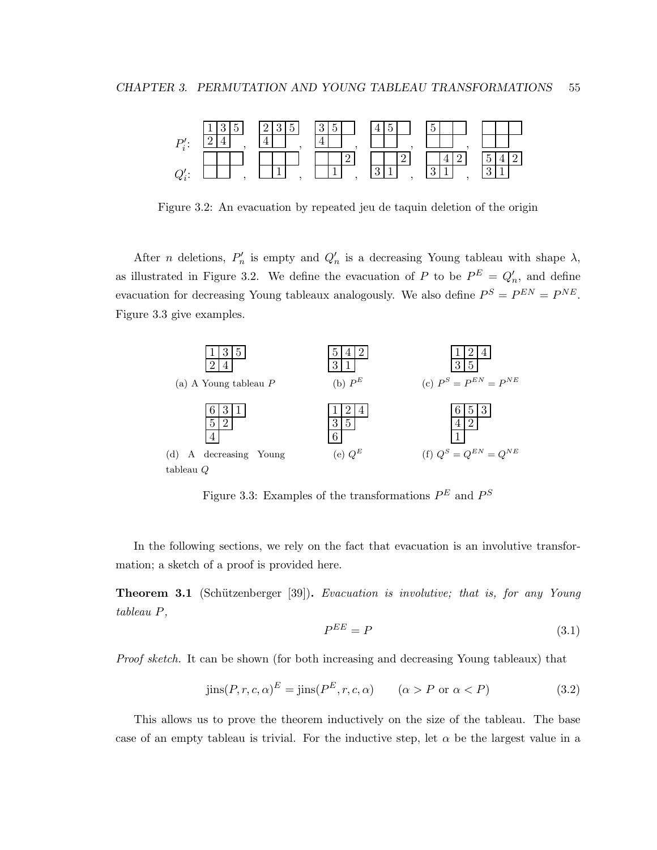

Figure 3.2: An evacuation by repeated jeu de taquin deletion of the origin

After *n* deletions,  $P'_n$  is empty and  $Q'_n$  is a decreasing Young tableau with shape  $\lambda$ , as illustrated in Figure 3.2. We define the evacuation of P to be  $P^E = Q'_n$ , and define evacuation for decreasing Young tableaux analogously. We also define  $P^S = P^{EN} = P^{NE}$ . Figure 3.3 give examples.



Figure 3.3: Examples of the transformations  $P<sup>E</sup>$  and  $P<sup>S</sup>$ 

In the following sections, we rely on the fact that evacuation is an involutive transformation; a sketch of a proof is provided here.

Theorem 3.1 (Sch¨utzenberger [39]). *Evacuation is involutive; that is, for any Young tableau* P*,*

$$
P^{EE} = P \tag{3.1}
$$

*Proof sketch.* It can be shown (for both increasing and decreasing Young tableaux) that

$$
jins(P, r, c, \alpha)^{E} = jins(P^{E}, r, c, \alpha) \qquad (\alpha > P \text{ or } \alpha < P)
$$
\n(3.2)

This allows us to prove the theorem inductively on the size of the tableau. The base case of an empty tableau is trivial. For the inductive step, let  $\alpha$  be the largest value in a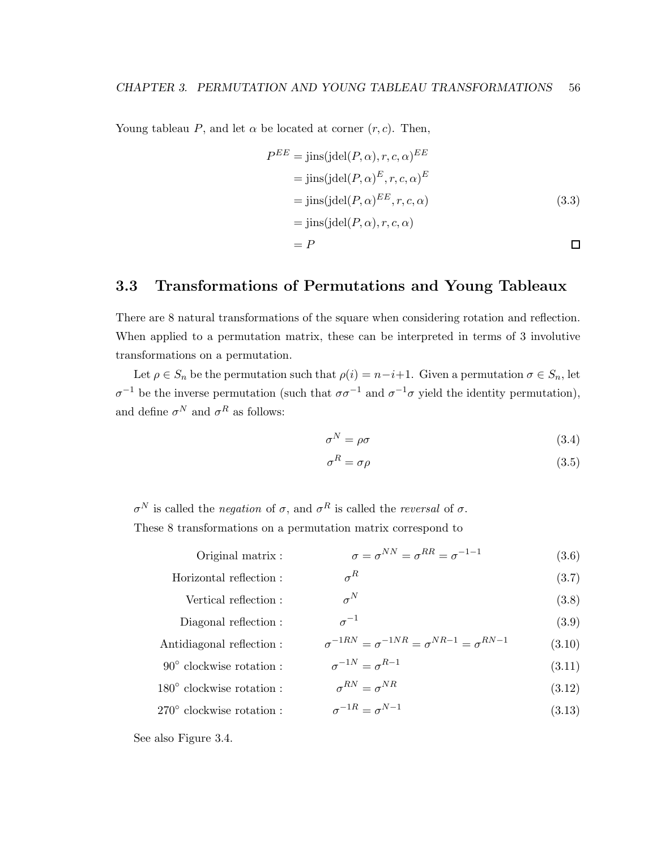Young tableau P, and let  $\alpha$  be located at corner  $(r, c)$ . Then,

$$
P^{EE} = \text{jins}(\text{jdel}(P, \alpha), r, c, \alpha)^{EE}
$$
  
= 
$$
\text{jins}(\text{jdel}(P, \alpha)^E, r, c, \alpha)^E
$$
  
= 
$$
\text{jins}(\text{jdel}(P, \alpha)^{EE}, r, c, \alpha)
$$
  
= 
$$
\text{jins}(\text{jdel}(P, \alpha), r, c, \alpha)
$$
  
= 
$$
P
$$

# 3.3 Transformations of Permutations and Young Tableaux

There are 8 natural transformations of the square when considering rotation and reflection. When applied to a permutation matrix, these can be interpreted in terms of 3 involutive transformations on a permutation.

Let  $\rho \in S_n$  be the permutation such that  $\rho(i) = n-i+1$ . Given a permutation  $\sigma \in S_n$ , let  $\sigma^{-1}$  be the inverse permutation (such that  $\sigma \sigma^{-1}$  and  $\sigma^{-1} \sigma$  yield the identity permutation), and define  $\sigma^N$  and  $\sigma^R$  as follows:

$$
\sigma^N = \rho \sigma \tag{3.4}
$$

$$
\sigma^R = \sigma \rho \tag{3.5}
$$

σ <sup>N</sup> is called the *negation* of σ, and σ <sup>R</sup> is called the *reversal* of σ. These 8 transformations on a permutation matrix correspond to

| Original matrix :                 | $\sigma = \sigma^{NN} = \sigma^{RR} = \sigma^{-1-1}$            | (3.6)  |
|-----------------------------------|-----------------------------------------------------------------|--------|
| Horizontal reflection:            | $\sigma^R$                                                      | (3.7)  |
| Vertical reflection:              | $\sigma^N$                                                      | (3.8)  |
| Diagonal reflection:              | $\sigma^{-1}$                                                   | (3.9)  |
| Antidiagonal reflection :         | $\sigma^{-1RN} = \sigma^{-1NR} = \sigma^{NR-1} = \sigma^{RN-1}$ | (3.10) |
| $90^{\circ}$ clockwise rotation:  | $\sigma^{-1N} = \sigma^{R-1}$                                   | (3.11) |
| $180^{\circ}$ clockwise rotation: | $\sigma^{RN} = \sigma^{NR}$                                     | (3.12) |
| $270^{\circ}$ clockwise rotation: | $\sigma^{-1R} = \sigma^{N-1}$                                   | (3.13) |
|                                   |                                                                 |        |

See also Figure 3.4.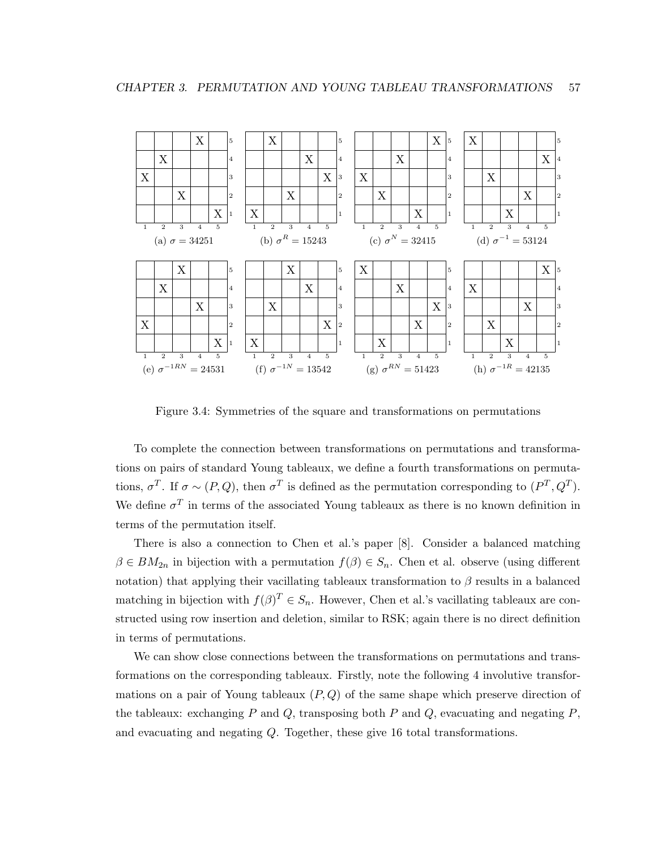

Figure 3.4: Symmetries of the square and transformations on permutations

To complete the connection between transformations on permutations and transformations on pairs of standard Young tableaux, we define a fourth transformations on permutations,  $\sigma^T$ . If  $\sigma \sim (P, Q)$ , then  $\sigma^T$  is defined as the permutation corresponding to  $(P^T, Q^T)$ . We define  $\sigma^T$  in terms of the associated Young tableaux as there is no known definition in terms of the permutation itself.

There is also a connection to Chen et al.'s paper [8]. Consider a balanced matching  $\beta \in BM_{2n}$  in bijection with a permutation  $f(\beta) \in S_n$ . Chen et al. observe (using different notation) that applying their vacillating tableaux transformation to  $\beta$  results in a balanced matching in bijection with  $f(\beta)^T \in S_n$ . However, Chen et al.'s vacillating tableaux are constructed using row insertion and deletion, similar to RSK; again there is no direct definition in terms of permutations.

We can show close connections between the transformations on permutations and transformations on the corresponding tableaux. Firstly, note the following 4 involutive transformations on a pair of Young tableaux  $(P, Q)$  of the same shape which preserve direction of the tableaux: exchanging P and Q, transposing both P and Q, evacuating and negating  $P$ , and evacuating and negating Q. Together, these give 16 total transformations.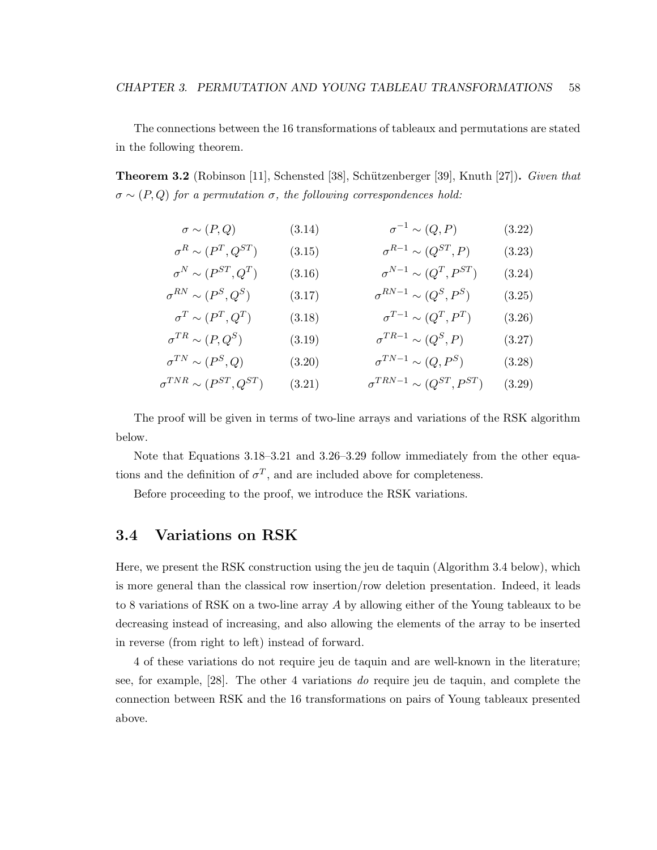The connections between the 16 transformations of tableaux and permutations are stated in the following theorem.

Theorem 3.2 (Robinson [11], Schensted [38], Schützenberger [39], Knuth [27]). *Given that*  $\sigma \sim (P,Q)$  *for a permutation*  $\sigma$ *, the following correspondences hold:* 

$$
\sigma \sim (P, Q) \qquad (3.14) \qquad \sigma^{-1} \sim (Q, P) \qquad (3.22)
$$
  
\n
$$
\sigma^{R} \sim (P^{T}, Q^{ST}) \qquad (3.15) \qquad \sigma^{R-1} \sim (Q^{ST}, P) \qquad (3.23)
$$
  
\n
$$
\sigma^{N} \sim (P^{ST}, Q^{T}) \qquad (3.16) \qquad \sigma^{N-1} \sim (Q^{T}, P^{ST}) \qquad (3.24)
$$

$$
\sigma^{RN} \sim (P^S, Q^S) \tag{3.17}
$$
\n
$$
\sigma^{RN-1} \sim (Q^S, P^S) \tag{3.25}
$$

$$
\sigma^T \sim (P^T, Q^T) \qquad (3.18) \qquad \sigma^{T-1} \sim (Q^T, P^T) \qquad (3.26)
$$
  

$$
\sigma^{TR} \sim (P, Q^S) \qquad (3.19) \qquad \sigma^{TR-1} \sim (Q^S, P) \qquad (3.27)
$$

$$
\sigma^{TN} \sim (P^S, Q) \qquad (3.20) \qquad \sigma^{TN-1} \sim (Q, P^S) \qquad (3.28)
$$
  

$$
\sigma^{TNR} \sim (P^{ST}, Q^{ST}) \qquad (3.21) \qquad \sigma^{TRN-1} \sim (Q^{ST}, P^{ST}) \qquad (3.29)
$$

The proof will be given in terms of two-line arrays and variations of the RSK algorithm below.

Note that Equations 3.18–3.21 and 3.26–3.29 follow immediately from the other equations and the definition of  $\sigma^T$ , and are included above for completeness.

Before proceeding to the proof, we introduce the RSK variations.

# 3.4 Variations on RSK

Here, we present the RSK construction using the jeu de taquin (Algorithm 3.4 below), which is more general than the classical row insertion/row deletion presentation. Indeed, it leads to 8 variations of RSK on a two-line array A by allowing either of the Young tableaux to be decreasing instead of increasing, and also allowing the elements of the array to be inserted in reverse (from right to left) instead of forward.

4 of these variations do not require jeu de taquin and are well-known in the literature; see, for example, [28]. The other 4 variations *do* require jeu de taquin, and complete the connection between RSK and the 16 transformations on pairs of Young tableaux presented above.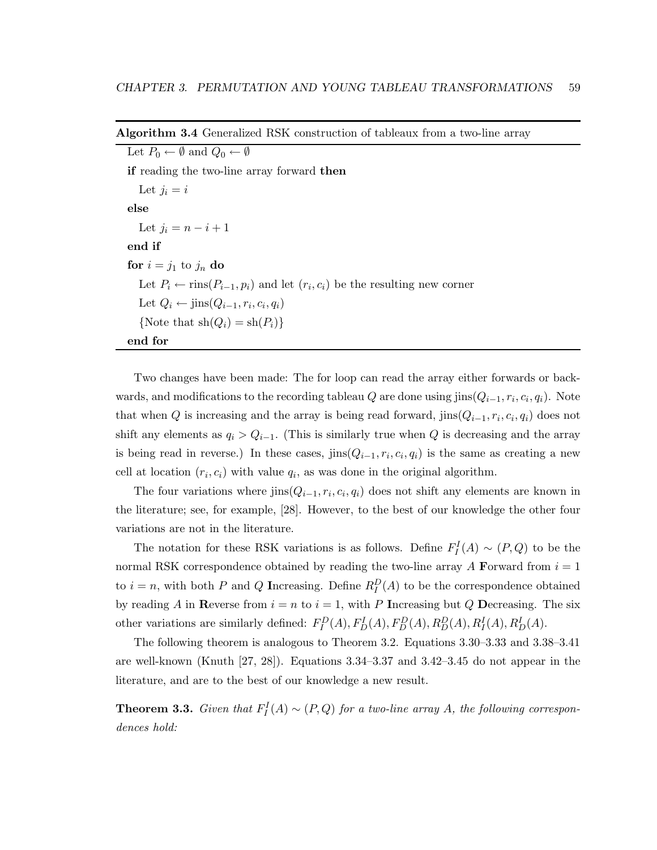| Let $P_0 \leftarrow \emptyset$ and $Q_0 \leftarrow \emptyset$                                   |
|-------------------------------------------------------------------------------------------------|
| <b>if</b> reading the two-line array forward <b>then</b>                                        |
| Let $j_i = i$                                                                                   |
| else                                                                                            |
| Let $j_i = n - i + 1$                                                                           |
| end if                                                                                          |
| for $i = j_1$ to $j_n$ do                                                                       |
| Let $P_i \leftarrow \text{rins}(P_{i-1}, p_i)$ and let $(r_i, c_i)$ be the resulting new corner |
| Let $Q_i \leftarrow \text{jins}(Q_{i-1}, r_i, c_i, q_i)$                                        |
| {Note that $\sh(Q_i) = \sh(P_i)$ }                                                              |
| end for                                                                                         |

Algorithm 3.4 Generalized RSK construction of tableaux from a two-line array

Two changes have been made: The for loop can read the array either forwards or backwards, and modifications to the recording tableau  $Q$  are done using jins $(Q_{i-1}, r_i, c_i, q_i)$ . Note that when Q is increasing and the array is being read forward,  $\text{jins}(Q_{i-1}, r_i, c_i, q_i)$  does not shift any elements as  $q_i > Q_{i-1}$ . (This is similarly true when Q is decreasing and the array is being read in reverse.) In these cases,  $\text{jins}(Q_{i-1}, r_i, c_i, q_i)$  is the same as creating a new cell at location  $(r_i, c_i)$  with value  $q_i$ , as was done in the original algorithm.

The four variations where  $\text{jins}(Q_{i-1}, r_i, c_i, q_i)$  does not shift any elements are known in the literature; see, for example, [28]. However, to the best of our knowledge the other four variations are not in the literature.

The notation for these RSK variations is as follows. Define  $F_I^I(A) \sim (P,Q)$  to be the normal RSK correspondence obtained by reading the two-line array A Forward from  $i = 1$ to  $i = n$ , with both P and Q Increasing. Define  $R_I^D(A)$  to be the correspondence obtained by reading A in Reverse from  $i = n$  to  $i = 1$ , with P Increasing but Q Decreasing. The six other variations are similarly defined:  $F_I^D(A)$ ,  $F_D^I(A)$ ,  $F_D^D(A)$ ,  $R_I^D(A)$ ,  $R_I^I(A)$ ,  $R_I^I(A)$ .

The following theorem is analogous to Theorem 3.2. Equations 3.30–3.33 and 3.38–3.41 are well-known (Knuth [27, 28]). Equations 3.34–3.37 and 3.42–3.45 do not appear in the literature, and are to the best of our knowledge a new result.

**Theorem 3.3.** *Given that*  $F_I^I(A) \sim (P, Q)$  *for a two-line array* A, the following correspon*dences hold:*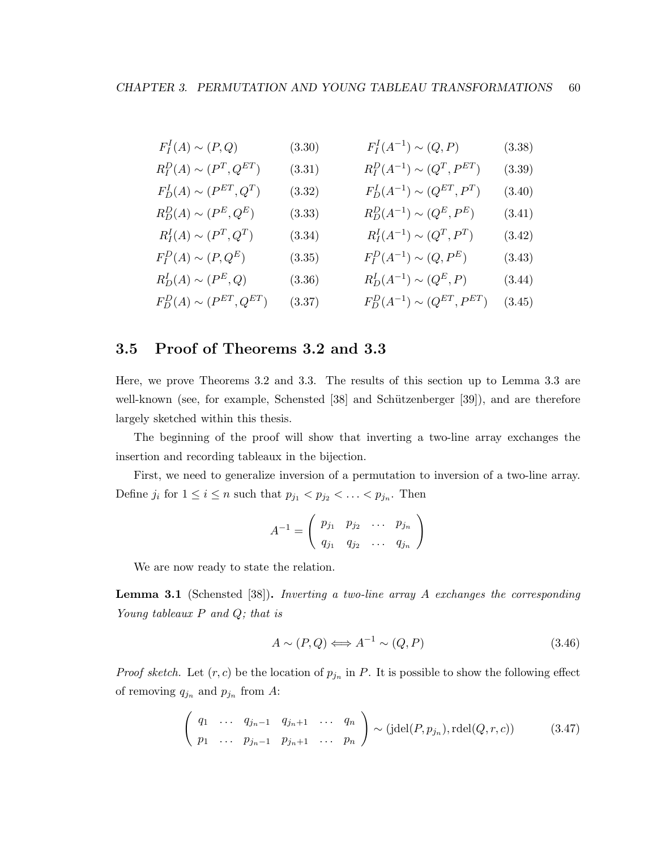| $F_I^I(A) \sim (P,Q)$            | (3.30) | $F_I^I(A^{-1}) \sim (Q, P)$           | (3.38) |
|----------------------------------|--------|---------------------------------------|--------|
| $R_I^D(A) \sim (P^T, Q^{ET})$    | (3.31) | $R_I^D(A^{-1}) \sim (Q^T, P^{ET})$    | (3.39) |
| $F_D^I(A) \sim (P^{ET}, Q^T)$    | (3.32) | $F_D^I(A^{-1}) \sim (Q^{ET}, P^T)$    | (3.40) |
| $R_D^D(A) \sim (P^E, Q^E)$       | (3.33) | $R_D^D(A^{-1}) \sim (Q^E, P^E)$       | (3.41) |
| $R_I^I(A) \sim (P^T, Q^T)$       | (3.34) | $R_I^I(A^{-1}) \sim (Q^T, P^T)$       | (3.42) |
| $F_I^D(A) \sim (P, Q^E)$         | (3.35) | $F_I^D(A^{-1}) \sim (Q, P^E)$         | (3.43) |
| $R_D^I(A) \sim (P^E, Q)$         | (3.36) | $R_D^I(A^{-1}) \sim (Q^E, P)$         | (3.44) |
| $F_D^D(A) \sim (P^{ET}, Q^{ET})$ | (3.37) | $F_D^D(A^{-1}) \sim (Q^{ET}, P^{ET})$ | (3.45) |

## 3.5 Proof of Theorems 3.2 and 3.3

Here, we prove Theorems 3.2 and 3.3. The results of this section up to Lemma 3.3 are well-known (see, for example, Schensted  $[38]$  and Schützenberger  $[39]$ ), and are therefore largely sketched within this thesis.

The beginning of the proof will show that inverting a two-line array exchanges the insertion and recording tableaux in the bijection.

First, we need to generalize inversion of a permutation to inversion of a two-line array. Define  $j_i$  for  $1 \leq i \leq n$  such that  $p_{j_1} < p_{j_2} < \ldots < p_{j_n}$ . Then

$$
A^{-1} = \left(\begin{array}{cccc} p_{j_1} & p_{j_2} & \dots & p_{j_n} \\ q_{j_1} & q_{j_2} & \dots & q_{j_n} \end{array}\right)
$$

We are now ready to state the relation.

Lemma 3.1 (Schensted [38]). *Inverting a two-line array* A *exchanges the corresponding Young tableaux* P *and* Q*; that is*

$$
A \sim (P, Q) \Longleftrightarrow A^{-1} \sim (Q, P) \tag{3.46}
$$

*Proof sketch.* Let  $(r, c)$  be the location of  $p_{j_n}$  in P. It is possible to show the following effect of removing  $q_{j_n}$  and  $p_{j_n}$  from A:

$$
\begin{pmatrix} q_1 & \dots & q_{j_n-1} & q_{j_n+1} & \dots & q_n \\ p_1 & \dots & p_{j_n-1} & p_{j_n+1} & \dots & p_n \end{pmatrix} \sim (jdel(P, p_{j_n}), relel(Q, r, c))
$$
 (3.47)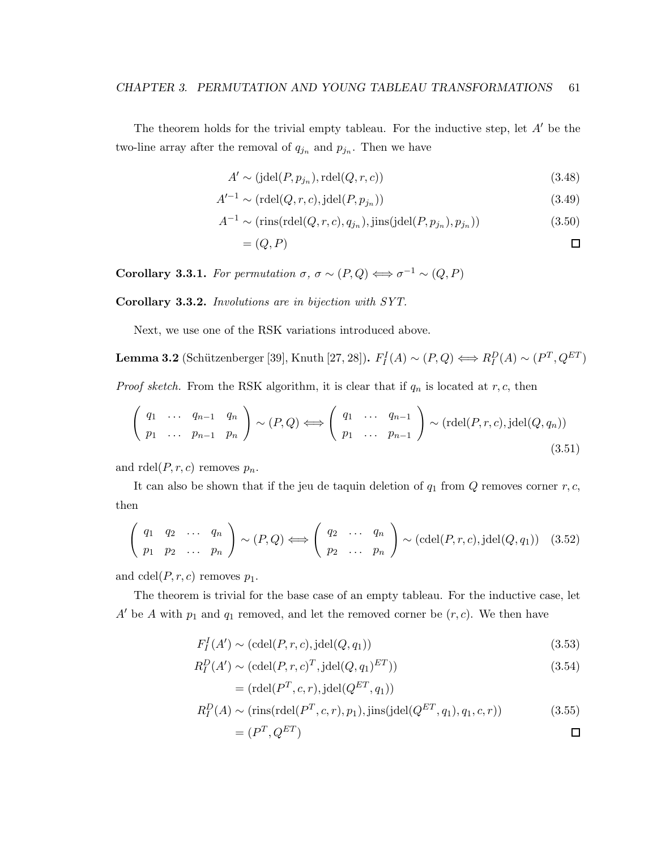The theorem holds for the trivial empty tableau. For the inductive step, let  $A'$  be the two-line array after the removal of  $q_{j_n}$  and  $p_{j_n}$ . Then we have

$$
A' \sim (\text{jdel}(P, p_{j_n}), \text{rdel}(Q, r, c))
$$
\n(3.48)

$$
A'^{-1} \sim (\text{rdel}(Q, r, c), \text{jdel}(P, p_{j_n})) \tag{3.49}
$$

$$
A^{-1} \sim (\text{rins}(\text{rdel}(Q, r, c), q_{j_n}), \text{jins}(\text{jdel}(P, p_{j_n}), p_{j_n}))
$$
\n(3.50)

$$
=(Q,P) \qquad \qquad \Box
$$

**Corollary 3.3.1.** *For permutation*  $\sigma$ ,  $\sigma \sim (P,Q) \Longleftrightarrow \sigma^{-1} \sim (Q,P)$ 

Corollary 3.3.2. *Involutions are in bijection with SYT.*

Next, we use one of the RSK variations introduced above.

**Lemma 3.2** (Schützenberger [39], Knuth [27, 28]).  $F_I^I(A) \sim (P, Q) \Longleftrightarrow R_I^D(A) \sim (P^T, Q^{ET})$ 

*Proof sketch.* From the RSK algorithm, it is clear that if  $q_n$  is located at  $r, c$ , then

$$
\left(\begin{array}{cccc}\nq_1 & \cdots & q_{n-1} & q_n \\
p_1 & \cdots & p_{n-1} & p_n\n\end{array}\right) \sim (P, Q) \Longleftrightarrow \left(\begin{array}{cccc}\nq_1 & \cdots & q_{n-1} \\
p_1 & \cdots & p_{n-1}\n\end{array}\right) \sim (\text{rdel}(P, r, c), \text{jdel}(Q, q_n))\n\tag{3.51}
$$

and  $\text{rdel}(P, r, c)$  removes  $p_n$ .

It can also be shown that if the jeu de taquin deletion of  $q_1$  from  $Q$  removes corner  $r, c$ , then

$$
\left(\begin{array}{cccc}\nq_1 & q_2 & \cdots & q_n \\
p_1 & p_2 & \cdots & p_n\n\end{array}\right) \sim (P, Q) \Longleftrightarrow \left(\begin{array}{cccc}\nq_2 & \cdots & q_n \\
p_2 & \cdots & p_n\n\end{array}\right) \sim (\text{cdel}(P, r, c), \text{jdel}(Q, q_1)) \quad (3.52)
$$

and  $\text{cdel}(P, r, c)$  removes  $p_1$ .

The theorem is trivial for the base case of an empty tableau. For the inductive case, let A' be A with  $p_1$  and  $q_1$  removed, and let the removed corner be  $(r, c)$ . We then have

$$
F_I^I(A') \sim (\text{cdel}(P, r, c), \text{jdel}(Q, q_1))
$$
\n(3.53)

$$
R_I^D(A') \sim (\text{cdel}(P, r, c)^T, \text{jdel}(Q, q_1)^{ET})) \tag{3.54}
$$

$$
= (\text{rdel}(P^T, c, r), \text{jdel}(Q^{ET}, q_1))
$$
  

$$
R_I^D(A) \sim (\text{rins}(\text{rdel}(P^T, c, r), p_1), \text{jins}(\text{jdel}(Q^{ET}, q_1), q_1, c, r))
$$
(3.55)

 $=(P^T,Q^{ET})$  $\Box$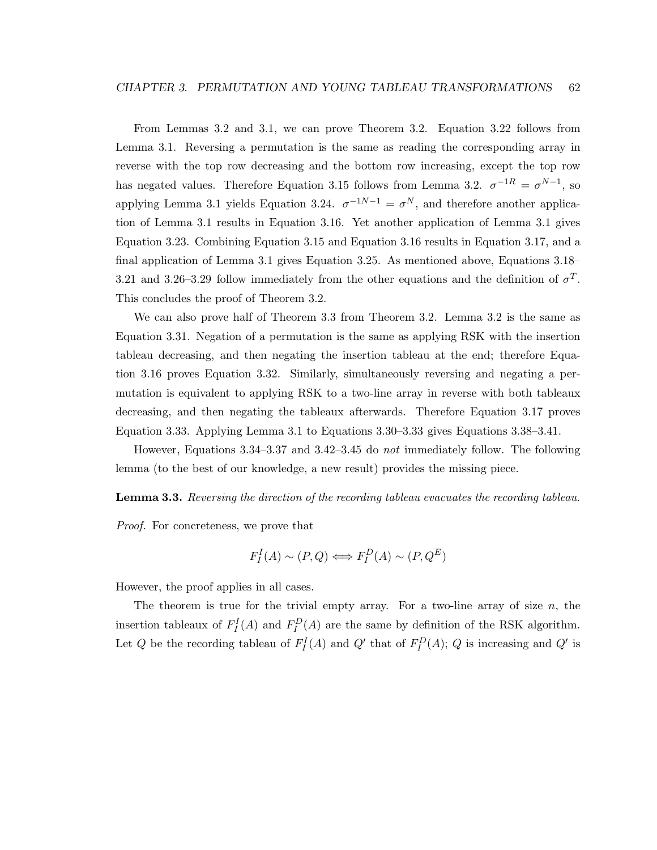From Lemmas 3.2 and 3.1, we can prove Theorem 3.2. Equation 3.22 follows from Lemma 3.1. Reversing a permutation is the same as reading the corresponding array in reverse with the top row decreasing and the bottom row increasing, except the top row has negated values. Therefore Equation 3.15 follows from Lemma 3.2.  $\sigma^{-1R} = \sigma^{N-1}$ , so applying Lemma 3.1 yields Equation 3.24.  $\sigma^{-1}N-1 = \sigma^N$ , and therefore another application of Lemma 3.1 results in Equation 3.16. Yet another application of Lemma 3.1 gives Equation 3.23. Combining Equation 3.15 and Equation 3.16 results in Equation 3.17, and a final application of Lemma 3.1 gives Equation 3.25. As mentioned above, Equations 3.18– 3.21 and 3.26–3.29 follow immediately from the other equations and the definition of  $\sigma^T$ . This concludes the proof of Theorem 3.2.

We can also prove half of Theorem 3.3 from Theorem 3.2. Lemma 3.2 is the same as Equation 3.31. Negation of a permutation is the same as applying RSK with the insertion tableau decreasing, and then negating the insertion tableau at the end; therefore Equation 3.16 proves Equation 3.32. Similarly, simultaneously reversing and negating a permutation is equivalent to applying RSK to a two-line array in reverse with both tableaux decreasing, and then negating the tableaux afterwards. Therefore Equation 3.17 proves Equation 3.33. Applying Lemma 3.1 to Equations 3.30–3.33 gives Equations 3.38–3.41.

However, Equations 3.34–3.37 and 3.42–3.45 do *not* immediately follow. The following lemma (to the best of our knowledge, a new result) provides the missing piece.

#### Lemma 3.3. *Reversing the direction of the recording tableau evacuates the recording tableau.*

*Proof.* For concreteness, we prove that

$$
F_I^I(A) \sim (P, Q) \Longleftrightarrow F_I^D(A) \sim (P, Q^E)
$$

However, the proof applies in all cases.

The theorem is true for the trivial empty array. For a two-line array of size  $n$ , the insertion tableaux of  $F_I^I(A)$  and  $F_I^D(A)$  are the same by definition of the RSK algorithm. Let Q be the recording tableau of  $F_I^I(A)$  and  $Q'$  that of  $F_I^D(A)$ ; Q is increasing and  $Q'$  is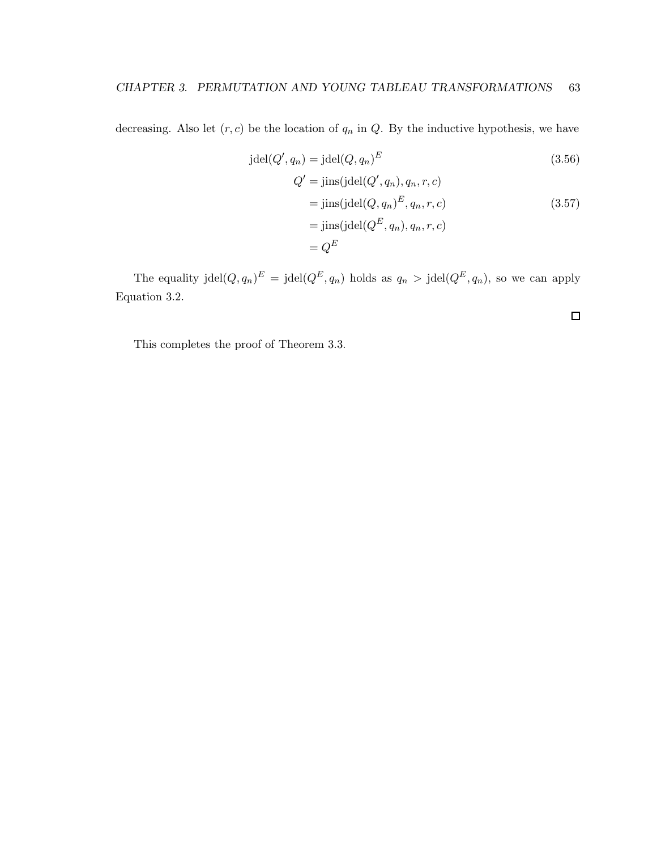decreasing. Also let  $(r, c)$  be the location of  $q_n$  in  $Q$ . By the inductive hypothesis, we have

$$
jdel(Q', q_n) = jdel(Q, q_n)^E
$$
\n
$$
Q' = jins(jdel(Q', q_n), q_n, r, c)
$$
\n
$$
= jins(jdel(Q, q_n)^E, q_n, r, c)
$$
\n
$$
= jins(jdel(Q^E, q_n), q_n, r, c)
$$
\n
$$
= Q^E
$$
\n(3.57)

 $\Box$ 

The equality jdel $(Q, q_n)^E = \text{jdel}(Q^E, q_n)$  holds as  $q_n > \text{jdel}(Q^E, q_n)$ , so we can apply Equation 3.2.

This completes the proof of Theorem 3.3.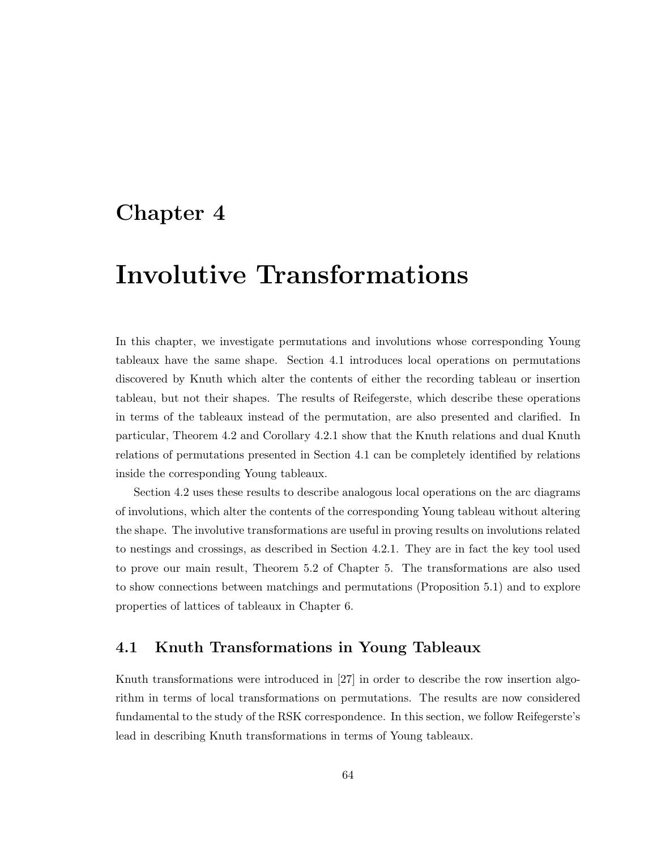# Chapter 4

# Involutive Transformations

In this chapter, we investigate permutations and involutions whose corresponding Young tableaux have the same shape. Section 4.1 introduces local operations on permutations discovered by Knuth which alter the contents of either the recording tableau or insertion tableau, but not their shapes. The results of Reifegerste, which describe these operations in terms of the tableaux instead of the permutation, are also presented and clarified. In particular, Theorem 4.2 and Corollary 4.2.1 show that the Knuth relations and dual Knuth relations of permutations presented in Section 4.1 can be completely identified by relations inside the corresponding Young tableaux.

Section 4.2 uses these results to describe analogous local operations on the arc diagrams of involutions, which alter the contents of the corresponding Young tableau without altering the shape. The involutive transformations are useful in proving results on involutions related to nestings and crossings, as described in Section 4.2.1. They are in fact the key tool used to prove our main result, Theorem 5.2 of Chapter 5. The transformations are also used to show connections between matchings and permutations (Proposition 5.1) and to explore properties of lattices of tableaux in Chapter 6.

# 4.1 Knuth Transformations in Young Tableaux

Knuth transformations were introduced in [27] in order to describe the row insertion algorithm in terms of local transformations on permutations. The results are now considered fundamental to the study of the RSK correspondence. In this section, we follow Reifegerste's lead in describing Knuth transformations in terms of Young tableaux.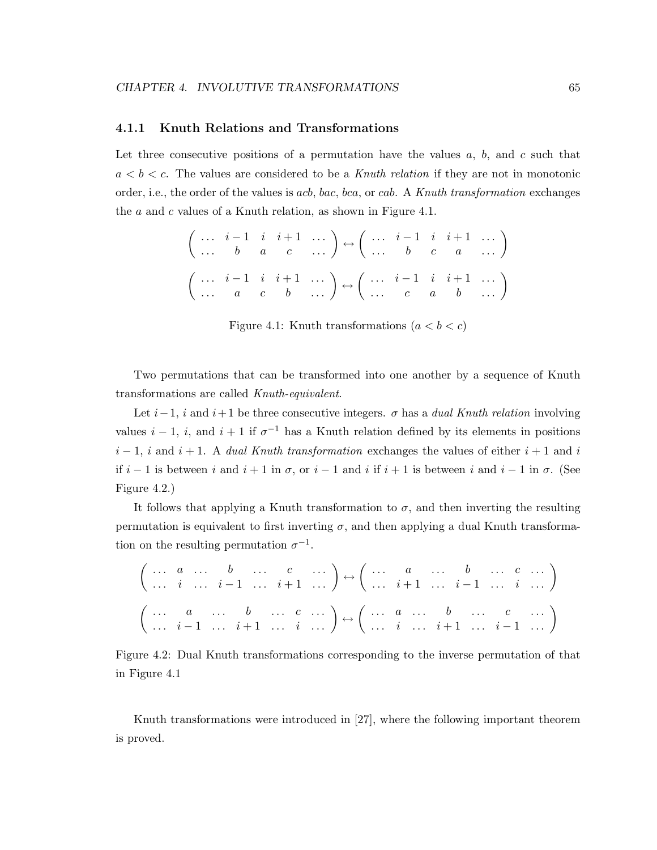#### 4.1.1 Knuth Relations and Transformations

Let three consecutive positions of a permutation have the values  $a, b$ , and c such that  $a < b < c$ . The values are considered to be a *Knuth relation* if they are not in monotonic order, i.e., the order of the values is acb, bac, bca, or cab. A *Knuth transformation* exchanges the  $a$  and  $c$  values of a Knuth relation, as shown in Figure 4.1.

$$
\begin{pmatrix}\n\cdots & i-1 & i & i+1 & \cdots \\
\cdots & b & a & c & \cdots\n\end{pmatrix} \leftrightarrow \begin{pmatrix}\n\cdots & i-1 & i & i+1 & \cdots \\
\cdots & b & c & a & \cdots\n\end{pmatrix}
$$
\n
$$
\begin{pmatrix}\n\cdots & i-1 & i & i+1 & \cdots \\
\cdots & a & c & b & \cdots\n\end{pmatrix} \leftrightarrow \begin{pmatrix}\n\cdots & i-1 & i & i+1 & \cdots \\
\cdots & c & a & b & \cdots\n\end{pmatrix}
$$

Figure 4.1: Knuth transformations  $(a < b < c)$ 

Two permutations that can be transformed into one another by a sequence of Knuth transformations are called *Knuth-equivalent*.

Let  $i-1$ , i and  $i+1$  be three consecutive integers.  $\sigma$  has a *dual Knuth relation* involving values  $i-1$ , i, and  $i+1$  if  $\sigma^{-1}$  has a Knuth relation defined by its elements in positions  $i-1$ , i and  $i+1$ . A *dual Knuth transformation* exchanges the values of either  $i+1$  and i if  $i-1$  is between i and  $i+1$  in  $\sigma$ , or  $i-1$  and i if  $i+1$  is between i and  $i-1$  in  $\sigma$ . (See Figure 4.2.)

It follows that applying a Knuth transformation to  $\sigma$ , and then inverting the resulting permutation is equivalent to first inverting  $\sigma$ , and then applying a dual Knuth transformation on the resulting permutation  $\sigma^{-1}$ .

$$
\left(\begin{array}{cccccc}\cdots&a&\cdots&b&\cdots&c&\cdots\\ \cdots&i&\cdots&i-1&\cdots&i+1&\cdots\end{array}\right)\leftrightarrow \left(\begin{array}{cccccc}\cdots&a&\cdots&b&\cdots&c&\cdots\\ \cdots&i+1&\cdots&i-1&\cdots&i&\cdots\end{array}\right)
$$

$$
\left(\begin{array}{cccccc}\cdots&a&\cdots&b&\cdots&c&\cdots\\ \cdots&i-1&\cdots&i+1&\cdots&i&\cdots\end{array}\right)\leftrightarrow \left(\begin{array}{cccccc}\cdots&a&\cdots&b&\cdots&c&\cdots\\ \cdots&i&\cdots&i+1&\cdots&i&\cdots\end{array}\right)
$$

Figure 4.2: Dual Knuth transformations corresponding to the inverse permutation of that in Figure 4.1

Knuth transformations were introduced in [27], where the following important theorem is proved.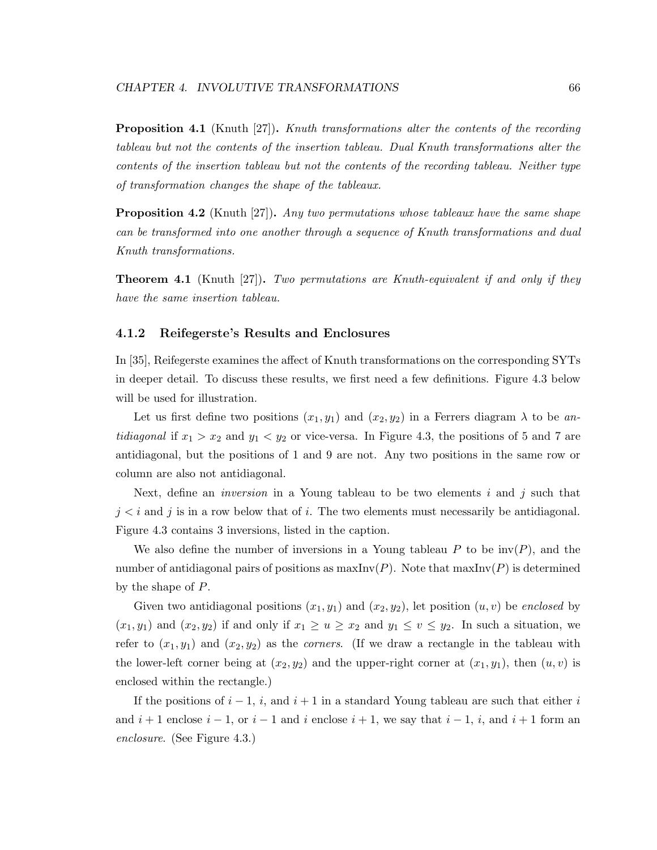Proposition 4.1 (Knuth [27]). *Knuth transformations alter the contents of the recording tableau but not the contents of the insertion tableau. Dual Knuth transformations alter the contents of the insertion tableau but not the contents of the recording tableau. Neither type of transformation changes the shape of the tableaux.*

Proposition 4.2 (Knuth [27]). *Any two permutations whose tableaux have the same shape can be transformed into one another through a sequence of Knuth transformations and dual Knuth transformations.*

Theorem 4.1 (Knuth [27]). *Two permutations are Knuth-equivalent if and only if they have the same insertion tableau.*

#### 4.1.2 Reifegerste's Results and Enclosures

In [35], Reifegerste examines the affect of Knuth transformations on the corresponding SYTs in deeper detail. To discuss these results, we first need a few definitions. Figure 4.3 below will be used for illustration.

Let us first define two positions  $(x_1, y_1)$  and  $(x_2, y_2)$  in a Ferrers diagram  $\lambda$  to be an*tidiagonal* if  $x_1 > x_2$  and  $y_1 < y_2$  or vice-versa. In Figure 4.3, the positions of 5 and 7 are antidiagonal, but the positions of 1 and 9 are not. Any two positions in the same row or column are also not antidiagonal.

Next, define an *inversion* in a Young tableau to be two elements i and j such that  $j < i$  and j is in a row below that of i. The two elements must necessarily be antidiagonal. Figure 4.3 contains 3 inversions, listed in the caption.

We also define the number of inversions in a Young tableau P to be  $inv(P)$ , and the number of antidiagonal pairs of positions as  $\max Inv(P)$ . Note that  $\max Inv(P)$  is determined by the shape of P.

Given two antidiagonal positions  $(x_1, y_1)$  and  $(x_2, y_2)$ , let position  $(u, v)$  be *enclosed* by  $(x_1, y_1)$  and  $(x_2, y_2)$  if and only if  $x_1 \ge u \ge x_2$  and  $y_1 \le v \le y_2$ . In such a situation, we refer to  $(x_1, y_1)$  and  $(x_2, y_2)$  as the *corners*. (If we draw a rectangle in the tableau with the lower-left corner being at  $(x_2, y_2)$  and the upper-right corner at  $(x_1, y_1)$ , then  $(u, v)$  is enclosed within the rectangle.)

If the positions of  $i - 1$ , i, and  $i + 1$  in a standard Young tableau are such that either i and  $i + 1$  enclose  $i - 1$ , or  $i - 1$  and i enclose  $i + 1$ , we say that  $i - 1$ , i, and  $i + 1$  form an *enclosure*. (See Figure 4.3.)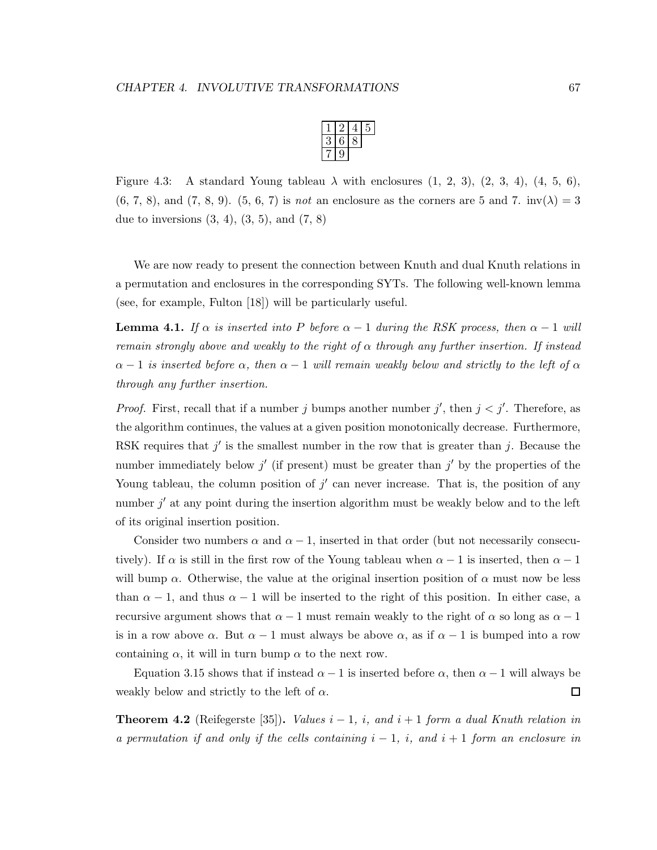Figure 4.3: A standard Young tableau  $\lambda$  with enclosures  $(1, 2, 3), (2, 3, 4), (4, 5, 6),$  $(6, 7, 8)$ , and  $(7, 8, 9)$ .  $(5, 6, 7)$  is *not* an enclosure as the corners are 5 and 7. inv $(\lambda) = 3$ due to inversions  $(3, 4)$ ,  $(3, 5)$ , and  $(7, 8)$ 

We are now ready to present the connection between Knuth and dual Knuth relations in a permutation and enclosures in the corresponding SYTs. The following well-known lemma (see, for example, Fulton [18]) will be particularly useful.

**Lemma 4.1.** If  $\alpha$  is inserted into P before  $\alpha - 1$  during the RSK process, then  $\alpha - 1$  will *remain strongly above and weakly to the right of* α *through any further insertion. If instead*  $\alpha - 1$  *is inserted before*  $\alpha$ *, then*  $\alpha - 1$  *will remain weakly below and strictly to the left of*  $\alpha$ *through any further insertion.*

*Proof.* First, recall that if a number j bumps another number j', then  $j < j'$ . Therefore, as the algorithm continues, the values at a given position monotonically decrease. Furthermore, RSK requires that  $j'$  is the smallest number in the row that is greater than j. Because the number immediately below  $j'$  (if present) must be greater than  $j'$  by the properties of the Young tableau, the column position of  $j'$  can never increase. That is, the position of any number  $j'$  at any point during the insertion algorithm must be weakly below and to the left of its original insertion position.

Consider two numbers  $\alpha$  and  $\alpha - 1$ , inserted in that order (but not necessarily consecutively). If  $\alpha$  is still in the first row of the Young tableau when  $\alpha - 1$  is inserted, then  $\alpha - 1$ will bump  $\alpha$ . Otherwise, the value at the original insertion position of  $\alpha$  must now be less than  $\alpha - 1$ , and thus  $\alpha - 1$  will be inserted to the right of this position. In either case, a recursive argument shows that  $\alpha - 1$  must remain weakly to the right of  $\alpha$  so long as  $\alpha - 1$ is in a row above  $\alpha$ . But  $\alpha - 1$  must always be above  $\alpha$ , as if  $\alpha - 1$  is bumped into a row containing  $\alpha$ , it will in turn bump  $\alpha$  to the next row.

Equation 3.15 shows that if instead  $\alpha - 1$  is inserted before  $\alpha$ , then  $\alpha - 1$  will always be weakly below and strictly to the left of  $\alpha$ . 口

**Theorem 4.2** (Reifegerste [35]). *Values*  $i - 1$ ,  $i$ , and  $i + 1$  form a dual Knuth relation in *a permutation if and only if the cells containing* i − 1*,* i*, and* i + 1 *form an enclosure in*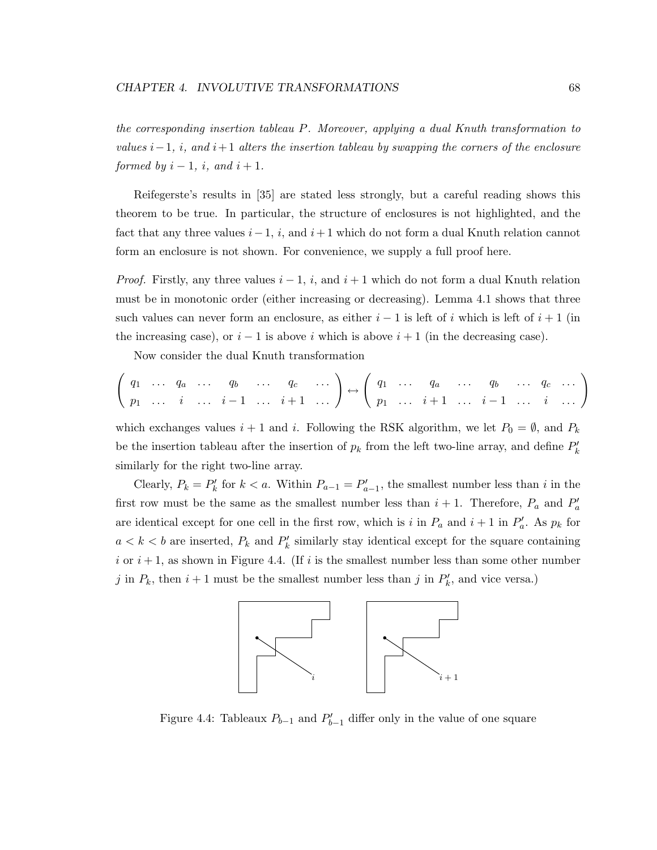*the corresponding insertion tableau* P*. Moreover, applying a dual Knuth transformation to values*  $i-1$ *, i<sub>i</sub>, and*  $i+1$  *alters the insertion tableau by swapping the corners of the enclosure formed by*  $i - 1$ *, i, and*  $i + 1$ *.* 

Reifegerste's results in [35] are stated less strongly, but a careful reading shows this theorem to be true. In particular, the structure of enclosures is not highlighted, and the fact that any three values  $i-1$ , i, and  $i+1$  which do not form a dual Knuth relation cannot form an enclosure is not shown. For convenience, we supply a full proof here.

*Proof.* Firstly, any three values  $i - 1$ , i, and  $i + 1$  which do not form a dual Knuth relation must be in monotonic order (either increasing or decreasing). Lemma 4.1 shows that three such values can never form an enclosure, as either  $i - 1$  is left of i which is left of  $i + 1$  (in the increasing case), or  $i - 1$  is above i which is above  $i + 1$  (in the decreasing case).

Now consider the dual Knuth transformation

$$
\left(\begin{array}{cccccc}\nq_1 & \ldots & q_a & \ldots & q_b & \ldots & q_c & \ldots \\
p_1 & \ldots & i & \ldots & i-1 & \ldots & i+1 & \ldots\n\end{array}\right) \leftrightarrow \left(\begin{array}{cccccc}\nq_1 & \ldots & q_a & \ldots & q_b & \ldots & q_c & \ldots \\
p_1 & \ldots & i+1 & \ldots & i-1 & \ldots & i\n\end{array}\right)
$$

which exchanges values  $i + 1$  and i. Following the RSK algorithm, we let  $P_0 = \emptyset$ , and  $P_k$ be the insertion tableau after the insertion of  $p_k$  from the left two-line array, and define  $P'_k$ similarly for the right two-line array.

Clearly,  $P_k = P'_k$  for  $k < a$ . Within  $P_{a-1} = P'_{a-1}$ , the smallest number less than i in the first row must be the same as the smallest number less than  $i + 1$ . Therefore,  $P_a$  and  $P'_a$ are identical except for one cell in the first row, which is i in  $P_a$  and  $i + 1$  in  $P'_a$ . As  $p_k$  for  $a < k < b$  are inserted,  $P_k$  and  $P'_k$  similarly stay identical except for the square containing i or  $i + 1$ , as shown in Figure 4.4. (If i is the smallest number less than some other number j in  $P_k$ , then  $i + 1$  must be the smallest number less than j in  $P'_k$ , and vice versa.)



Figure 4.4: Tableaux  $P_{b-1}$  and  $P'_{b-1}$  differ only in the value of one square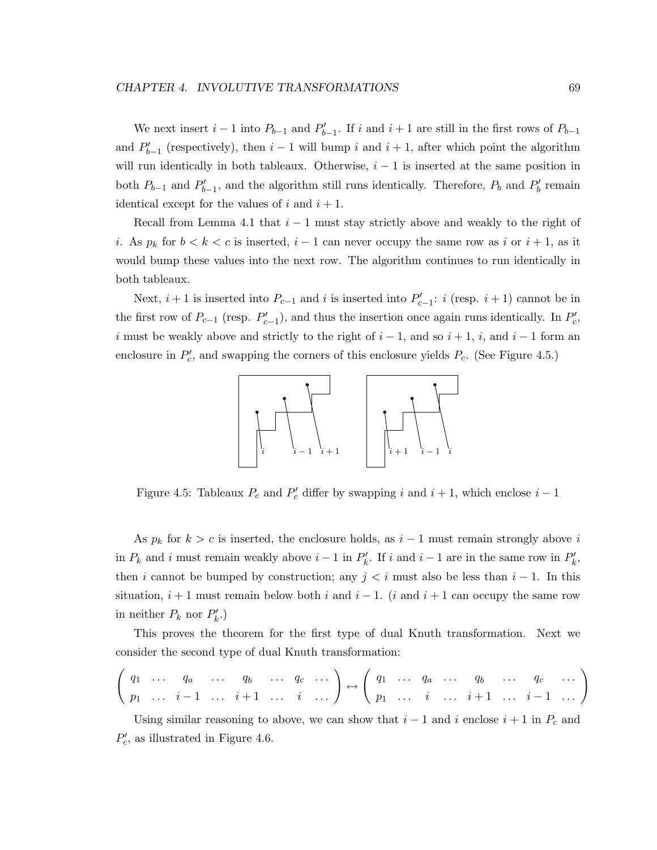We next insert  $i-1$  into  $P_{b-1}$  and  $P'_{b-1}$ . If i and  $i+1$  are still in the first rows of  $P_{b-1}$ and  $P'_{b-1}$  (respectively), then  $i-1$  will bump i and  $i+1$ , after which point the algorithm will run identically in both tableaux. Otherwise,  $i - 1$  is inserted at the same position in both  $P_{b-1}$  and  $P'_{b-1}$ , and the algorithm still runs identically. Therefore,  $P_b$  and  $P'_b$  remain identical except for the values of i and  $i + 1$ .

Recall from Lemma 4.1 that  $i - 1$  must stay strictly above and weakly to the right of i. As  $p_k$  for  $b < k < c$  is inserted,  $i - 1$  can never occupy the same row as i or  $i + 1$ , as it would bump these values into the next row. The algorithm continues to run identically in both tableaux.

Next,  $i + 1$  is inserted into  $P_{c-1}$  and i is inserted into  $P'_{c-1}$ : i (resp.  $i + 1$ ) cannot be in the first row of  $P_{c-1}$  (resp.  $P'_{c-1}$ ), and thus the insertion once again runs identically. In  $P'_{c}$ , i must be weakly above and strictly to the right of  $i - 1$ , and so  $i + 1$ , i, and  $i - 1$  form an enclosure in  $P'_c$ , and swapping the corners of this enclosure yields  $P_c$ . (See Figure 4.5.)



Figure 4.5: Tableaux  $P_c$  and  $P'_c$  differ by swapping i and  $i + 1$ , which enclose  $i - 1$ 

As  $p_k$  for  $k > c$  is inserted, the enclosure holds, as  $i - 1$  must remain strongly above i in  $P_k$  and i must remain weakly above  $i-1$  in  $P'_k$ . If i and  $i-1$  are in the same row in  $P'_k$ , then i cannot be bumped by construction; any  $j < i$  must also be less than  $i - 1$ . In this situation,  $i + 1$  must remain below both i and  $i - 1$ . (i and  $i + 1$  can occupy the same row in neither  $P_k$  nor  $P'_k$ .)

This proves the theorem for the first type of dual Knuth transformation. Next we consider the second type of dual Knuth transformation:

 q<sup>1</sup> . . . q<sup>a</sup> . . . q<sup>b</sup> . . . q<sup>c</sup> . . . <sup>p</sup><sup>1</sup> . . . i <sup>−</sup> <sup>1</sup> . . . i + 1 . . . i . . . ! ↔ q<sup>1</sup> . . . q<sup>a</sup> . . . q<sup>b</sup> . . . q<sup>c</sup> . . . <sup>p</sup><sup>1</sup> . . . i . . . i + 1 . . . i <sup>−</sup> <sup>1</sup> . . . !

Using similar reasoning to above, we can show that  $i - 1$  and i enclose  $i + 1$  in  $P_c$  and  $P'_c$ , as illustrated in Figure 4.6.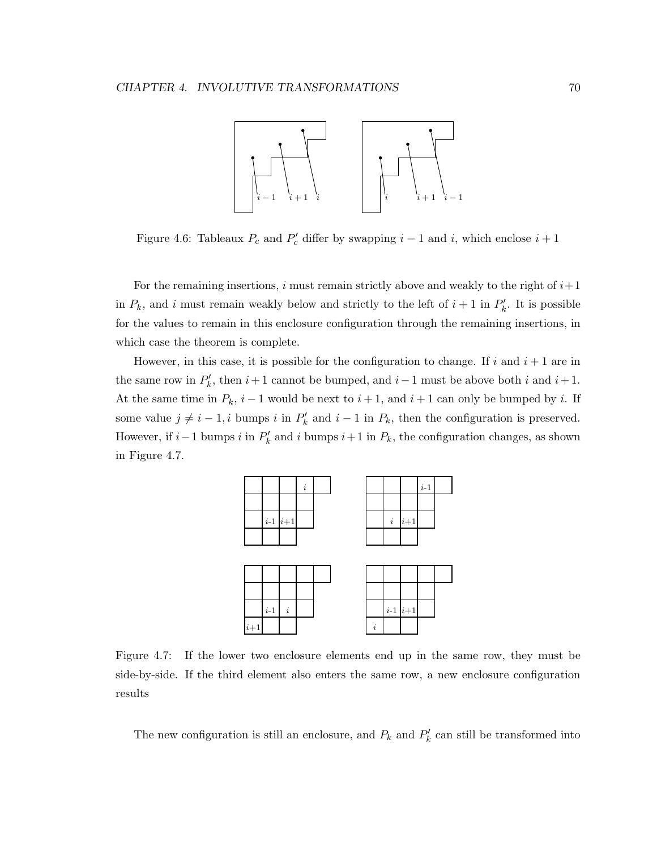

Figure 4.6: Tableaux  $P_c$  and  $P'_c$  differ by swapping  $i-1$  and i, which enclose  $i+1$ 

For the remaining insertions, i must remain strictly above and weakly to the right of  $i+1$ in  $P_k$ , and i must remain weakly below and strictly to the left of  $i+1$  in  $P'_k$ . It is possible for the values to remain in this enclosure configuration through the remaining insertions, in which case the theorem is complete.

However, in this case, it is possible for the configuration to change. If i and  $i + 1$  are in the same row in  $P'_k$ , then  $i+1$  cannot be bumped, and  $i-1$  must be above both i and  $i+1$ . At the same time in  $P_k$ ,  $i-1$  would be next to  $i+1$ , and  $i+1$  can only be bumped by i. If some value  $j \neq i - 1$ , i bumps i in  $P'_k$  and  $i - 1$  in  $P_k$ , then the configuration is preserved. However, if  $i-1$  bumps  $i$  in  $P'_k$  and  $i$  bumps  $i+1$  in  $P_k$ , the configuration changes, as shown in Figure 4.7.



Figure 4.7: If the lower two enclosure elements end up in the same row, they must be side-by-side. If the third element also enters the same row, a new enclosure configuration results

The new configuration is still an enclosure, and  $P_k$  and  $P'_k$  can still be transformed into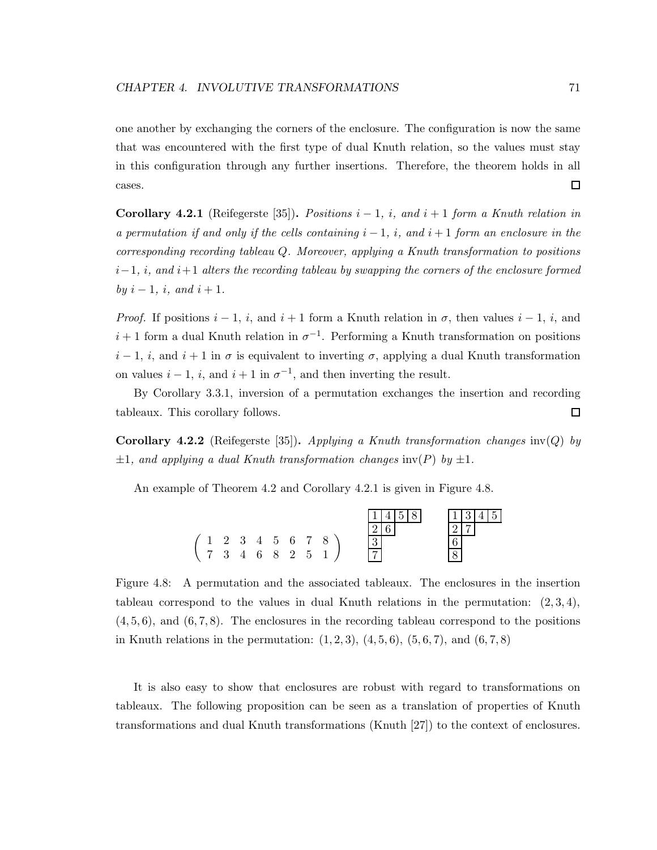one another by exchanging the corners of the enclosure. The configuration is now the same that was encountered with the first type of dual Knuth relation, so the values must stay in this configuration through any further insertions. Therefore, the theorem holds in all  $\Box$ cases.

**Corollary 4.2.1** (Reifegerste [35]). *Positions*  $i - 1$ , i, and  $i + 1$  form a Knuth relation in *a permutation if and only if the cells containing*  $i - 1$ , i, and  $i + 1$  *form an enclosure in the corresponding recording tableau* Q*. Moreover, applying a Knuth transformation to positions* i−1*,* i*, and* i+1 *alters the recording tableau by swapping the corners of the enclosure formed by*  $i - 1$ *,*  $i$ *,* and  $i + 1$ *.* 

*Proof.* If positions  $i - 1$ , i, and  $i + 1$  form a Knuth relation in  $\sigma$ , then values  $i - 1$ , i, and  $i+1$  form a dual Knuth relation in  $\sigma^{-1}$ . Performing a Knuth transformation on positions  $i-1$ , i, and  $i+1$  in  $\sigma$  is equivalent to inverting  $\sigma$ , applying a dual Knuth transformation on values  $i - 1$ , i, and  $i + 1$  in  $\sigma^{-1}$ , and then inverting the result.

By Corollary 3.3.1, inversion of a permutation exchanges the insertion and recording tableaux. This corollary follows. 口

Corollary 4.2.2 (Reifegerste [35]). *Applying a Knuth transformation changes* inv(Q) *by*  $\pm 1$ *, and applying a dual Knuth transformation changes* inv(P) *by*  $\pm 1$ *.* 

An example of Theorem 4.2 and Corollary 4.2.1 is given in Figure 4.8.



Figure 4.8: A permutation and the associated tableaux. The enclosures in the insertion tableau correspond to the values in dual Knuth relations in the permutation:  $(2,3,4)$ ,  $(4, 5, 6)$ , and  $(6, 7, 8)$ . The enclosures in the recording tableau correspond to the positions in Knuth relations in the permutation:  $(1, 2, 3)$ ,  $(4, 5, 6)$ ,  $(5, 6, 7)$ , and  $(6, 7, 8)$ 

It is also easy to show that enclosures are robust with regard to transformations on tableaux. The following proposition can be seen as a translation of properties of Knuth transformations and dual Knuth transformations (Knuth [27]) to the context of enclosures.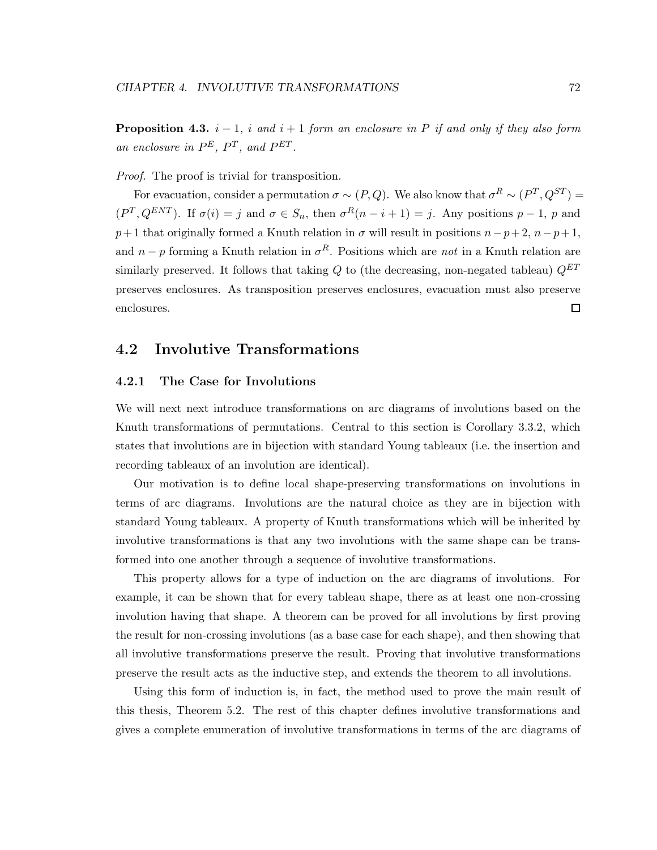Proposition 4.3. i − 1*,* i *and* i + 1 *form an enclosure in* P *if and only if they also form* an enclosure in  $P^E$ ,  $P^T$ , and  $P^{ET}$ .

*Proof.* The proof is trivial for transposition.

For evacuation, consider a permutation  $\sigma \sim (P,Q)$ . We also know that  $\sigma^R \sim (P^T,Q^{ST}) =$  $(P^T, Q^{ENT})$ . If  $\sigma(i) = j$  and  $\sigma \in S_n$ , then  $\sigma^R(n-i+1) = j$ . Any positions  $p-1$ , p and  $p+1$  that originally formed a Knuth relation in  $\sigma$  will result in positions  $n-p+2$ ,  $n-p+1$ , and  $n - p$  forming a Knuth relation in  $\sigma<sup>R</sup>$ . Positions which are *not* in a Knuth relation are similarly preserved. It follows that taking  $Q$  to (the decreasing, non-negated tableau)  $Q^{ET}$ preserves enclosures. As transposition preserves enclosures, evacuation must also preserve enclosures.  $\Box$ 

## 4.2 Involutive Transformations

#### 4.2.1 The Case for Involutions

We will next next introduce transformations on arc diagrams of involutions based on the Knuth transformations of permutations. Central to this section is Corollary 3.3.2, which states that involutions are in bijection with standard Young tableaux (i.e. the insertion and recording tableaux of an involution are identical).

Our motivation is to define local shape-preserving transformations on involutions in terms of arc diagrams. Involutions are the natural choice as they are in bijection with standard Young tableaux. A property of Knuth transformations which will be inherited by involutive transformations is that any two involutions with the same shape can be transformed into one another through a sequence of involutive transformations.

This property allows for a type of induction on the arc diagrams of involutions. For example, it can be shown that for every tableau shape, there as at least one non-crossing involution having that shape. A theorem can be proved for all involutions by first proving the result for non-crossing involutions (as a base case for each shape), and then showing that all involutive transformations preserve the result. Proving that involutive transformations preserve the result acts as the inductive step, and extends the theorem to all involutions.

Using this form of induction is, in fact, the method used to prove the main result of this thesis, Theorem 5.2. The rest of this chapter defines involutive transformations and gives a complete enumeration of involutive transformations in terms of the arc diagrams of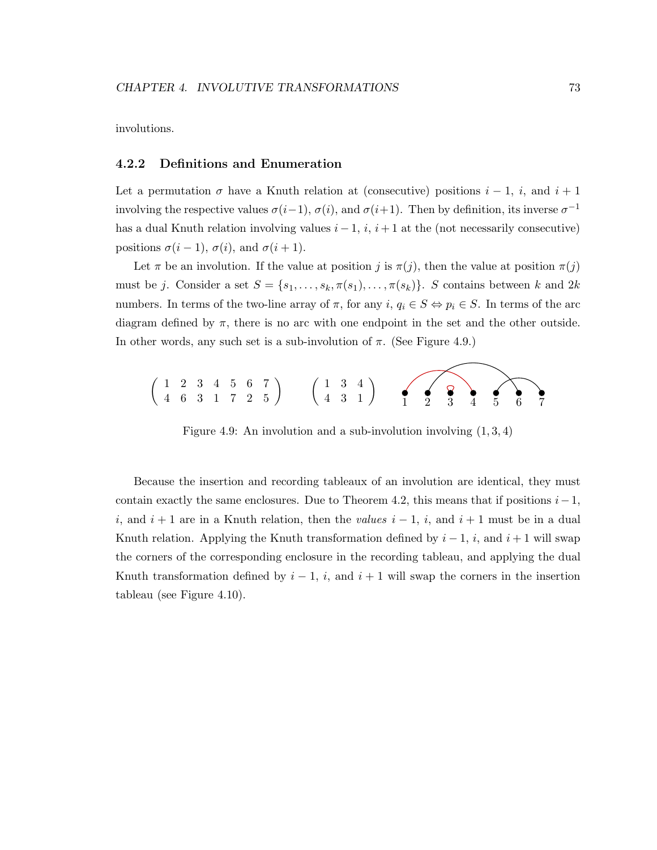involutions.

#### 4.2.2 Definitions and Enumeration

Let a permutation  $\sigma$  have a Knuth relation at (consecutive) positions  $i-1$ , i, and  $i+1$ involving the respective values  $\sigma(i-1)$ ,  $\sigma(i)$ , and  $\sigma(i+1)$ . Then by definition, its inverse  $\sigma^{-1}$ has a dual Knuth relation involving values  $i - 1$ ,  $i$ ,  $i + 1$  at the (not necessarily consecutive) positions  $\sigma(i-1)$ ,  $\sigma(i)$ , and  $\sigma(i+1)$ .

Let  $\pi$  be an involution. If the value at position j is  $\pi(j)$ , then the value at position  $\pi(j)$ must be j. Consider a set  $S = \{s_1, \ldots, s_k, \pi(s_1), \ldots, \pi(s_k)\}\$ . S contains between k and  $2k$ numbers. In terms of the two-line array of  $\pi$ , for any  $i, q_i \in S \Leftrightarrow p_i \in S$ . In terms of the arc diagram defined by  $\pi$ , there is no arc with one endpoint in the set and the other outside. In other words, any such set is a sub-involution of  $\pi$ . (See Figure 4.9.)



Figure 4.9: An involution and a sub-involution involving  $(1, 3, 4)$ 

Because the insertion and recording tableaux of an involution are identical, they must contain exactly the same enclosures. Due to Theorem 4.2, this means that if positions  $i-1$ , i, and  $i + 1$  are in a Knuth relation, then the *values*  $i - 1$ , i, and  $i + 1$  must be in a dual Knuth relation. Applying the Knuth transformation defined by  $i - 1$ , i, and  $i + 1$  will swap the corners of the corresponding enclosure in the recording tableau, and applying the dual Knuth transformation defined by  $i - 1$ , i, and  $i + 1$  will swap the corners in the insertion tableau (see Figure 4.10).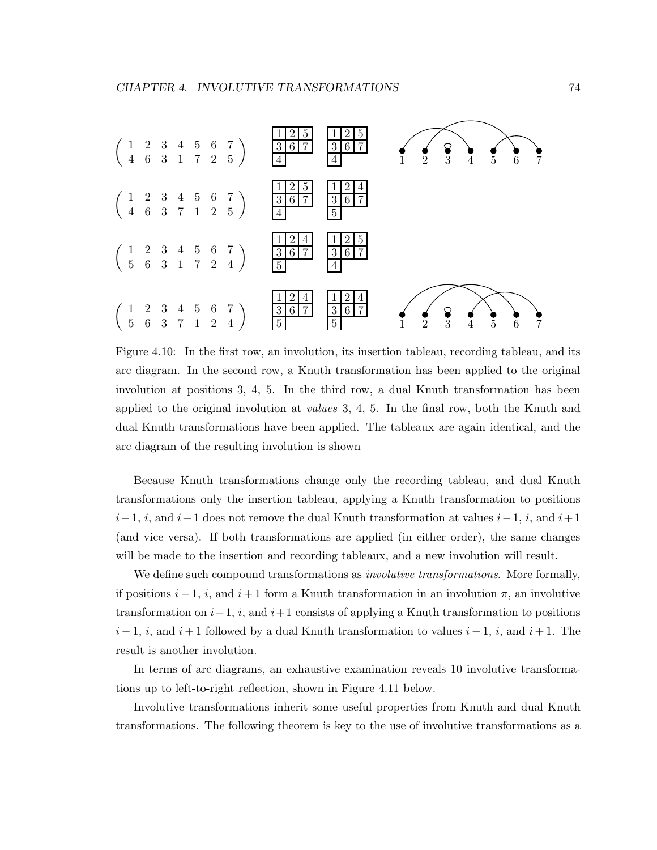

Figure 4.10: In the first row, an involution, its insertion tableau, recording tableau, and its arc diagram. In the second row, a Knuth transformation has been applied to the original involution at positions 3, 4, 5. In the third row, a dual Knuth transformation has been applied to the original involution at *values* 3, 4, 5. In the final row, both the Knuth and dual Knuth transformations have been applied. The tableaux are again identical, and the arc diagram of the resulting involution is shown

Because Knuth transformations change only the recording tableau, and dual Knuth transformations only the insertion tableau, applying a Knuth transformation to positions  $i-1$ , i, and  $i+1$  does not remove the dual Knuth transformation at values  $i-1$ , i, and  $i+1$ (and vice versa). If both transformations are applied (in either order), the same changes will be made to the insertion and recording tableaux, and a new involution will result.

We define such compound transformations as *involutive transformations*. More formally, if positions  $i - 1$ , i, and  $i + 1$  form a Knuth transformation in an involution  $\pi$ , an involutive transformation on  $i-1$ ,  $i$ , and  $i+1$  consists of applying a Knuth transformation to positions  $i-1$ , i, and  $i+1$  followed by a dual Knuth transformation to values  $i-1$ , i, and  $i+1$ . The result is another involution.

In terms of arc diagrams, an exhaustive examination reveals 10 involutive transformations up to left-to-right reflection, shown in Figure 4.11 below.

Involutive transformations inherit some useful properties from Knuth and dual Knuth transformations. The following theorem is key to the use of involutive transformations as a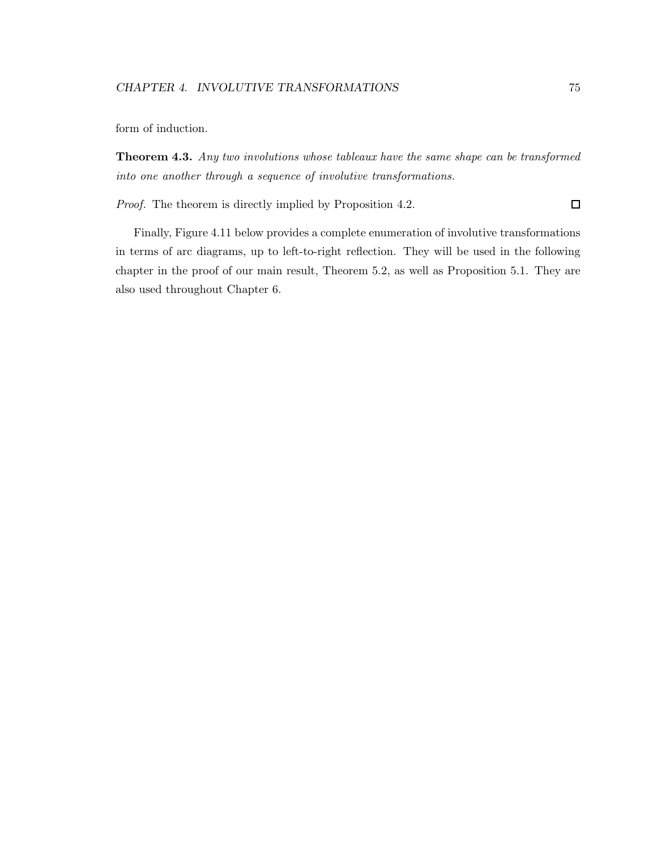form of induction.

**Theorem 4.3.** Any two involutions whose tableaux have the same shape can be transformed *into one another through a sequence of involutive transformations.*

*Proof.* The theorem is directly implied by Proposition 4.2.  $\Box$ 

Finally, Figure 4.11 below provides a complete enumeration of involutive transformations in terms of arc diagrams, up to left-to-right reflection. They will be used in the following chapter in the proof of our main result, Theorem 5.2, as well as Proposition 5.1. They are also used throughout Chapter 6.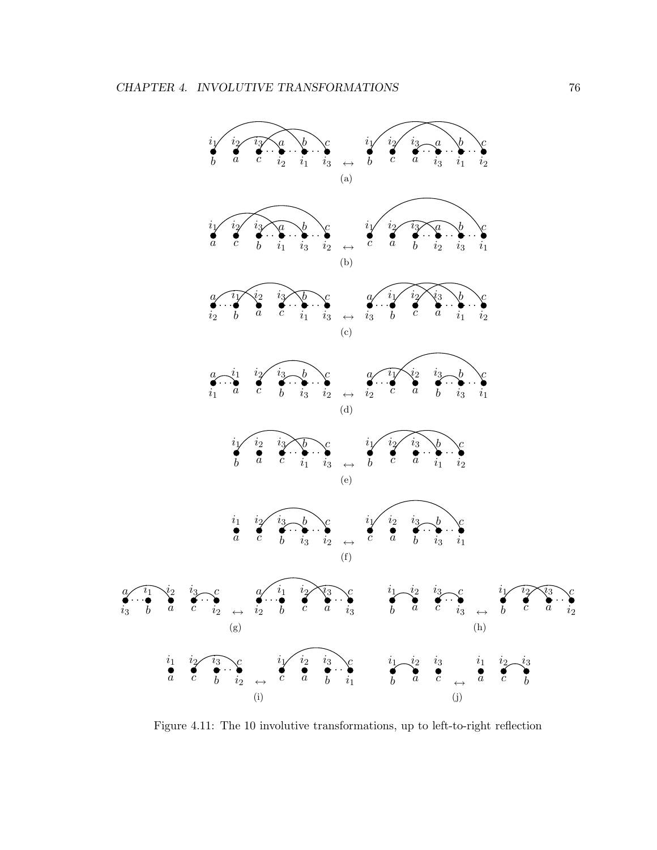

Figure 4.11: The 10 involutive transformations, up to left-to-right reflection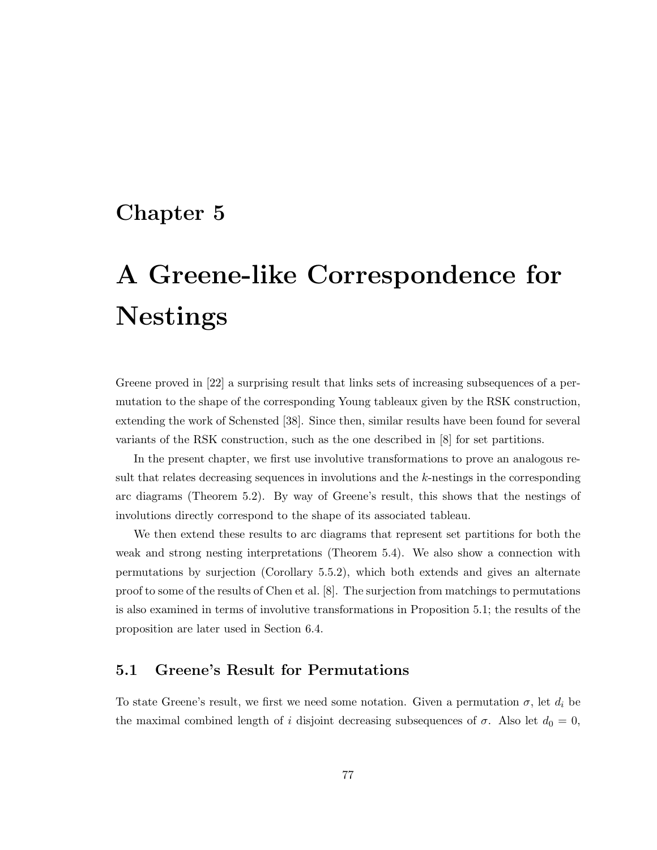# Chapter 5

# A Greene-like Correspondence for Nestings

Greene proved in [22] a surprising result that links sets of increasing subsequences of a permutation to the shape of the corresponding Young tableaux given by the RSK construction, extending the work of Schensted [38]. Since then, similar results have been found for several variants of the RSK construction, such as the one described in [8] for set partitions.

In the present chapter, we first use involutive transformations to prove an analogous result that relates decreasing sequences in involutions and the k-nestings in the corresponding arc diagrams (Theorem 5.2). By way of Greene's result, this shows that the nestings of involutions directly correspond to the shape of its associated tableau.

We then extend these results to arc diagrams that represent set partitions for both the weak and strong nesting interpretations (Theorem 5.4). We also show a connection with permutations by surjection (Corollary 5.5.2), which both extends and gives an alternate proof to some of the results of Chen et al. [8]. The surjection from matchings to permutations is also examined in terms of involutive transformations in Proposition 5.1; the results of the proposition are later used in Section 6.4.

# 5.1 Greene's Result for Permutations

To state Greene's result, we first we need some notation. Given a permutation  $\sigma$ , let  $d_i$  be the maximal combined length of i disjoint decreasing subsequences of  $\sigma$ . Also let  $d_0 = 0$ ,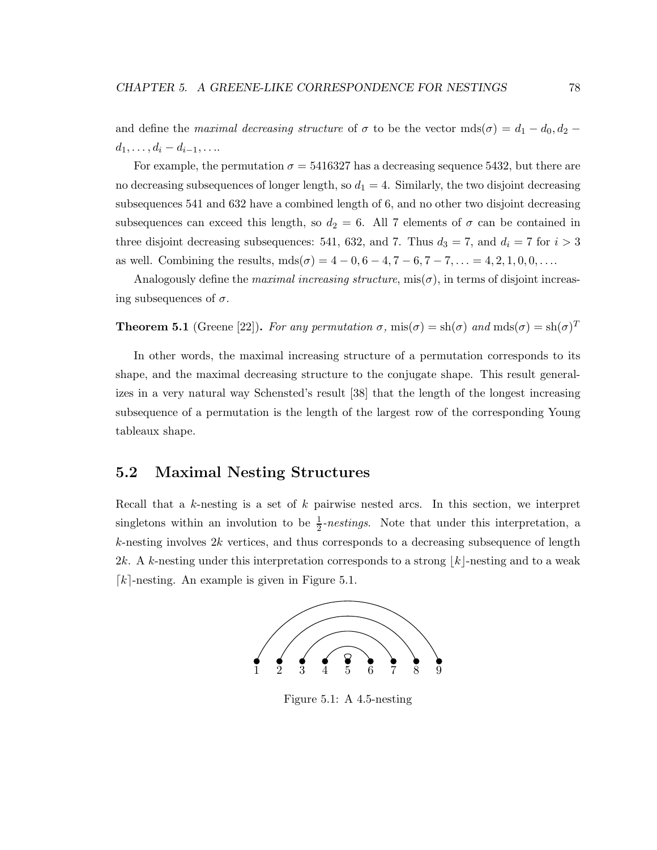and define the *maximal decreasing structure* of  $\sigma$  to be the vector  $mds(\sigma) = d_1 - d_0, d_2 - d_1$  $d_1, \ldots, d_i - d_{i-1}, \ldots$ 

For example, the permutation  $\sigma = 5416327$  has a decreasing sequence 5432, but there are no decreasing subsequences of longer length, so  $d_1 = 4$ . Similarly, the two disjoint decreasing subsequences 541 and 632 have a combined length of 6, and no other two disjoint decreasing subsequences can exceed this length, so  $d_2 = 6$ . All 7 elements of  $\sigma$  can be contained in three disjoint decreasing subsequences: 541, 632, and 7. Thus  $d_3 = 7$ , and  $d_i = 7$  for  $i > 3$ as well. Combining the results,  $mds(\sigma) = 4 - 0, 6 - 4, 7 - 6, 7 - 7, ... = 4, 2, 1, 0, 0, ...$ 

Analogously define the *maximal increasing structure*,  $\text{mis}(\sigma)$ , in terms of disjoint increasing subsequences of  $\sigma$ .

**Theorem 5.1** (Greene [22]). For any permutation  $\sigma$ , mis $(\sigma) = \text{sh}(\sigma)$  and mds $(\sigma) = \text{sh}(\sigma)^T$ 

In other words, the maximal increasing structure of a permutation corresponds to its shape, and the maximal decreasing structure to the conjugate shape. This result generalizes in a very natural way Schensted's result [38] that the length of the longest increasing subsequence of a permutation is the length of the largest row of the corresponding Young tableaux shape.

# 5.2 Maximal Nesting Structures

Recall that a k-nesting is a set of k pairwise nested arcs. In this section, we interpret singletons within an involution to be  $\frac{1}{2}$ -nestings. Note that under this interpretation, a  $k$ -nesting involves  $2k$  vertices, and thus corresponds to a decreasing subsequence of length 2k. A k-nesting under this interpretation corresponds to a strong  $|k|$ -nesting and to a weak  $[k]$ -nesting. An example is given in Figure 5.1.



Figure 5.1: A 4.5-nesting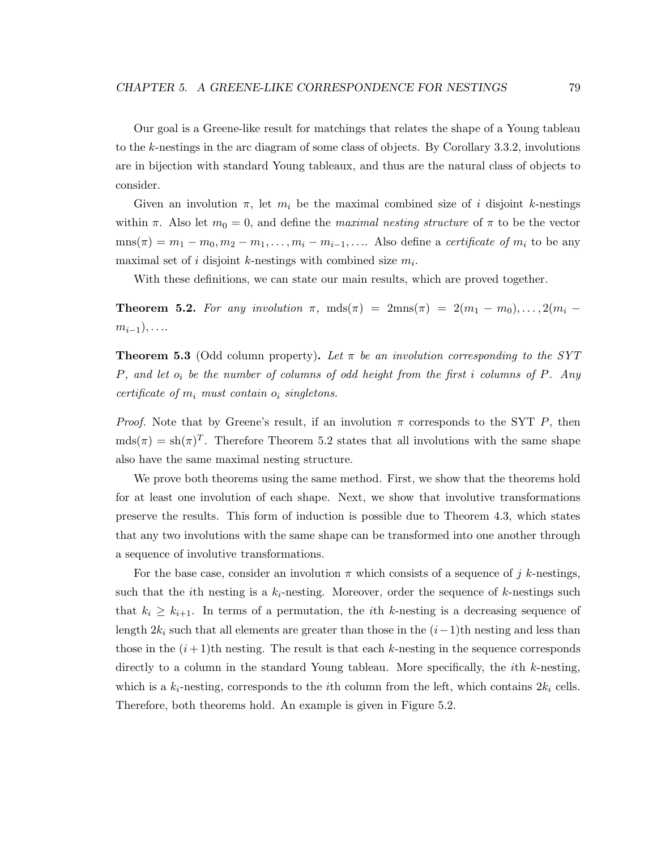Our goal is a Greene-like result for matchings that relates the shape of a Young tableau to the k-nestings in the arc diagram of some class of objects. By Corollary 3.3.2, involutions are in bijection with standard Young tableaux, and thus are the natural class of objects to consider.

Given an involution  $\pi$ , let  $m_i$  be the maximal combined size of i disjoint k-nestings within  $\pi$ . Also let  $m_0 = 0$ , and define the *maximal nesting structure* of  $\pi$  to be the vector  $\text{mns}(\pi) = m_1 - m_0, m_2 - m_1, \dots, m_i - m_{i-1}, \dots$  Also define a *certificate of*  $m_i$  to be any maximal set of *i* disjoint *k*-nestings with combined size  $m_i$ .

With these definitions, we can state our main results, which are proved together.

**Theorem 5.2.** For any involution  $\pi$ ,  $mds(\pi) = 2mns(\pi) = 2(m_1 - m_0), \ldots, 2(m_i - m_i)$  $m_{i-1}), \ldots$ 

**Theorem 5.3** (Odd column property). Let  $\pi$  be an involution corresponding to the SYT P*, and let* o<sup>i</sup> *be the number of columns of odd height from the first* i *columns of* P*. Any certificate of*  $m_i$  *must contain*  $o_i$  *singletons.* 

*Proof.* Note that by Greene's result, if an involution  $\pi$  corresponds to the SYT P, then  $mds(\pi) = sh(\pi)^T$ . Therefore Theorem 5.2 states that all involutions with the same shape also have the same maximal nesting structure.

We prove both theorems using the same method. First, we show that the theorems hold for at least one involution of each shape. Next, we show that involutive transformations preserve the results. This form of induction is possible due to Theorem 4.3, which states that any two involutions with the same shape can be transformed into one another through a sequence of involutive transformations.

For the base case, consider an involution  $\pi$  which consists of a sequence of j k-nestings, such that the *i*th nesting is a  $k_i$ -nesting. Moreover, order the sequence of k-nestings such that  $k_i \geq k_{i+1}$ . In terms of a permutation, the *i*th k-nesting is a decreasing sequence of length  $2k_i$  such that all elements are greater than those in the  $(i-1)$ th nesting and less than those in the  $(i+1)$ th nesting. The result is that each k-nesting in the sequence corresponds directly to a column in the standard Young tableau. More specifically, the ith k-nesting, which is a  $k_i$ -nesting, corresponds to the *i*th column from the left, which contains  $2k_i$  cells. Therefore, both theorems hold. An example is given in Figure 5.2.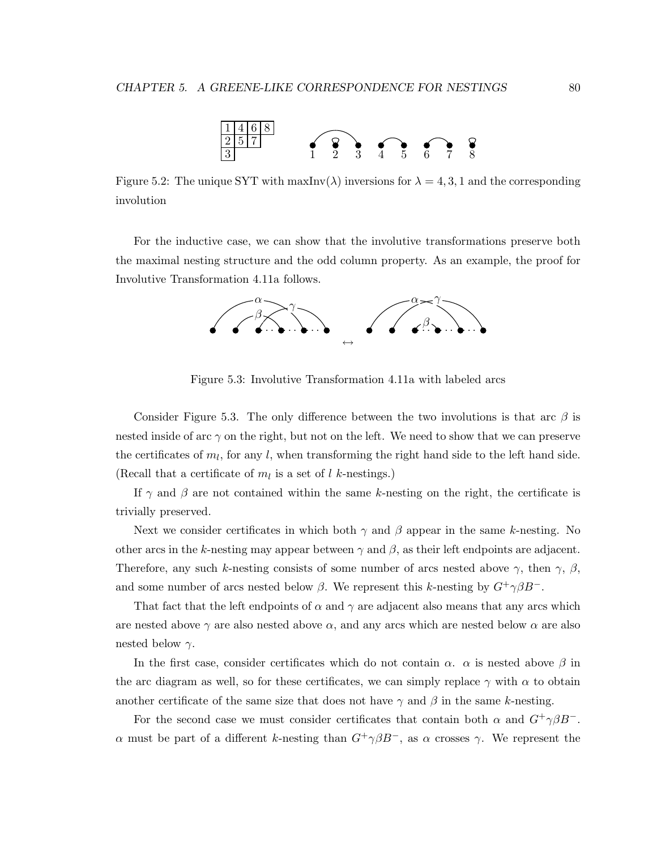

Figure 5.2: The unique SYT with  $\max Inv(\lambda)$  inversions for  $\lambda = 4, 3, 1$  and the corresponding involution

For the inductive case, we can show that the involutive transformations preserve both the maximal nesting structure and the odd column property. As an example, the proof for Involutive Transformation 4.11a follows.



Figure 5.3: Involutive Transformation 4.11a with labeled arcs

Consider Figure 5.3. The only difference between the two involutions is that arc  $\beta$  is nested inside of arc  $\gamma$  on the right, but not on the left. We need to show that we can preserve the certificates of  $m_l$ , for any l, when transforming the right hand side to the left hand side. (Recall that a certificate of  $m_l$  is a set of l k-nestings.)

If  $\gamma$  and  $\beta$  are not contained within the same k-nesting on the right, the certificate is trivially preserved.

Next we consider certificates in which both  $\gamma$  and  $\beta$  appear in the same k-nesting. No other arcs in the k-nesting may appear between  $\gamma$  and  $\beta$ , as their left endpoints are adjacent. Therefore, any such k-nesting consists of some number of arcs nested above  $\gamma$ , then  $\gamma$ ,  $\beta$ , and some number of arcs nested below  $\beta$ . We represent this k-nesting by  $G^+\gamma\beta B^-$ .

That fact that the left endpoints of  $\alpha$  and  $\gamma$  are adjacent also means that any arcs which are nested above  $\gamma$  are also nested above  $\alpha$ , and any arcs which are nested below  $\alpha$  are also nested below  $\gamma$ .

In the first case, consider certificates which do not contain  $\alpha$ .  $\alpha$  is nested above  $\beta$  in the arc diagram as well, so for these certificates, we can simply replace  $\gamma$  with  $\alpha$  to obtain another certificate of the same size that does not have  $\gamma$  and  $\beta$  in the same k-nesting.

For the second case we must consider certificates that contain both  $\alpha$  and  $G^+\gamma\beta B^-$ . α must be part of a different k-nesting than  $G^+\gamma\beta B^-$ , as α crosses γ. We represent the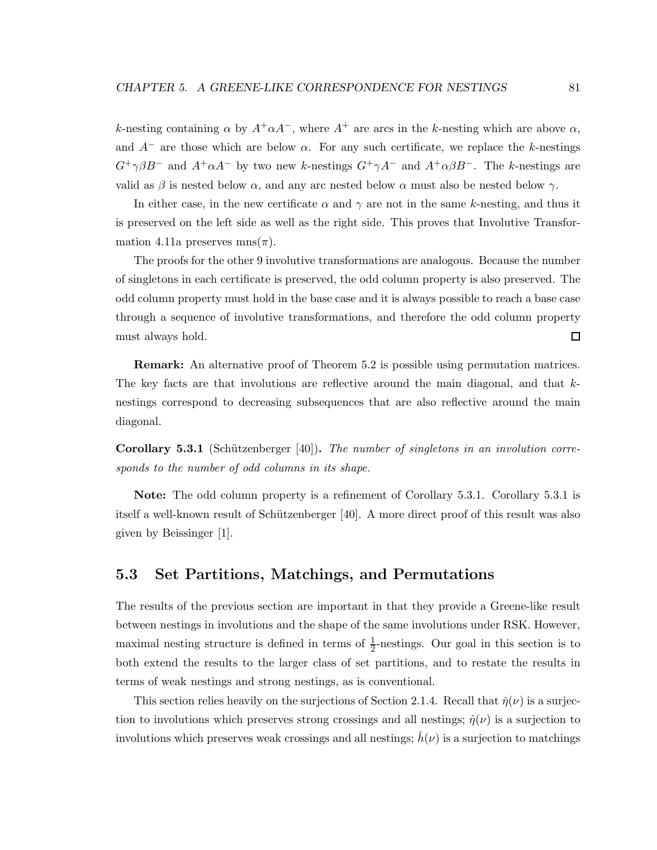k-nesting containing  $\alpha$  by  $A^+\alpha A^-$ , where  $A^+$  are arcs in the k-nesting which are above  $\alpha$ , and  $A^-$  are those which are below  $\alpha$ . For any such certificate, we replace the k-nestings  $G^+\gamma\beta B^-$  and  $A^+\alpha A^-$  by two new k-nestings  $G^+\gamma A^-$  and  $A^+\alpha\beta B^-$ . The k-nestings are valid as  $\beta$  is nested below  $\alpha$ , and any arc nested below  $\alpha$  must also be nested below  $\gamma$ .

In either case, in the new certificate  $\alpha$  and  $\gamma$  are not in the same k-nesting, and thus it is preserved on the left side as well as the right side. This proves that Involutive Transformation 4.11a preserves mns $(\pi)$ .

The proofs for the other 9 involutive transformations are analogous. Because the number of singletons in each certificate is preserved, the odd column property is also preserved. The odd column property must hold in the base case and it is always possible to reach a base case through a sequence of involutive transformations, and therefore the odd column property must always hold.  $\Box$ 

Remark: An alternative proof of Theorem 5.2 is possible using permutation matrices. The key facts are that involutions are reflective around the main diagonal, and that  $k$ nestings correspond to decreasing subsequences that are also reflective around the main diagonal.

Corollary 5.3.1 (Schützenberger [40]). *The number of singletons in an involution corresponds to the number of odd columns in its shape.*

Note: The odd column property is a refinement of Corollary 5.3.1. Corollary 5.3.1 is itself a well-known result of Schützenberger [40]. A more direct proof of this result was also given by Beissinger [1].

# 5.3 Set Partitions, Matchings, and Permutations

The results of the previous section are important in that they provide a Greene-like result between nestings in involutions and the shape of the same involutions under RSK. However, maximal nesting structure is defined in terms of  $\frac{1}{2}$ -nestings. Our goal in this section is to both extend the results to the larger class of set partitions, and to restate the results in terms of weak nestings and strong nestings, as is conventional.

This section relies heavily on the surjections of Section 2.1.4. Recall that  $\tilde{\eta}(\nu)$  is a surjection to involutions which preserves strong crossings and all nestings;  $\hat{\eta}(\nu)$  is a surjection to involutions which preserves weak crossings and all nestings;  $h(\nu)$  is a surjection to matchings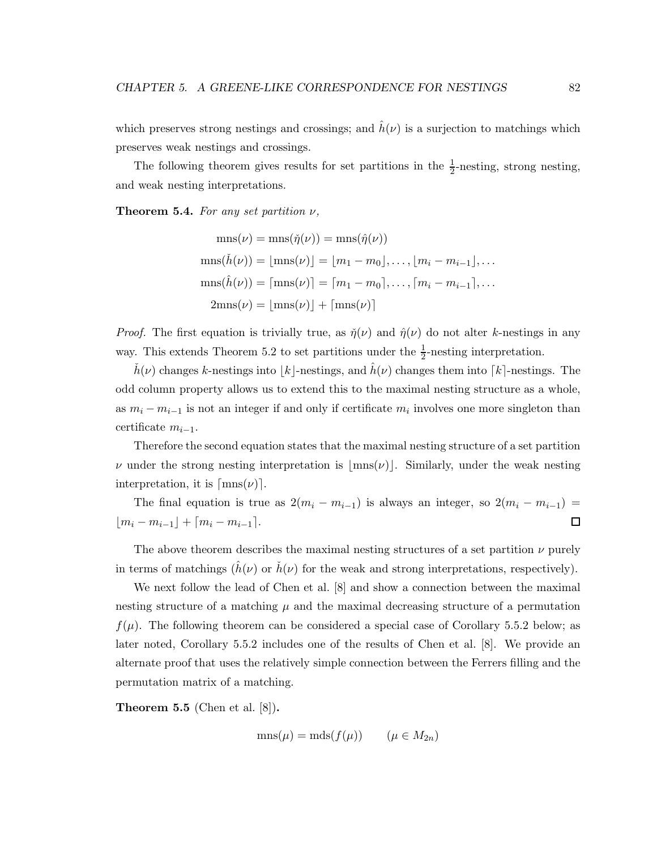which preserves strong nestings and crossings; and  $\hat{h}(\nu)$  is a surjection to matchings which preserves weak nestings and crossings.

The following theorem gives results for set partitions in the  $\frac{1}{2}$  $\frac{1}{2}$ -nesting, strong nesting, and weak nesting interpretations.

Theorem 5.4. *For any set partition* ν*,*

$$
\text{mns}(\nu) = \text{mns}(\tilde{\eta}(\nu)) = \text{mns}(\hat{\eta}(\nu))
$$

$$
\text{mns}(\tilde{h}(\nu)) = \lfloor \text{mns}(\nu) \rfloor = \lfloor m_1 - m_0 \rfloor, \dots, \lfloor m_i - m_{i-1} \rfloor, \dots
$$

$$
\text{mns}(\hat{h}(\nu)) = \lfloor \text{mns}(\nu) \rfloor = \lfloor m_1 - m_0 \rfloor, \dots, \lfloor m_i - m_{i-1} \rfloor, \dots
$$

$$
2\text{mns}(\nu) = \lfloor \text{mns}(\nu) \rfloor + \lfloor \text{mns}(\nu) \rfloor
$$

*Proof.* The first equation is trivially true, as  $\tilde{\eta}(\nu)$  and  $\hat{\eta}(\nu)$  do not alter k-nestings in any way. This extends Theorem 5.2 to set partitions under the  $\frac{1}{2}$ -nesting interpretation.

 $h(\nu)$  changes k-nestings into |k|-nestings, and  $h(\nu)$  changes them into [k]-nestings. The odd column property allows us to extend this to the maximal nesting structure as a whole, as  $m_i - m_{i-1}$  is not an integer if and only if certificate  $m_i$  involves one more singleton than certificate  $m_{i-1}$ .

Therefore the second equation states that the maximal nesting structure of a set partition  $\nu$  under the strong nesting interpretation is  $|\text{mns}(\nu)|$ . Similarly, under the weak nesting interpretation, it is  $\lceil \text{mns}(\nu) \rceil$ .

The final equation is true as  $2(m_i - m_{i-1})$  is always an integer, so  $2(m_i - m_{i-1})$  =  $\lfloor m_i - m_{i-1} \rfloor + \lceil m_i - m_{i-1} \rceil$ .  $\Box$ 

The above theorem describes the maximal nesting structures of a set partition  $\nu$  purely in terms of matchings  $(h(\nu))$  or  $\dot{h}(\nu)$  for the weak and strong interpretations, respectively).

We next follow the lead of Chen et al. [8] and show a connection between the maximal nesting structure of a matching  $\mu$  and the maximal decreasing structure of a permutation  $f(\mu)$ . The following theorem can be considered a special case of Corollary 5.5.2 below; as later noted, Corollary 5.5.2 includes one of the results of Chen et al. [8]. We provide an alternate proof that uses the relatively simple connection between the Ferrers filling and the permutation matrix of a matching.

**Theorem 5.5** (Chen et al.  $[8]$ ).

$$
\text{mns}(\mu) = \text{mds}(f(\mu)) \qquad (\mu \in M_{2n})
$$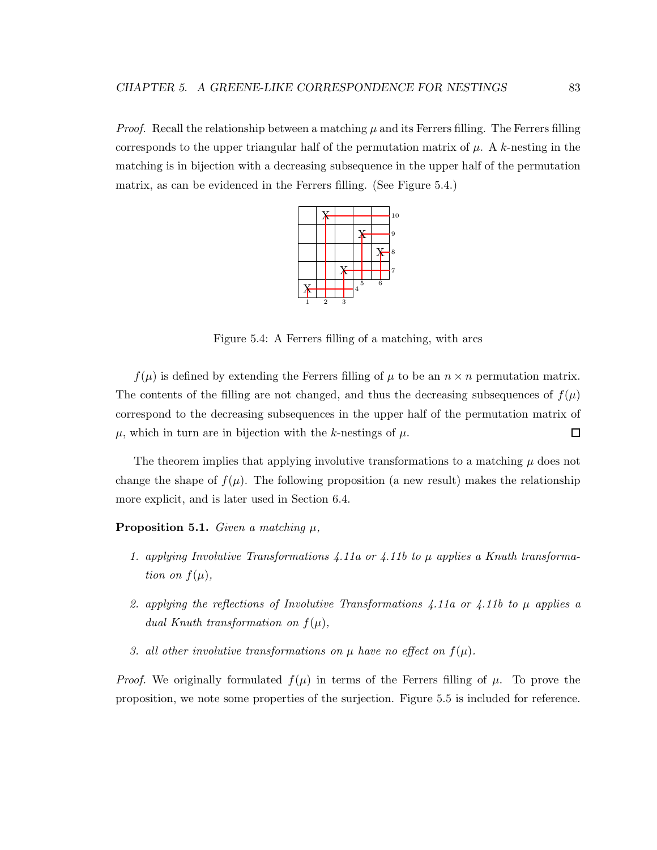*Proof.* Recall the relationship between a matching  $\mu$  and its Ferrers filling. The Ferrers filling corresponds to the upper triangular half of the permutation matrix of  $\mu$ . A k-nesting in the matching is in bijection with a decreasing subsequence in the upper half of the permutation matrix, as can be evidenced in the Ferrers filling. (See Figure 5.4.)



Figure 5.4: A Ferrers filling of a matching, with arcs

 $f(\mu)$  is defined by extending the Ferrers filling of  $\mu$  to be an  $n \times n$  permutation matrix. The contents of the filling are not changed, and thus the decreasing subsequences of  $f(\mu)$ correspond to the decreasing subsequences in the upper half of the permutation matrix of  $\mu$ , which in turn are in bijection with the k-nestings of  $\mu$ .  $\Box$ 

The theorem implies that applying involutive transformations to a matching  $\mu$  does not change the shape of  $f(\mu)$ . The following proposition (a new result) makes the relationship more explicit, and is later used in Section 6.4.

#### Proposition 5.1. *Given a matching* µ*,*

- *1. applying Involutive Transformations 4.11a or 4.11b to* µ *applies a Knuth transformation on*  $f(\mu)$ *,*
- *2. applying the reflections of Involutive Transformations 4.11a or 4.11b to* µ *applies a dual Knuth transformation on*  $f(\mu)$ *,*
- *3. all other involutive transformations on*  $\mu$  *have no effect on*  $f(\mu)$ *.*

*Proof.* We originally formulated  $f(\mu)$  in terms of the Ferrers filling of  $\mu$ . To prove the proposition, we note some properties of the surjection. Figure 5.5 is included for reference.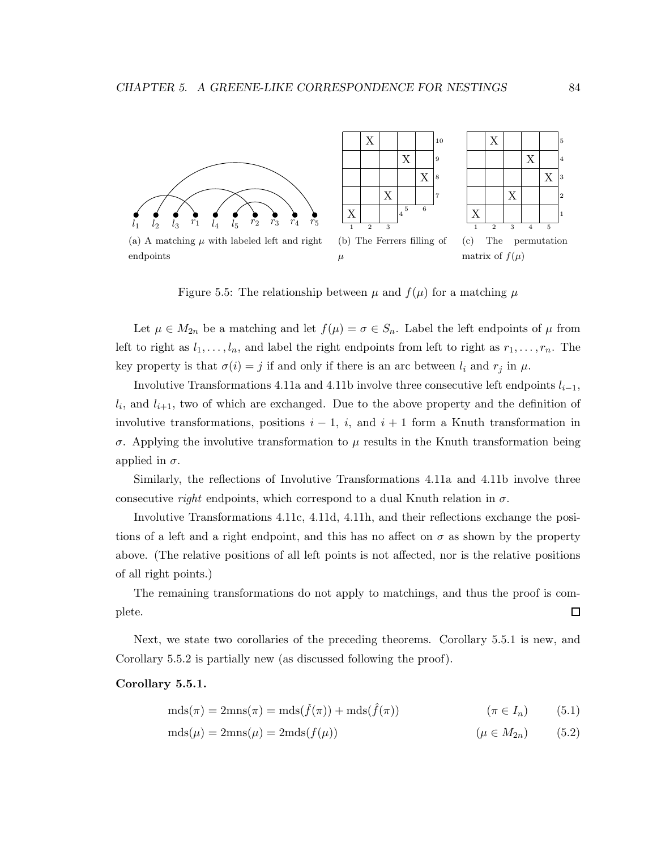

Figure 5.5: The relationship between  $\mu$  and  $f(\mu)$  for a matching  $\mu$ 

Let  $\mu \in M_{2n}$  be a matching and let  $f(\mu) = \sigma \in S_n$ . Label the left endpoints of  $\mu$  from left to right as  $l_1, \ldots, l_n$ , and label the right endpoints from left to right as  $r_1, \ldots, r_n$ . The key property is that  $\sigma(i) = j$  if and only if there is an arc between  $l_i$  and  $r_j$  in  $\mu$ .

Involutive Transformations 4.11a and 4.11b involve three consecutive left endpoints  $l_{i-1}$ ,  $l_i$ , and  $l_{i+1}$ , two of which are exchanged. Due to the above property and the definition of involutive transformations, positions  $i - 1$ , i, and  $i + 1$  form a Knuth transformation in σ. Applying the involutive transformation to µ results in the Knuth transformation being applied in  $\sigma$ .

Similarly, the reflections of Involutive Transformations 4.11a and 4.11b involve three consecutive *right* endpoints, which correspond to a dual Knuth relation in  $\sigma$ .

Involutive Transformations 4.11c, 4.11d, 4.11h, and their reflections exchange the positions of a left and a right endpoint, and this has no affect on  $\sigma$  as shown by the property above. (The relative positions of all left points is not affected, nor is the relative positions of all right points.)

The remaining transformations do not apply to matchings, and thus the proof is complete. 口

Next, we state two corollaries of the preceding theorems. Corollary 5.5.1 is new, and Corollary 5.5.2 is partially new (as discussed following the proof).

#### Corollary 5.5.1.

$$
mds(\pi) = 2mns(\pi) = mds(\check{f}(\pi)) + mds(\hat{f}(\pi))
$$
\n
$$
(\pi \in I_n)
$$
\n(5.1)

$$
mds(\mu) = 2mns(\mu) = 2mds(f(\mu))
$$
\n
$$
(\mu \in M_{2n})
$$
\n(5.2)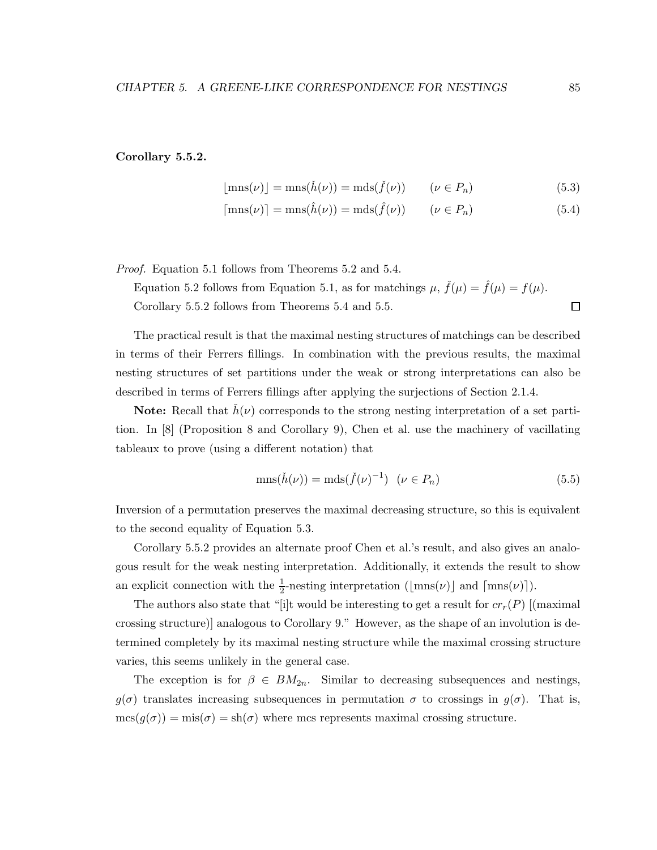#### Corollary 5.5.2.

$$
\lfloor \text{mns}(\nu) \rfloor = \text{mns}(\check{h}(\nu)) = \text{mds}(\check{f}(\nu)) \qquad (\nu \in P_n) \tag{5.3}
$$

$$
[\text{mns}(\nu)] = \text{mns}(\hat{h}(\nu)) = \text{mds}(\hat{f}(\nu)) \qquad (\nu \in P_n)
$$
\n(5.4)

*Proof.* Equation 5.1 follows from Theorems 5.2 and 5.4.

Equation 5.2 follows from Equation 5.1, as for matchings  $\mu$ ,  $\check{f}(\mu) = \hat{f}(\mu) = f(\mu)$ .  $\Box$ Corollary 5.5.2 follows from Theorems 5.4 and 5.5.

The practical result is that the maximal nesting structures of matchings can be described in terms of their Ferrers fillings. In combination with the previous results, the maximal nesting structures of set partitions under the weak or strong interpretations can also be described in terms of Ferrers fillings after applying the surjections of Section 2.1.4.

**Note:** Recall that  $h(\nu)$  corresponds to the strong nesting interpretation of a set partition. In [8] (Proposition 8 and Corollary 9), Chen et al. use the machinery of vacillating tableaux to prove (using a different notation) that

$$
\text{mns}(\check{h}(\nu)) = \text{mds}(\check{f}(\nu)^{-1}) \quad (\nu \in P_n) \tag{5.5}
$$

Inversion of a permutation preserves the maximal decreasing structure, so this is equivalent to the second equality of Equation 5.3.

Corollary 5.5.2 provides an alternate proof Chen et al.'s result, and also gives an analogous result for the weak nesting interpretation. Additionally, it extends the result to show an explicit connection with the  $\frac{1}{2}$ -nesting interpretation ( $\lfloor \text{mns}(\nu) \rfloor$ ) and  $\lceil \text{mns}(\nu) \rceil$ ).

The authors also state that "[i]t would be interesting to get a result for  $cr_r(P)$  [(maximal crossing structure)] analogous to Corollary 9." However, as the shape of an involution is determined completely by its maximal nesting structure while the maximal crossing structure varies, this seems unlikely in the general case.

The exception is for  $\beta \in BM_{2n}$ . Similar to decreasing subsequences and nestings,  $g(\sigma)$  translates increasing subsequences in permutation  $\sigma$  to crossings in  $g(\sigma)$ . That is,  $\text{mcs}(g(\sigma)) = \text{mis}(\sigma) = \text{sh}(\sigma)$  where mcs represents maximal crossing structure.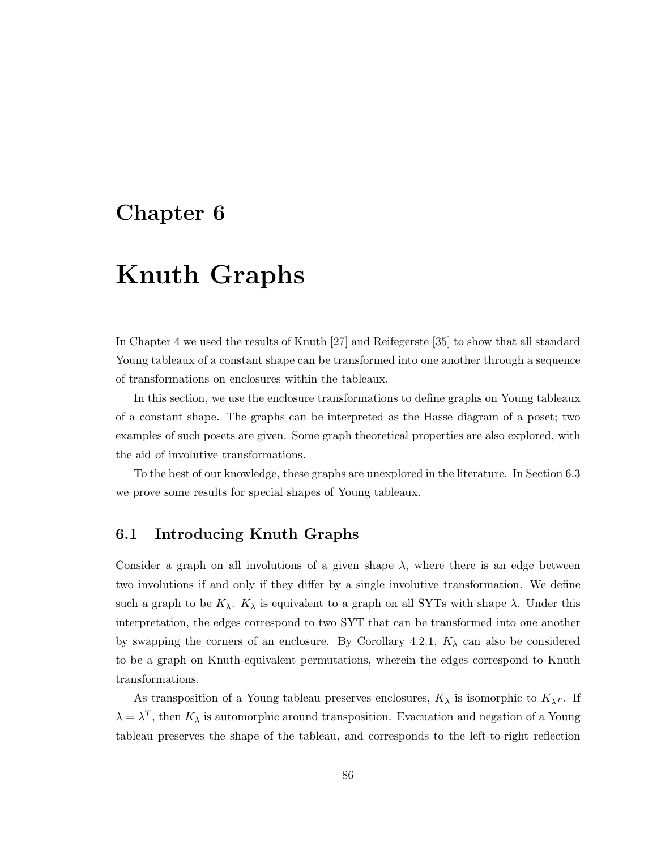# Chapter 6

# Knuth Graphs

In Chapter 4 we used the results of Knuth [27] and Reifegerste [35] to show that all standard Young tableaux of a constant shape can be transformed into one another through a sequence of transformations on enclosures within the tableaux.

In this section, we use the enclosure transformations to define graphs on Young tableaux of a constant shape. The graphs can be interpreted as the Hasse diagram of a poset; two examples of such posets are given. Some graph theoretical properties are also explored, with the aid of involutive transformations.

To the best of our knowledge, these graphs are unexplored in the literature. In Section 6.3 we prove some results for special shapes of Young tableaux.

# 6.1 Introducing Knuth Graphs

Consider a graph on all involutions of a given shape  $\lambda$ , where there is an edge between two involutions if and only if they differ by a single involutive transformation. We define such a graph to be  $K_{\lambda}$ .  $K_{\lambda}$  is equivalent to a graph on all SYTs with shape  $\lambda$ . Under this interpretation, the edges correspond to two SYT that can be transformed into one another by swapping the corners of an enclosure. By Corollary 4.2.1,  $K_{\lambda}$  can also be considered to be a graph on Knuth-equivalent permutations, wherein the edges correspond to Knuth transformations.

As transposition of a Young tableau preserves enclosures,  $K_{\lambda}$  is isomorphic to  $K_{\lambda}T$ . If  $\lambda = \lambda^T$ , then  $K_{\lambda}$  is automorphic around transposition. Evacuation and negation of a Young tableau preserves the shape of the tableau, and corresponds to the left-to-right reflection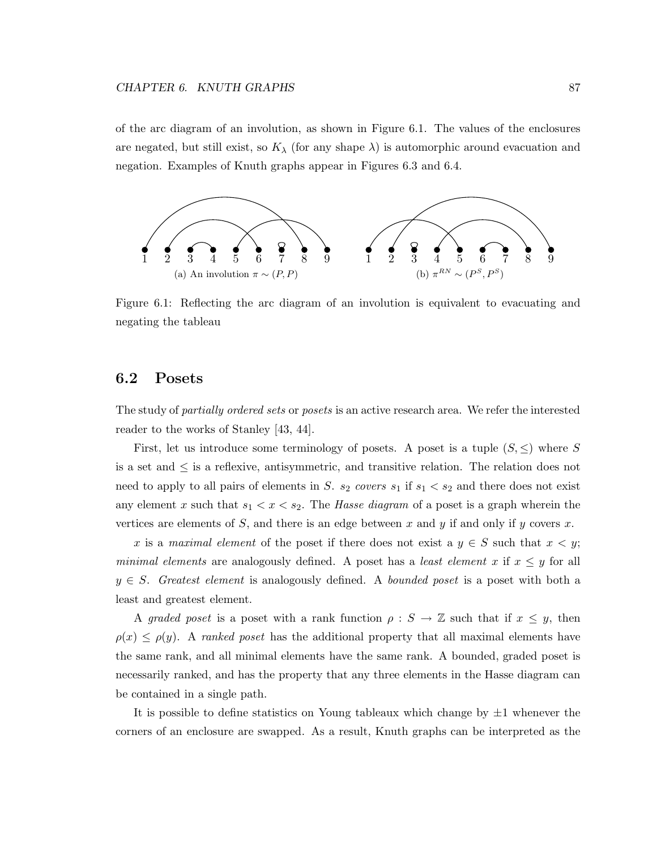of the arc diagram of an involution, as shown in Figure 6.1. The values of the enclosures are negated, but still exist, so  $K_{\lambda}$  (for any shape  $\lambda$ ) is automorphic around evacuation and negation. Examples of Knuth graphs appear in Figures 6.3 and 6.4.



Figure 6.1: Reflecting the arc diagram of an involution is equivalent to evacuating and negating the tableau

## 6.2 Posets

The study of *partially ordered sets* or *posets* is an active research area. We refer the interested reader to the works of Stanley [43, 44].

First, let us introduce some terminology of posets. A poset is a tuple  $(S, \leq)$  where S is a set and  $\leq$  is a reflexive, antisymmetric, and transitive relation. The relation does not need to apply to all pairs of elements in S.  $s_2$  *covers*  $s_1$  if  $s_1 < s_2$  and there does not exist any element x such that  $s_1 < x < s_2$ . The *Hasse diagram* of a poset is a graph wherein the vertices are elements of S, and there is an edge between x and y if and only if y covers x.

x is a *maximal element* of the poset if there does not exist a  $y \in S$  such that  $x < y$ ; *minimal elements* are analogously defined. A poset has a *least element* x if  $x \leq y$  for all y ∈ S. *Greatest element* is analogously defined. A *bounded poset* is a poset with both a least and greatest element.

A *graded poset* is a poset with a rank function  $\rho : S \to \mathbb{Z}$  such that if  $x \leq y$ , then  $\rho(x) \leq \rho(y)$ . A *ranked poset* has the additional property that all maximal elements have the same rank, and all minimal elements have the same rank. A bounded, graded poset is necessarily ranked, and has the property that any three elements in the Hasse diagram can be contained in a single path.

It is possible to define statistics on Young tableaux which change by  $\pm 1$  whenever the corners of an enclosure are swapped. As a result, Knuth graphs can be interpreted as the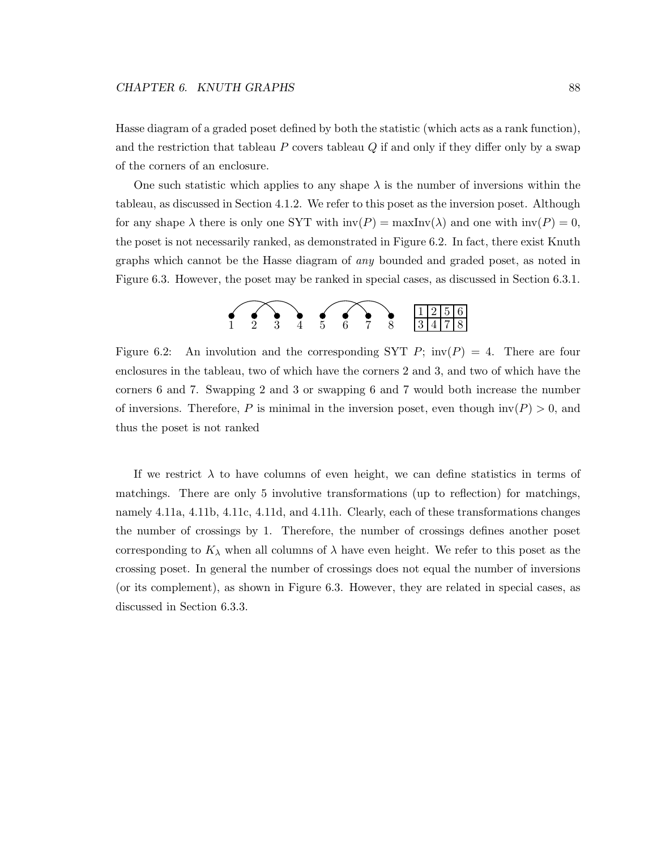Hasse diagram of a graded poset defined by both the statistic (which acts as a rank function), and the restriction that tableau  $P$  covers tableau  $Q$  if and only if they differ only by a swap of the corners of an enclosure.

One such statistic which applies to any shape  $\lambda$  is the number of inversions within the tableau, as discussed in Section 4.1.2. We refer to this poset as the inversion poset. Although for any shape  $\lambda$  there is only one SYT with  $inv(P) = maxInv(\lambda)$  and one with  $inv(P) = 0$ , the poset is not necessarily ranked, as demonstrated in Figure 6.2. In fact, there exist Knuth graphs which cannot be the Hasse diagram of *any* bounded and graded poset, as noted in Figure 6.3. However, the poset may be ranked in special cases, as discussed in Section 6.3.1.



Figure 6.2: An involution and the corresponding SYT P;  $inv(P) = 4$ . There are four enclosures in the tableau, two of which have the corners 2 and 3, and two of which have the corners 6 and 7. Swapping 2 and 3 or swapping 6 and 7 would both increase the number of inversions. Therefore, P is minimal in the inversion poset, even though  $inv(P) > 0$ , and thus the poset is not ranked

If we restrict  $\lambda$  to have columns of even height, we can define statistics in terms of matchings. There are only 5 involutive transformations (up to reflection) for matchings, namely 4.11a, 4.11b, 4.11c, 4.11d, and 4.11h. Clearly, each of these transformations changes the number of crossings by 1. Therefore, the number of crossings defines another poset corresponding to  $K_{\lambda}$  when all columns of  $\lambda$  have even height. We refer to this poset as the crossing poset. In general the number of crossings does not equal the number of inversions (or its complement), as shown in Figure 6.3. However, they are related in special cases, as discussed in Section 6.3.3.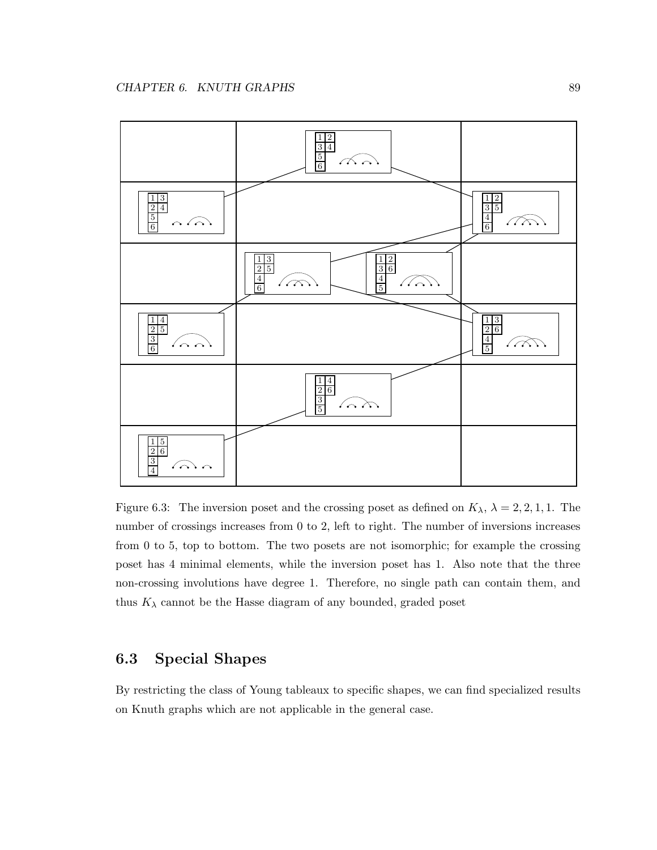

Figure 6.3: The inversion poset and the crossing poset as defined on  $K_{\lambda}$ ,  $\lambda = 2, 2, 1, 1$ . The number of crossings increases from 0 to 2, left to right. The number of inversions increases from 0 to 5, top to bottom. The two posets are not isomorphic; for example the crossing poset has 4 minimal elements, while the inversion poset has 1. Also note that the three non-crossing involutions have degree 1. Therefore, no single path can contain them, and thus  $K_{\lambda}$  cannot be the Hasse diagram of any bounded, graded poset

# 6.3 Special Shapes

By restricting the class of Young tableaux to specific shapes, we can find specialized results on Knuth graphs which are not applicable in the general case.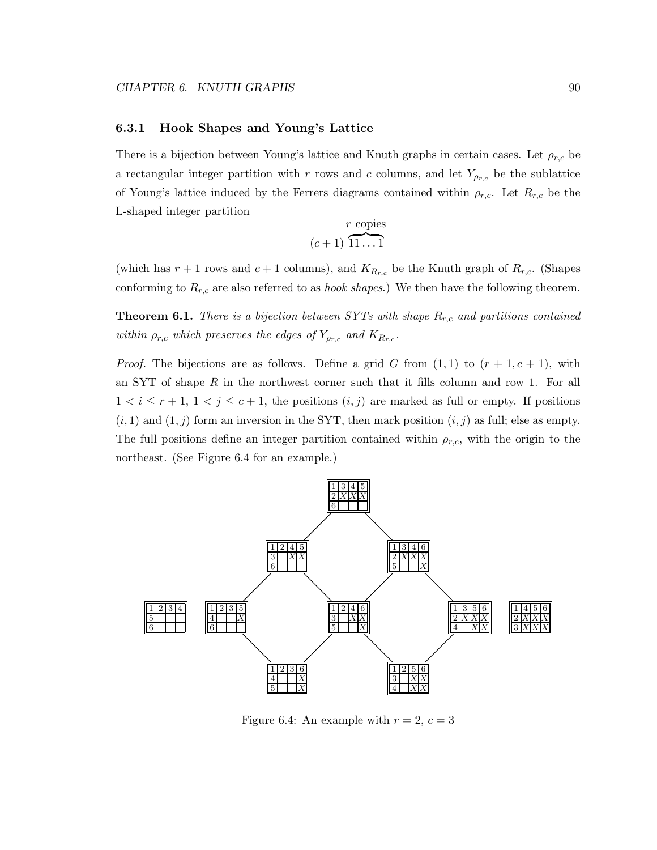#### 6.3.1 Hook Shapes and Young's Lattice

There is a bijection between Young's lattice and Knuth graphs in certain cases. Let  $\rho_{r,c}$  be a rectangular integer partition with r rows and c columns, and let  $Y_{\rho_{r,c}}$  be the sublattice of Young's lattice induced by the Ferrers diagrams contained within  $\rho_{r,c}$ . Let  $R_{r,c}$  be the L-shaped integer partition

$$
\frac{r \text{ copies}}{(c+1) \overbrace{11 \dots 1}^{r}}
$$

(which has  $r + 1$  rows and  $c + 1$  columns), and  $K_{R_{r,c}}$  be the Knuth graph of  $R_{r,c}$ . (Shapes conforming to  $R_{r,c}$  are also referred to as *hook shapes*.) We then have the following theorem.

**Theorem 6.1.** *There is a bijection between SYTs with shape*  $R_{r,c}$  *and partitions contained within*  $\rho_{r,c}$  *which preserves the edges of*  $Y_{\rho_{r,c}}$  *and*  $K_{R_{r,c}}$ *.* 

*Proof.* The bijections are as follows. Define a grid G from  $(1, 1)$  to  $(r + 1, c + 1)$ , with an SYT of shape  $R$  in the northwest corner such that it fills column and row 1. For all  $1 < i \leq r+1, 1 < j \leq c+1$ , the positions  $(i, j)$  are marked as full or empty. If positions  $(i, 1)$  and  $(1, j)$  form an inversion in the SYT, then mark position  $(i, j)$  as full; else as empty. The full positions define an integer partition contained within  $\rho_{r,c}$ , with the origin to the northeast. (See Figure 6.4 for an example.)



Figure 6.4: An example with  $r = 2, c = 3$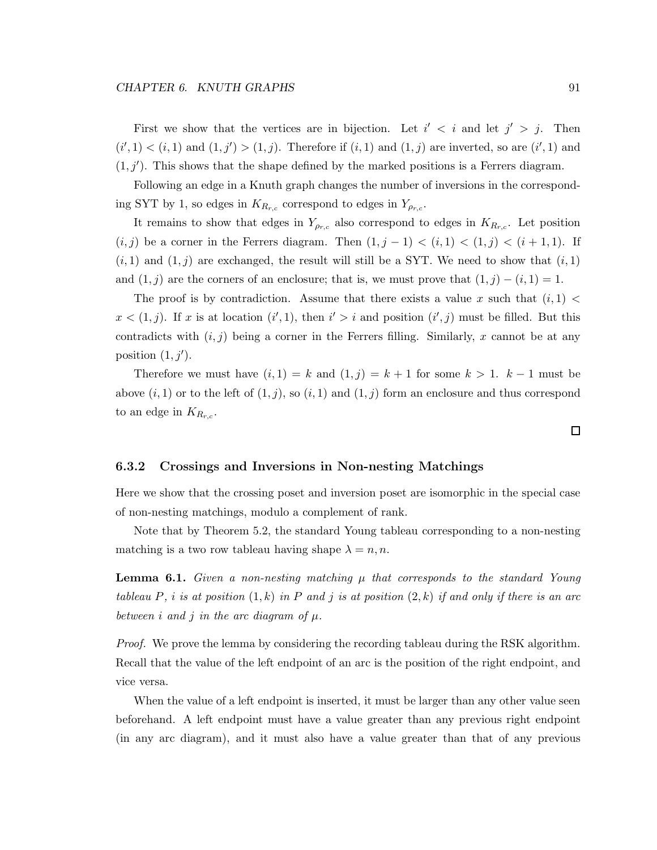First we show that the vertices are in bijection. Let  $i' < i$  and let  $j' > j$ . Then  $(i', 1) < (i, 1)$  and  $(1, j') > (1, j)$ . Therefore if  $(i, 1)$  and  $(1, j)$  are inverted, so are  $(i', 1)$  and  $(1, j')$ . This shows that the shape defined by the marked positions is a Ferrers diagram.

Following an edge in a Knuth graph changes the number of inversions in the corresponding SYT by 1, so edges in  $K_{R_{r,c}}$  correspond to edges in  $Y_{\rho_{r,c}}$ .

It remains to show that edges in  $Y_{\rho_{r,c}}$  also correspond to edges in  $K_{R_{r,c}}$ . Let position  $(i, j)$  be a corner in the Ferrers diagram. Then  $(1, j - 1) < (i, 1) < (1, j) < (i + 1, 1)$ . If  $(i, 1)$  and  $(1, j)$  are exchanged, the result will still be a SYT. We need to show that  $(i, 1)$ and  $(1, j)$  are the corners of an enclosure; that is, we must prove that  $(1, j) - (i, 1) = 1$ .

The proof is by contradiction. Assume that there exists a value x such that  $(i, 1)$  $x < (1, j)$ . If x is at location  $(i', 1)$ , then  $i' > i$  and position  $(i', j)$  must be filled. But this contradicts with  $(i, j)$  being a corner in the Ferrers filling. Similarly, x cannot be at any position  $(1, j')$ .

Therefore we must have  $(i, 1) = k$  and  $(1, j) = k + 1$  for some  $k > 1$ .  $k - 1$  must be above  $(i, 1)$  or to the left of  $(1, j)$ , so  $(i, 1)$  and  $(1, j)$  form an enclosure and thus correspond to an edge in  $K_{R_{r,c}}$ .

#### 6.3.2 Crossings and Inversions in Non-nesting Matchings

Here we show that the crossing poset and inversion poset are isomorphic in the special case of non-nesting matchings, modulo a complement of rank.

Note that by Theorem 5.2, the standard Young tableau corresponding to a non-nesting matching is a two row tableau having shape  $\lambda = n, n$ .

**Lemma 6.1.** *Given a non-nesting matching*  $\mu$  *that corresponds to the standard Young tableau* P*,* i *is at position* (1, k) *in* P *and* j *is at position* (2, k) *if and only if there is an arc between i* and *j in the arc diagram of*  $\mu$ *.* 

*Proof.* We prove the lemma by considering the recording tableau during the RSK algorithm. Recall that the value of the left endpoint of an arc is the position of the right endpoint, and vice versa.

When the value of a left endpoint is inserted, it must be larger than any other value seen beforehand. A left endpoint must have a value greater than any previous right endpoint (in any arc diagram), and it must also have a value greater than that of any previous

 $\square$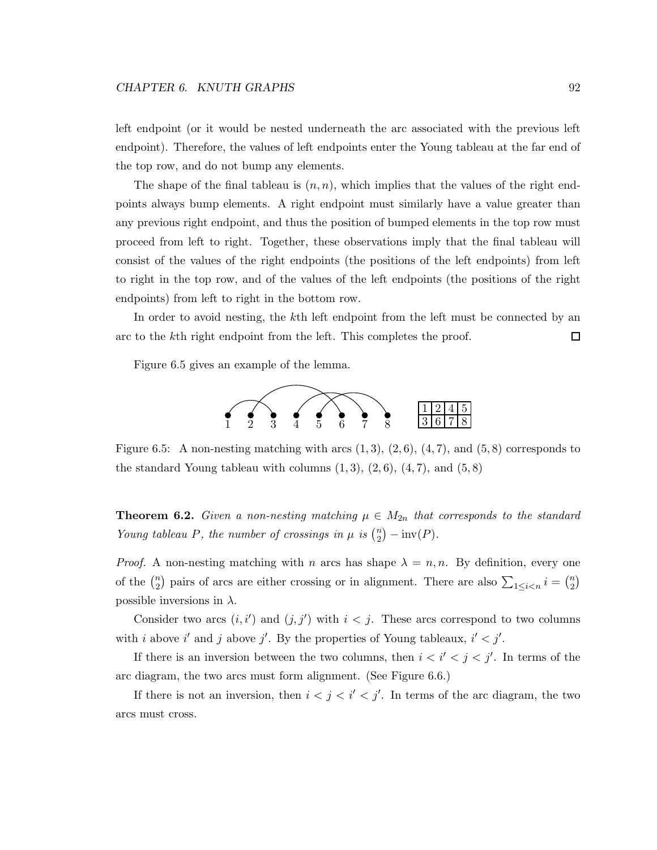left endpoint (or it would be nested underneath the arc associated with the previous left endpoint). Therefore, the values of left endpoints enter the Young tableau at the far end of the top row, and do not bump any elements.

The shape of the final tableau is  $(n, n)$ , which implies that the values of the right endpoints always bump elements. A right endpoint must similarly have a value greater than any previous right endpoint, and thus the position of bumped elements in the top row must proceed from left to right. Together, these observations imply that the final tableau will consist of the values of the right endpoints (the positions of the left endpoints) from left to right in the top row, and of the values of the left endpoints (the positions of the right endpoints) from left to right in the bottom row.

In order to avoid nesting, the k<sup>th</sup> left endpoint from the left must be connected by an arc to the kth right endpoint from the left. This completes the proof. □

Figure 6.5 gives an example of the lemma.



Figure 6.5: A non-nesting matching with arcs  $(1,3)$ ,  $(2,6)$ ,  $(4,7)$ , and  $(5,8)$  corresponds to the standard Young tableau with columns  $(1, 3)$ ,  $(2, 6)$ ,  $(4, 7)$ , and  $(5, 8)$ 

**Theorem 6.2.** *Given a non-nesting matching*  $\mu \in M_{2n}$  *that corresponds to the standard Young tableau P, the number of crossings in*  $\mu$  *is*  $\binom{n}{2}$  $\binom{n}{2} - \text{inv}(P)$ .

*Proof.* A non-nesting matching with n arcs has shape  $\lambda = n, n$ . By definition, every one of the  $\binom{n}{2}$  $\binom{n}{2}$  pairs of arcs are either crossing or in alignment. There are also  $\sum_{1 \leq i < n} i = \binom{n}{2}$  $\binom{n}{2}$ possible inversions in  $\lambda$ .

Consider two arcs  $(i, i')$  and  $(j, j')$  with  $i < j$ . These arcs correspond to two columns with i above i' and j above j'. By the properties of Young tableaux,  $i' < j'$ .

If there is an inversion between the two columns, then  $i < i' < j < j'$ . In terms of the arc diagram, the two arcs must form alignment. (See Figure 6.6.)

If there is not an inversion, then  $i < j < i' < j'$ . In terms of the arc diagram, the two arcs must cross.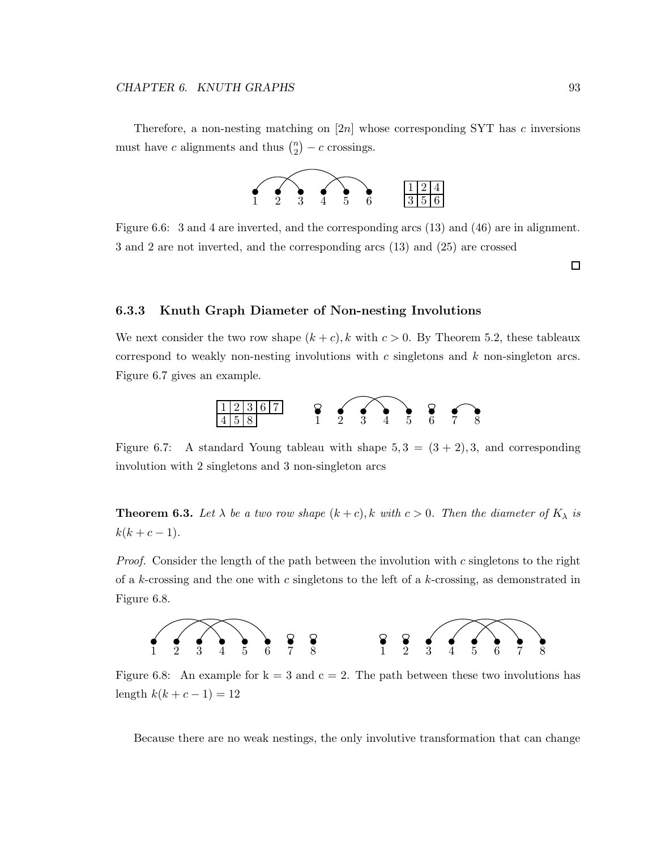Therefore, a non-nesting matching on  $[2n]$  whose corresponding SYT has c inversions must have c alignments and thus  $\binom{n}{2}$  $\binom{n}{2} - c$  crossings.



Figure 6.6: 3 and 4 are inverted, and the corresponding arcs (13) and (46) are in alignment. 3 and 2 are not inverted, and the corresponding arcs (13) and (25) are crossed

 $\Box$ 

#### 6.3.3 Knuth Graph Diameter of Non-nesting Involutions

We next consider the two row shape  $(k + c)$ , k with  $c > 0$ . By Theorem 5.2, these tableaux correspond to weakly non-nesting involutions with  $c$  singletons and  $k$  non-singleton arcs. Figure 6.7 gives an example.



Figure 6.7: A standard Young tableau with shape  $5, 3 = (3 + 2), 3$ , and corresponding involution with 2 singletons and 3 non-singleton arcs

**Theorem 6.3.** Let  $\lambda$  be a two row shape  $(k+c)$ , k with  $c > 0$ . Then the diameter of  $K_{\lambda}$  is  $k(k + c - 1)$ .

*Proof.* Consider the length of the path between the involution with c singletons to the right of a k-crossing and the one with c singletons to the left of a k-crossing, as demonstrated in Figure 6.8.



Figure 6.8: An example for  $k = 3$  and  $c = 2$ . The path between these two involutions has length  $k(k + c - 1) = 12$ 

Because there are no weak nestings, the only involutive transformation that can change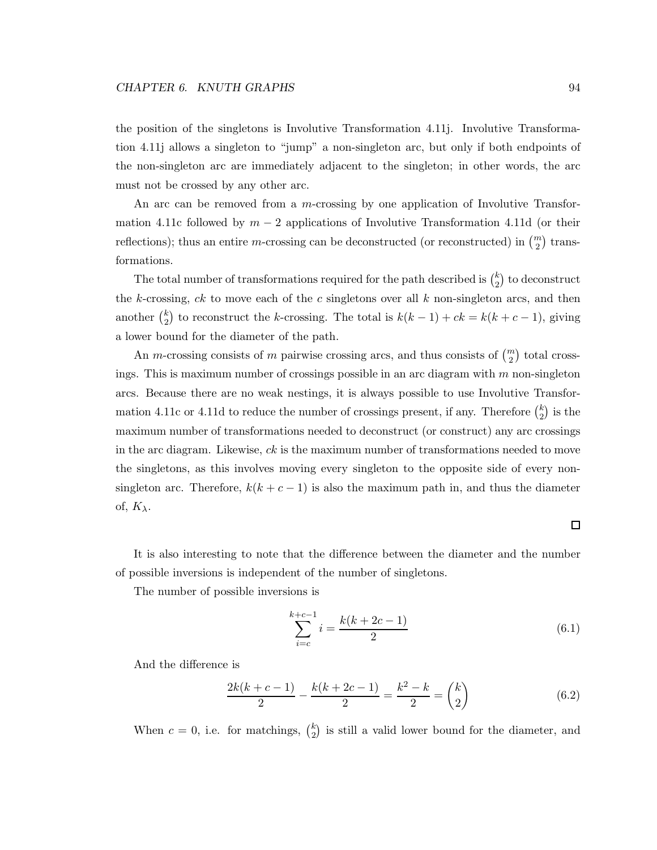the position of the singletons is Involutive Transformation 4.11j. Involutive Transformation 4.11j allows a singleton to "jump" a non-singleton arc, but only if both endpoints of the non-singleton arc are immediately adjacent to the singleton; in other words, the arc must not be crossed by any other arc.

An arc can be removed from a m-crossing by one application of Involutive Transformation 4.11c followed by  $m-2$  applications of Involutive Transformation 4.11d (or their reflections); thus an entire *m*-crossing can be deconstructed (or reconstructed) in  $\binom{m}{2}$  transformations.

The total number of transformations required for the path described is  $\binom{k}{2}$  $\binom{k}{2}$  to deconstruct the k-crossing,  $ck$  to move each of the c singletons over all k non-singleton arcs, and then another  $\binom{k}{2}$  $k<sub>2</sub>$ ) to reconstruct the k-crossing. The total is  $k(k-1) + ck = k(k+c-1)$ , giving a lower bound for the diameter of the path.

An *m*-crossing consists of *m* pairwise crossing arcs, and thus consists of  $\binom{m}{2}$  total crossings. This is maximum number of crossings possible in an arc diagram with  $m$  non-singleton arcs. Because there are no weak nestings, it is always possible to use Involutive Transformation 4.11c or 4.11d to reduce the number of crossings present, if any. Therefore  $\binom{k}{2}$  $\binom{k}{2}$  is the maximum number of transformations needed to deconstruct (or construct) any arc crossings in the arc diagram. Likewise,  $ck$  is the maximum number of transformations needed to move the singletons, as this involves moving every singleton to the opposite side of every nonsingleton arc. Therefore,  $k(k + c - 1)$  is also the maximum path in, and thus the diameter of,  $K_{\lambda}$ .

It is also interesting to note that the difference between the diameter and the number of possible inversions is independent of the number of singletons.

The number of possible inversions is

$$
\sum_{i=c}^{k+c-1} i = \frac{k(k+2c-1)}{2} \tag{6.1}
$$

And the difference is

$$
\frac{2k(k+c-1)}{2} - \frac{k(k+2c-1)}{2} = \frac{k^2 - k}{2} = \binom{k}{2} \tag{6.2}
$$

When  $c = 0$ , i.e. for matchings,  $\binom{k}{2}$  $\binom{k}{2}$  is still a valid lower bound for the diameter, and

#### $\Box$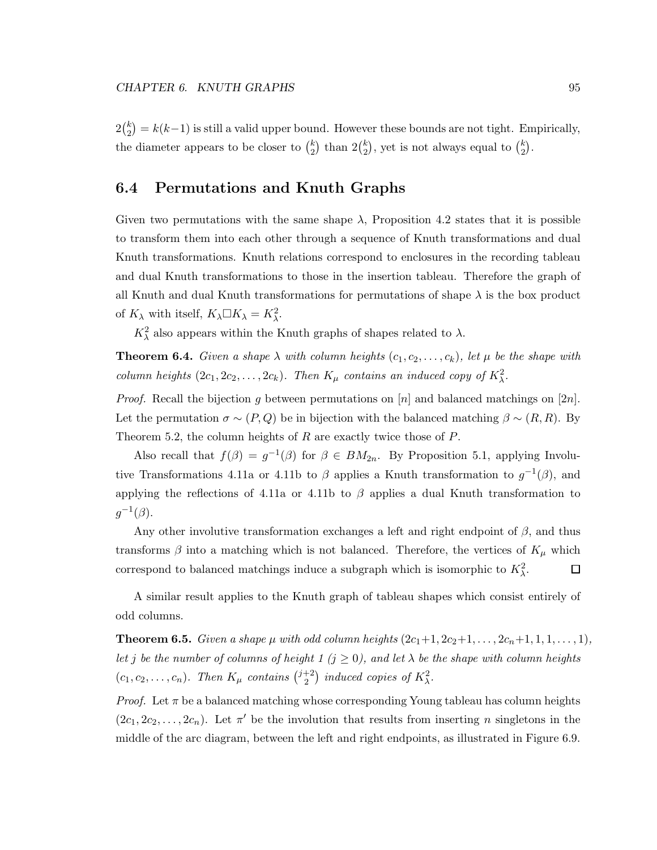$2\binom{k}{2}$  $\binom{k}{2} = k(k-1)$  is still a valid upper bound. However these bounds are not tight. Empirically, the diameter appears to be closer to  $\binom{k}{2}$  $\binom{k}{2}$  than  $2\binom{k}{2}$  $\binom{k}{2}$ , yet is not always equal to  $\binom{k}{2}$  $_{2}^{k}).$ 

# 6.4 Permutations and Knuth Graphs

Given two permutations with the same shape  $\lambda$ , Proposition 4.2 states that it is possible to transform them into each other through a sequence of Knuth transformations and dual Knuth transformations. Knuth relations correspond to enclosures in the recording tableau and dual Knuth transformations to those in the insertion tableau. Therefore the graph of all Knuth and dual Knuth transformations for permutations of shape  $\lambda$  is the box product of  $K_{\lambda}$  with itself,  $K_{\lambda} \Box K_{\lambda} = K_{\lambda}^2$ .

 $K_{\lambda}^2$  also appears within the Knuth graphs of shapes related to  $\lambda$ .

**Theorem 6.4.** *Given a shape*  $\lambda$  *with column heights*  $(c_1, c_2, \ldots, c_k)$ *, let*  $\mu$  *be the shape with column heights*  $(2c_1, 2c_2, \ldots, 2c_k)$ *. Then*  $K_\mu$  *contains an induced copy of*  $K_\lambda^2$ *.* 

*Proof.* Recall the bijection g between permutations on [n] and balanced matchings on [2n]. Let the permutation  $\sigma \sim (P,Q)$  be in bijection with the balanced matching  $\beta \sim (R,R)$ . By Theorem 5.2, the column heights of  $R$  are exactly twice those of  $P$ .

Also recall that  $f(\beta) = g^{-1}(\beta)$  for  $\beta \in BM_{2n}$ . By Proposition 5.1, applying Involutive Transformations 4.11a or 4.11b to  $\beta$  applies a Knuth transformation to  $g^{-1}(\beta)$ , and applying the reflections of 4.11a or 4.11b to  $\beta$  applies a dual Knuth transformation to  $g^{-1}(\beta).$ 

Any other involutive transformation exchanges a left and right endpoint of  $\beta$ , and thus transforms  $\beta$  into a matching which is not balanced. Therefore, the vertices of  $K_{\mu}$  which correspond to balanced matchings induce a subgraph which is isomorphic to  $K^2_{\lambda}$ .  $\Box$ 

A similar result applies to the Knuth graph of tableau shapes which consist entirely of odd columns.

**Theorem 6.5.** *Given a shape*  $\mu$  *with odd column heights*  $(2c_1+1, 2c_2+1, \ldots, 2c_n+1, 1, 1, \ldots, 1)$ *, let j be the number of columns of height 1 (* $j \ge 0$ *), and let*  $\lambda$  *be the shape with column heights*  $(c_1, c_2, \ldots, c_n)$ . Then  $K_\mu$  contains  $\binom{j+2}{2}$  $\binom{+2}{2}$  induced copies of  $K^2_\lambda$ .

*Proof.* Let  $\pi$  be a balanced matching whose corresponding Young tableau has column heights  $(2c_1, 2c_2, \ldots, 2c_n)$ . Let  $\pi'$  be the involution that results from inserting *n* singletons in the middle of the arc diagram, between the left and right endpoints, as illustrated in Figure 6.9.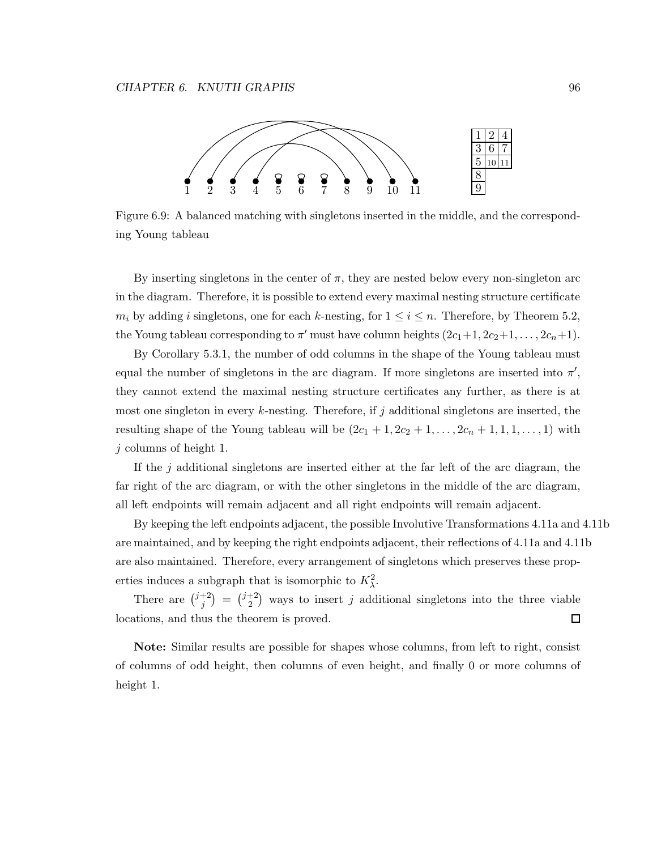

Figure 6.9: A balanced matching with singletons inserted in the middle, and the corresponding Young tableau

By inserting singletons in the center of  $\pi$ , they are nested below every non-singleton arc in the diagram. Therefore, it is possible to extend every maximal nesting structure certificate  $m_i$  by adding i singletons, one for each k-nesting, for  $1 \le i \le n$ . Therefore, by Theorem 5.2, the Young tableau corresponding to  $\pi'$  must have column heights  $(2c_1+1, 2c_2+1, \ldots, 2c_n+1)$ .

By Corollary 5.3.1, the number of odd columns in the shape of the Young tableau must equal the number of singletons in the arc diagram. If more singletons are inserted into  $\pi'$ , they cannot extend the maximal nesting structure certificates any further, as there is at most one singleton in every k-nesting. Therefore, if j additional singletons are inserted, the resulting shape of the Young tableau will be  $(2c_1 + 1, 2c_2 + 1, \ldots, 2c_n + 1, 1, 1, \ldots, 1)$  with j columns of height 1.

If the  $j$  additional singletons are inserted either at the far left of the arc diagram, the far right of the arc diagram, or with the other singletons in the middle of the arc diagram, all left endpoints will remain adjacent and all right endpoints will remain adjacent.

By keeping the left endpoints adjacent, the possible Involutive Transformations 4.11a and 4.11b are maintained, and by keeping the right endpoints adjacent, their reflections of 4.11a and 4.11b are also maintained. Therefore, every arrangement of singletons which preserves these properties induces a subgraph that is isomorphic to  $K^2_{\lambda}$ .

There are  $\binom{j+2}{i}$  $j^{+2}$ ) =  $j^{+2}$  $\binom{+2}{2}$  ways to insert j additional singletons into the three viable locations, and thus the theorem is proved.  $\Box$ 

Note: Similar results are possible for shapes whose columns, from left to right, consist of columns of odd height, then columns of even height, and finally 0 or more columns of height 1.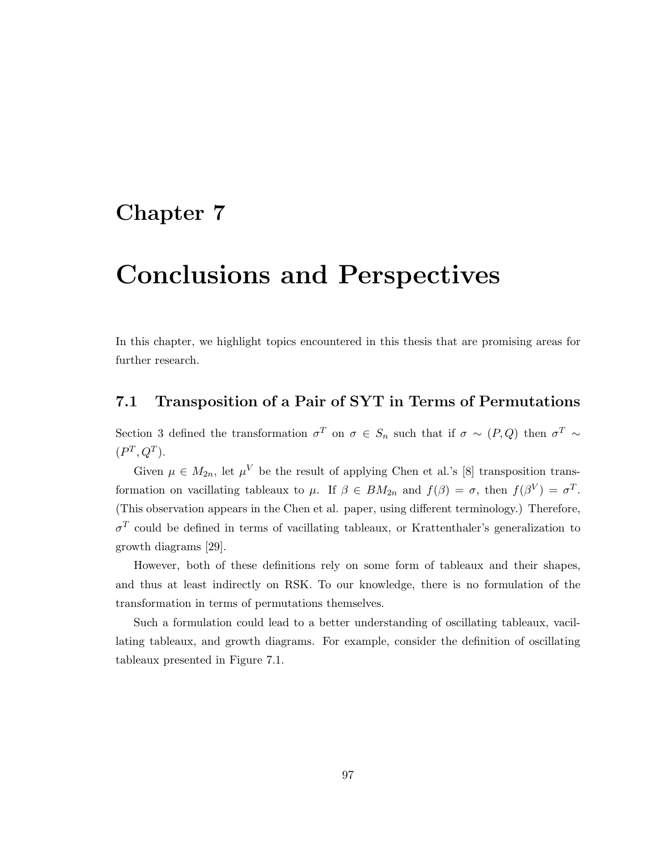### Chapter 7

## Conclusions and Perspectives

In this chapter, we highlight topics encountered in this thesis that are promising areas for further research.

#### 7.1 Transposition of a Pair of SYT in Terms of Permutations

Section 3 defined the transformation  $\sigma^T$  on  $\sigma \in S_n$  such that if  $\sigma \sim (P,Q)$  then  $\sigma^T \sim$  $(P^T, Q^T)$ .

Given  $\mu \in M_{2n}$ , let  $\mu^V$  be the result of applying Chen et al.'s [8] transposition transformation on vacillating tableaux to  $\mu$ . If  $\beta \in BM_{2n}$  and  $f(\beta) = \sigma$ , then  $f(\beta^V) = \sigma^T$ . (This observation appears in the Chen et al. paper, using different terminology.) Therefore,  $\sigma^T$  could be defined in terms of vacillating tableaux, or Krattenthaler's generalization to growth diagrams [29].

However, both of these definitions rely on some form of tableaux and their shapes, and thus at least indirectly on RSK. To our knowledge, there is no formulation of the transformation in terms of permutations themselves.

Such a formulation could lead to a better understanding of oscillating tableaux, vacillating tableaux, and growth diagrams. For example, consider the definition of oscillating tableaux presented in Figure 7.1.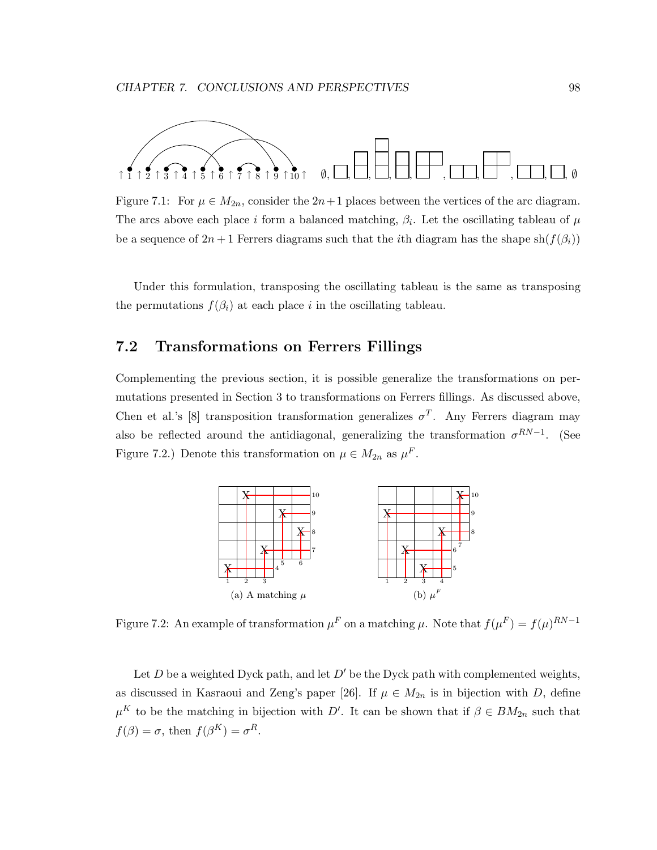

Figure 7.1: For  $\mu \in M_{2n}$ , consider the  $2n+1$  places between the vertices of the arc diagram. The arcs above each place i form a balanced matching,  $\beta_i$ . Let the oscillating tableau of  $\mu$ be a sequence of  $2n+1$  Ferrers diagrams such that the *i*th diagram has the shape sh $(f(\beta_i))$ 

Under this formulation, transposing the oscillating tableau is the same as transposing the permutations  $f(\beta_i)$  at each place i in the oscillating tableau.

#### 7.2 Transformations on Ferrers Fillings

Complementing the previous section, it is possible generalize the transformations on permutations presented in Section 3 to transformations on Ferrers fillings. As discussed above, Chen et al.'s [8] transposition transformation generalizes  $\sigma^T$ . Any Ferrers diagram may also be reflected around the antidiagonal, generalizing the transformation  $\sigma^{RN-1}$ . (See Figure 7.2.) Denote this transformation on  $\mu \in M_{2n}$  as  $\mu^F$ .



Figure 7.2: An example of transformation  $\mu^F$  on a matching  $\mu$ . Note that  $f(\mu^F) = f(\mu)^{RN-1}$ 

Let D be a weighted Dyck path, and let  $D'$  be the Dyck path with complemented weights, as discussed in Kasraoui and Zeng's paper [26]. If  $\mu \in M_{2n}$  is in bijection with D, define  $\mu^{K}$  to be the matching in bijection with D'. It can be shown that if  $\beta \in BM_{2n}$  such that  $f(\beta) = \sigma$ , then  $f(\beta^K) = \sigma^R$ .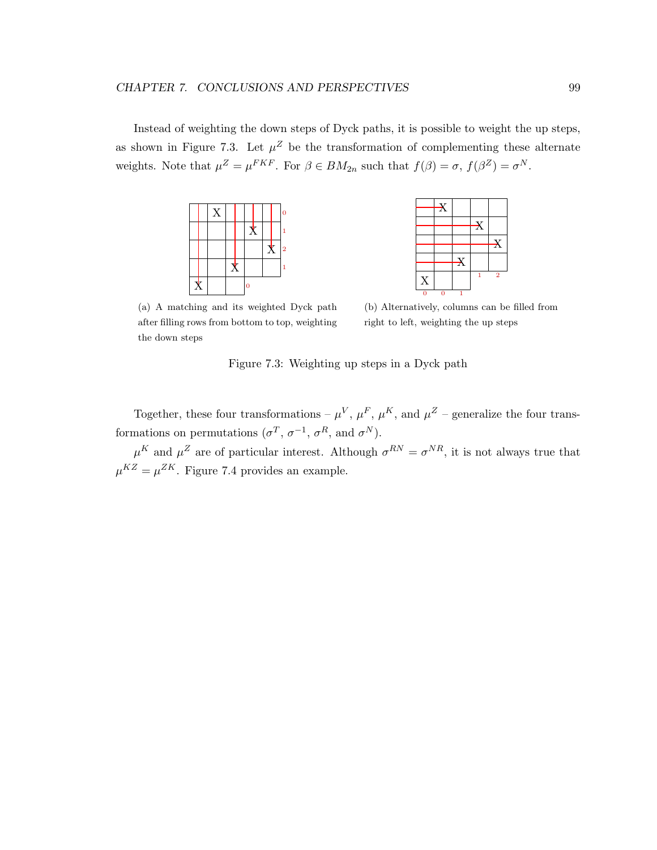Instead of weighting the down steps of Dyck paths, it is possible to weight the up steps, as shown in Figure 7.3. Let  $\mu^Z$  be the transformation of complementing these alternate weights. Note that  $\mu^Z = \mu^{FKF}$ . For  $\beta \in BM_{2n}$  such that  $f(\beta) = \sigma$ ,  $f(\beta^Z) = \sigma^N$ .



X X X  $\mathbf X$ X  $\begin{array}{ccc} 0 & 0 & 1 \end{array}$ 1 2

(a) A matching and its weighted Dyck path after filling rows from bottom to top, weighting the down steps

(b) Alternatively, columns can be filled from right to left, weighting the up steps

|  | Figure 7.3: Weighting up steps in a Dyck path |  |  |  |
|--|-----------------------------------------------|--|--|--|
|--|-----------------------------------------------|--|--|--|

Together, these four transformations –  $\mu^V$ ,  $\mu^F$ ,  $\mu^K$ , and  $\mu^Z$  – generalize the four transformations on permutations  $(\sigma^T, \sigma^{-1}, \sigma^R, \text{ and } \sigma^N)$ .

 $\mu^{K}$  and  $\mu^{Z}$  are of particular interest. Although  $\sigma^{RN} = \sigma^{NR}$ , it is not always true that  $\mu^{KZ} = \mu^{ZK}$ . Figure 7.4 provides an example.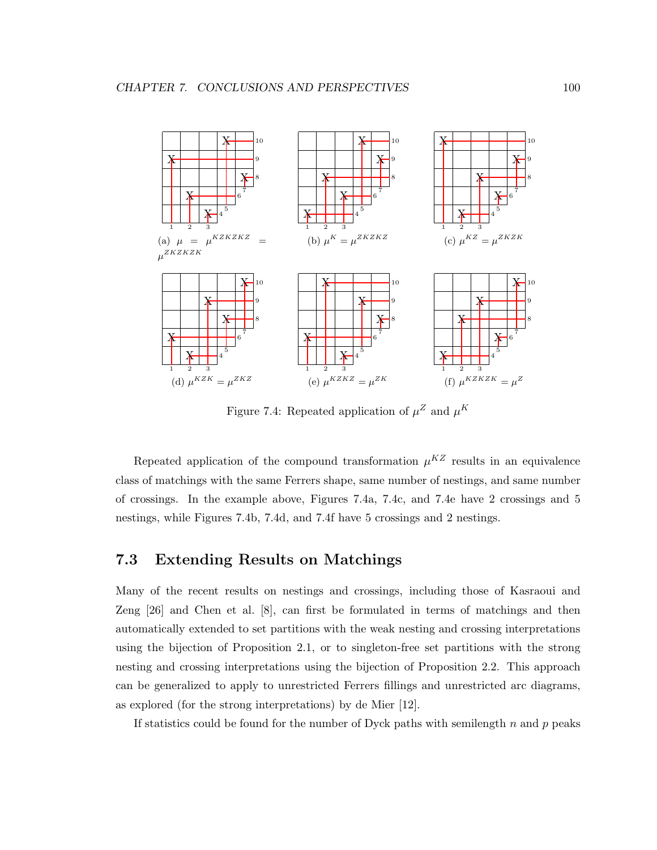

Figure 7.4: Repeated application of  $\mu^Z$  and  $\mu^K$ 

Repeated application of the compound transformation  $\mu^{KZ}$  results in an equivalence class of matchings with the same Ferrers shape, same number of nestings, and same number of crossings. In the example above, Figures 7.4a, 7.4c, and 7.4e have 2 crossings and 5 nestings, while Figures 7.4b, 7.4d, and 7.4f have 5 crossings and 2 nestings.

#### 7.3 Extending Results on Matchings

Many of the recent results on nestings and crossings, including those of Kasraoui and Zeng [26] and Chen et al. [8], can first be formulated in terms of matchings and then automatically extended to set partitions with the weak nesting and crossing interpretations using the bijection of Proposition 2.1, or to singleton-free set partitions with the strong nesting and crossing interpretations using the bijection of Proposition 2.2. This approach can be generalized to apply to unrestricted Ferrers fillings and unrestricted arc diagrams, as explored (for the strong interpretations) by de Mier [12].

If statistics could be found for the number of Dyck paths with semilength  $n$  and  $p$  peaks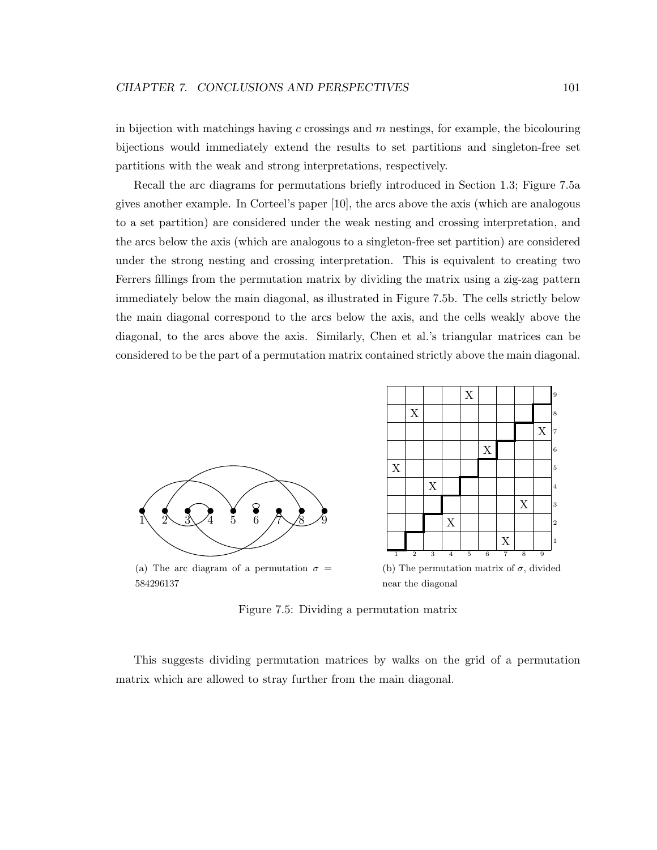in bijection with matchings having c crossings and  $m$  nestings, for example, the bicolouring bijections would immediately extend the results to set partitions and singleton-free set partitions with the weak and strong interpretations, respectively.

Recall the arc diagrams for permutations briefly introduced in Section 1.3; Figure 7.5a gives another example. In Corteel's paper [10], the arcs above the axis (which are analogous to a set partition) are considered under the weak nesting and crossing interpretation, and the arcs below the axis (which are analogous to a singleton-free set partition) are considered under the strong nesting and crossing interpretation. This is equivalent to creating two Ferrers fillings from the permutation matrix by dividing the matrix using a zig-zag pattern immediately below the main diagonal, as illustrated in Figure 7.5b. The cells strictly below the main diagonal correspond to the arcs below the axis, and the cells weakly above the diagonal, to the arcs above the axis. Similarly, Chen et al.'s triangular matrices can be considered to be the part of a permutation matrix contained strictly above the main diagonal.



584296137

near the diagonal

Figure 7.5: Dividing a permutation matrix

This suggests dividing permutation matrices by walks on the grid of a permutation matrix which are allowed to stray further from the main diagonal.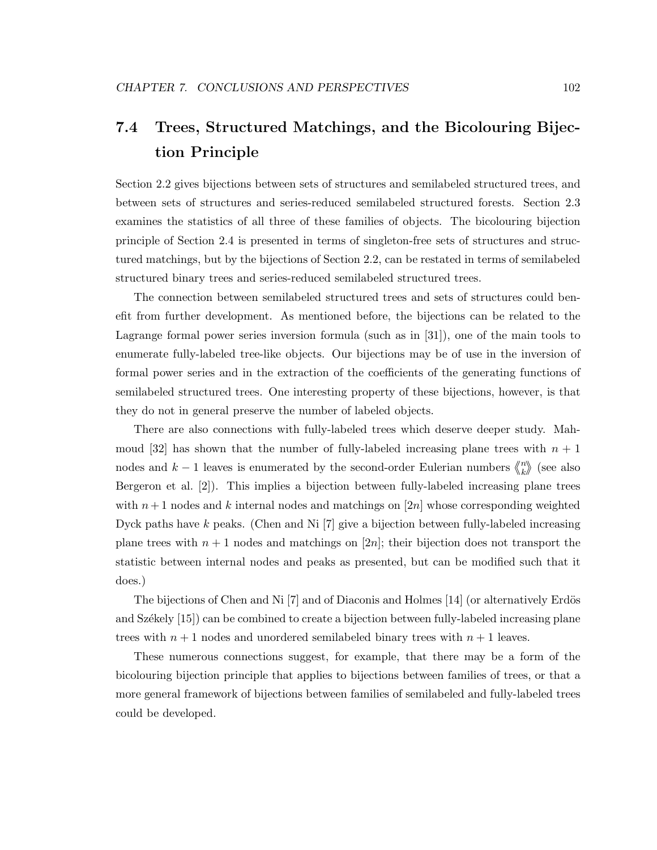### 7.4 Trees, Structured Matchings, and the Bicolouring Bijection Principle

Section 2.2 gives bijections between sets of structures and semilabeled structured trees, and between sets of structures and series-reduced semilabeled structured forests. Section 2.3 examines the statistics of all three of these families of objects. The bicolouring bijection principle of Section 2.4 is presented in terms of singleton-free sets of structures and structured matchings, but by the bijections of Section 2.2, can be restated in terms of semilabeled structured binary trees and series-reduced semilabeled structured trees.

The connection between semilabeled structured trees and sets of structures could benefit from further development. As mentioned before, the bijections can be related to the Lagrange formal power series inversion formula (such as in [31]), one of the main tools to enumerate fully-labeled tree-like objects. Our bijections may be of use in the inversion of formal power series and in the extraction of the coefficients of the generating functions of semilabeled structured trees. One interesting property of these bijections, however, is that they do not in general preserve the number of labeled objects.

There are also connections with fully-labeled trees which deserve deeper study. Mahmoud [32] has shown that the number of fully-labeled increasing plane trees with  $n + 1$ nodes and  $k-1$  leaves is enumerated by the second-order Eulerian numbers  $\binom{n}{k}$  $\binom{n}{k}$  (see also Bergeron et al. [2]). This implies a bijection between fully-labeled increasing plane trees with  $n+1$  nodes and k internal nodes and matchings on [2n] whose corresponding weighted Dyck paths have  $k$  peaks. (Chen and Ni  $[7]$  give a bijection between fully-labeled increasing plane trees with  $n + 1$  nodes and matchings on [2n]; their bijection does not transport the statistic between internal nodes and peaks as presented, but can be modified such that it does.)

The bijections of Chen and Ni  $[7]$  and of Diaconis and Holmes  $[14]$  (or alternatively Erdös and Székely [15]) can be combined to create a bijection between fully-labeled increasing plane trees with  $n+1$  nodes and unordered semilabeled binary trees with  $n+1$  leaves.

These numerous connections suggest, for example, that there may be a form of the bicolouring bijection principle that applies to bijections between families of trees, or that a more general framework of bijections between families of semilabeled and fully-labeled trees could be developed.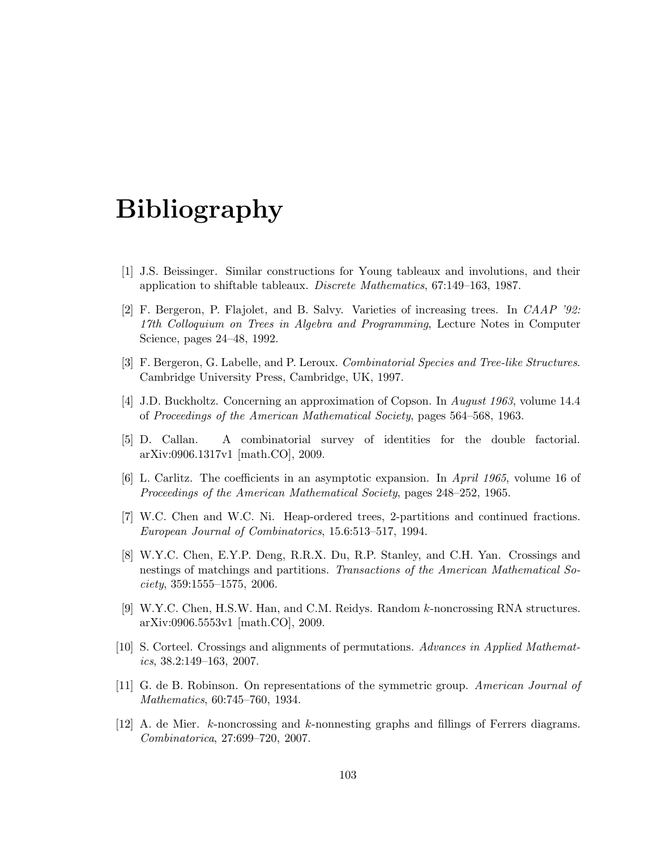# Bibliography

- [1] J.S. Beissinger. Similar constructions for Young tableaux and involutions, and their application to shiftable tableaux. *Discrete Mathematics*, 67:149–163, 1987.
- [2] F. Bergeron, P. Flajolet, and B. Salvy. Varieties of increasing trees. In *CAAP '92: 17th Colloquium on Trees in Algebra and Programming*, Lecture Notes in Computer Science, pages 24–48, 1992.
- [3] F. Bergeron, G. Labelle, and P. Leroux. *Combinatorial Species and Tree-like Structures*. Cambridge University Press, Cambridge, UK, 1997.
- [4] J.D. Buckholtz. Concerning an approximation of Copson. In *August 1963*, volume 14.4 of *Proceedings of the American Mathematical Society*, pages 564–568, 1963.
- [5] D. Callan. A combinatorial survey of identities for the double factorial. arXiv:0906.1317v1 [math.CO], 2009.
- [6] L. Carlitz. The coefficients in an asymptotic expansion. In *April 1965*, volume 16 of *Proceedings of the American Mathematical Society*, pages 248–252, 1965.
- [7] W.C. Chen and W.C. Ni. Heap-ordered trees, 2-partitions and continued fractions. *European Journal of Combinatorics*, 15.6:513–517, 1994.
- [8] W.Y.C. Chen, E.Y.P. Deng, R.R.X. Du, R.P. Stanley, and C.H. Yan. Crossings and nestings of matchings and partitions. *Transactions of the American Mathematical Society*, 359:1555–1575, 2006.
- [9] W.Y.C. Chen, H.S.W. Han, and C.M. Reidys. Random k-noncrossing RNA structures. arXiv:0906.5553v1 [math.CO], 2009.
- [10] S. Corteel. Crossings and alignments of permutations. *Advances in Applied Mathematics*, 38.2:149–163, 2007.
- [11] G. de B. Robinson. On representations of the symmetric group. *American Journal of Mathematics*, 60:745–760, 1934.
- [12] A. de Mier. k-noncrossing and k-nonnesting graphs and fillings of Ferrers diagrams. *Combinatorica*, 27:699–720, 2007.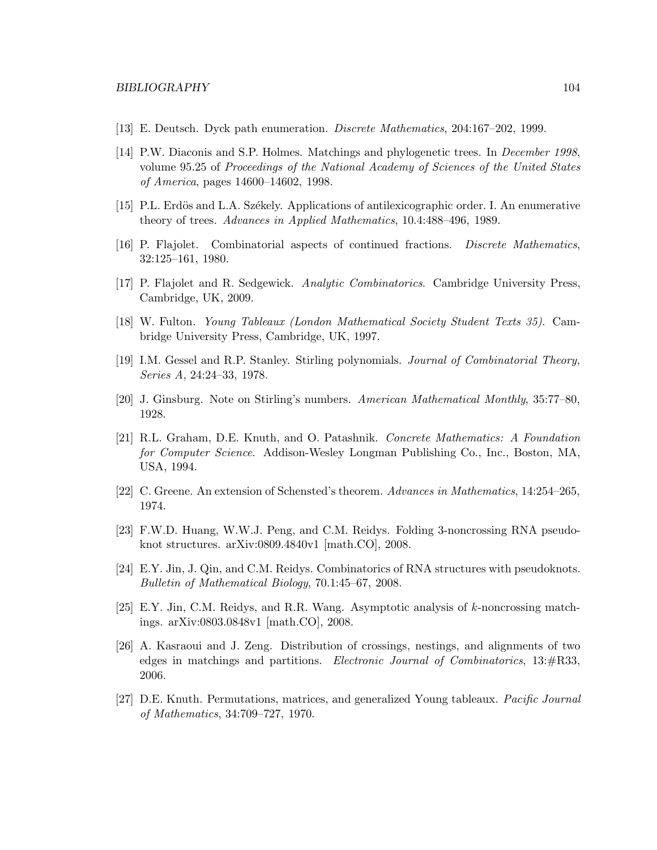- [13] E. Deutsch. Dyck path enumeration. *Discrete Mathematics*, 204:167–202, 1999.
- [14] P.W. Diaconis and S.P. Holmes. Matchings and phylogenetic trees. In *December 1998*, volume 95.25 of *Proceedings of the National Academy of Sciences of the United States of America*, pages 14600–14602, 1998.
- [15] P.L. Erdös and L.A. Székely. Applications of antilexicographic order. I. An enumerative theory of trees. *Advances in Applied Mathematics*, 10.4:488–496, 1989.
- [16] P. Flajolet. Combinatorial aspects of continued fractions. *Discrete Mathematics*, 32:125–161, 1980.
- [17] P. Flajolet and R. Sedgewick. *Analytic Combinatorics*. Cambridge University Press, Cambridge, UK, 2009.
- [18] W. Fulton. *Young Tableaux (London Mathematical Society Student Texts 35)*. Cambridge University Press, Cambridge, UK, 1997.
- [19] I.M. Gessel and R.P. Stanley. Stirling polynomials. *Journal of Combinatorial Theory, Series A*, 24:24–33, 1978.
- [20] J. Ginsburg. Note on Stirling's numbers. *American Mathematical Monthly*, 35:77–80, 1928.
- [21] R.L. Graham, D.E. Knuth, and O. Patashnik. *Concrete Mathematics: A Foundation for Computer Science*. Addison-Wesley Longman Publishing Co., Inc., Boston, MA, USA, 1994.
- [22] C. Greene. An extension of Schensted's theorem. *Advances in Mathematics*, 14:254–265, 1974.
- [23] F.W.D. Huang, W.W.J. Peng, and C.M. Reidys. Folding 3-noncrossing RNA pseudoknot structures. arXiv:0809.4840v1 [math.CO], 2008.
- [24] E.Y. Jin, J. Qin, and C.M. Reidys. Combinatorics of RNA structures with pseudoknots. *Bulletin of Mathematical Biology*, 70.1:45–67, 2008.
- [25] E.Y. Jin, C.M. Reidys, and R.R. Wang. Asymptotic analysis of k-noncrossing matchings. arXiv:0803.0848v1 [math.CO], 2008.
- [26] A. Kasraoui and J. Zeng. Distribution of crossings, nestings, and alignments of two edges in matchings and partitions. *Electronic Journal of Combinatorics*, 13:#R33, 2006.
- [27] D.E. Knuth. Permutations, matrices, and generalized Young tableaux. *Pacific Journal of Mathematics*, 34:709–727, 1970.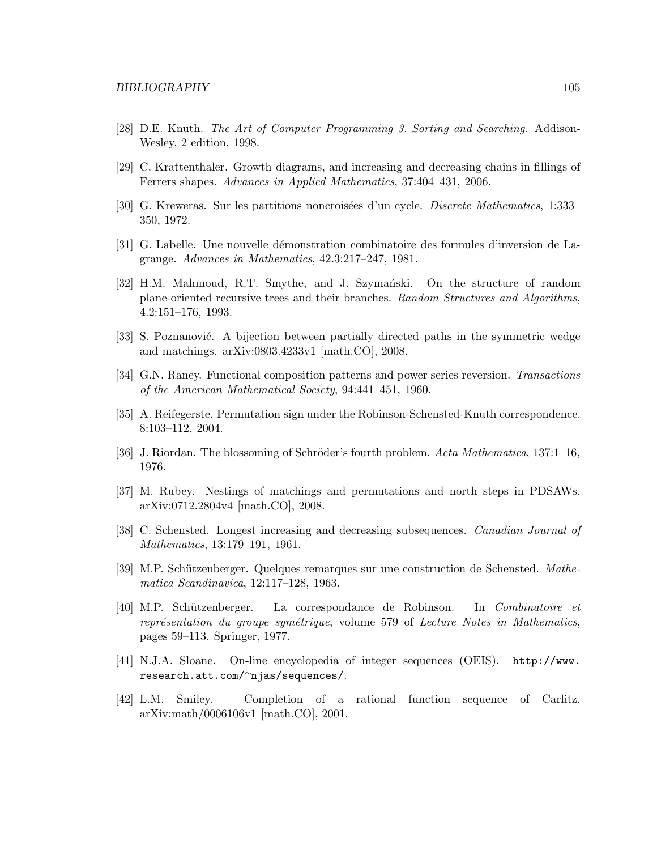- [28] D.E. Knuth. *The Art of Computer Programming 3. Sorting and Searching*. Addison-Wesley, 2 edition, 1998.
- [29] C. Krattenthaler. Growth diagrams, and increasing and decreasing chains in fillings of Ferrers shapes. *Advances in Applied Mathematics*, 37:404–431, 2006.
- [30] G. Kreweras. Sur les partitions noncrois´ees d'un cycle. *Discrete Mathematics*, 1:333– 350, 1972.
- [31] G. Labelle. Une nouvelle d´emonstration combinatoire des formules d'inversion de Lagrange. *Advances in Mathematics*, 42.3:217–247, 1981.
- [32] H.M. Mahmoud, R.T. Smythe, and J. Szymański. On the structure of random plane-oriented recursive trees and their branches. *Random Structures and Algorithms*, 4.2:151–176, 1993.
- [33] S. Poznanović. A bijection between partially directed paths in the symmetric wedge and matchings. arXiv:0803.4233v1 [math.CO], 2008.
- [34] G.N. Raney. Functional composition patterns and power series reversion. *Transactions of the American Mathematical Society*, 94:441–451, 1960.
- [35] A. Reifegerste. Permutation sign under the Robinson-Schensted-Knuth correspondence. 8:103–112, 2004.
- [36] J. Riordan. The blossoming of Schröder's fourth problem. *Acta Mathematica*, 137:1–16, 1976.
- [37] M. Rubey. Nestings of matchings and permutations and north steps in PDSAWs. arXiv:0712.2804v4 [math.CO], 2008.
- [38] C. Schensted. Longest increasing and decreasing subsequences. *Canadian Journal of Mathematics*, 13:179–191, 1961.
- [39] M.P. Sch¨utzenberger. Quelques remarques sur une construction de Schensted. *Mathematica Scandinavica*, 12:117–128, 1963.
- [40] M.P. Sch¨utzenberger. La correspondance de Robinson. In *Combinatoire et repr´esentation du groupe sym´etrique*, volume 579 of *Lecture Notes in Mathematics*, pages 59–113. Springer, 1977.
- [41] N.J.A. Sloane. On-line encyclopedia of integer sequences (OEIS). http://www. research.att.com/∼njas/sequences/.
- [42] L.M. Smiley. Completion of a rational function sequence of Carlitz. arXiv:math/0006106v1 [math.CO], 2001.